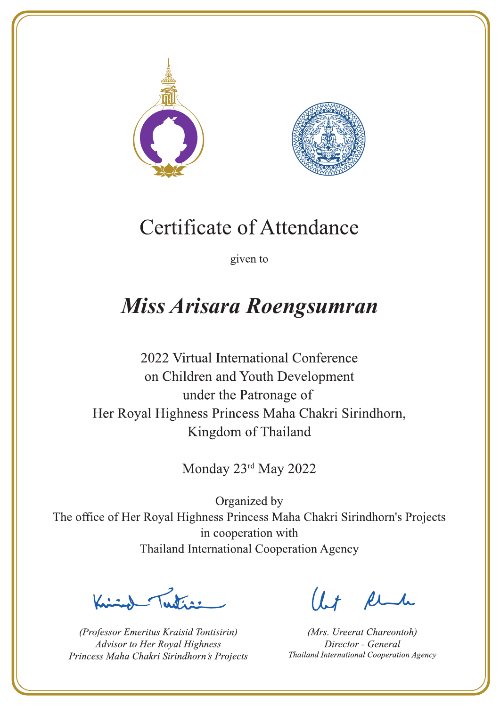



given to

### Miss Arisara Roengsumran

2022 Virtual International Conference on Children and Youth Development under the Patronage of Her Royal Highness Princess Maha Chakri Sirindhorn, Kingdom of Thailand

Monday 23rd May 2022

 $\sum_{n=1}^{\infty}$ 

(Professor Emeritus Kraisid Tontisirin) Advisor to Her Royal Highness Princess Maha Chakri Sirindhorn's Projects

 $l.t$  find

(Mrs. Ureerat Chareontoh) Director - General Thailand International Cooperation Agency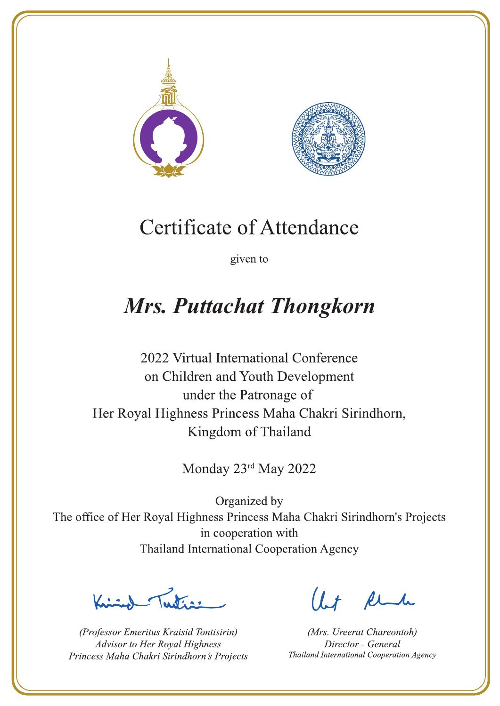



given to

## **Mrs. Puttachat Thongkorn**

2022 Virtual International Conference on Children and Youth Development under the Patronage of Her Royal Highness Princess Maha Chakri Sirindhorn, Kingdom of Thailand

Monday 23rd May 2022

Latin ,

(Professor Emeritus Kraisid Tontisirin) Advisor to Her Royal Highness Princess Maha Chakri Sirindhorn's Projects

 $l.t$  find

(Mrs. Ureerat Chareontoh) Director - General Thailand International Cooperation Agency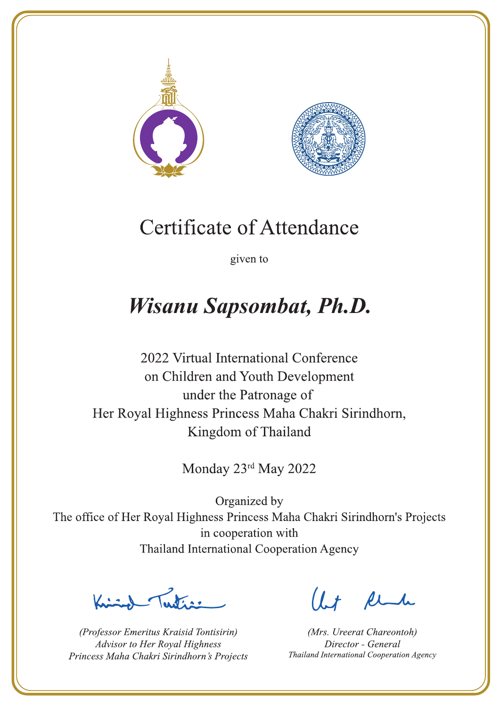



given to

# **Wisanu Sapsombat, Ph.D.**

2022 Virtual International Conference on Children and Youth Development under the Patronage of Her Royal Highness Princess Maha Chakri Sirindhorn, Kingdom of Thailand

Monday 23rd May 2022

Latin ,

(Professor Emeritus Kraisid Tontisirin) Advisor to Her Royal Highness Princess Maha Chakri Sirindhorn's Projects

 $l.t$  find

(Mrs. Ureerat Chareontoh) Director - General Thailand International Cooperation Agency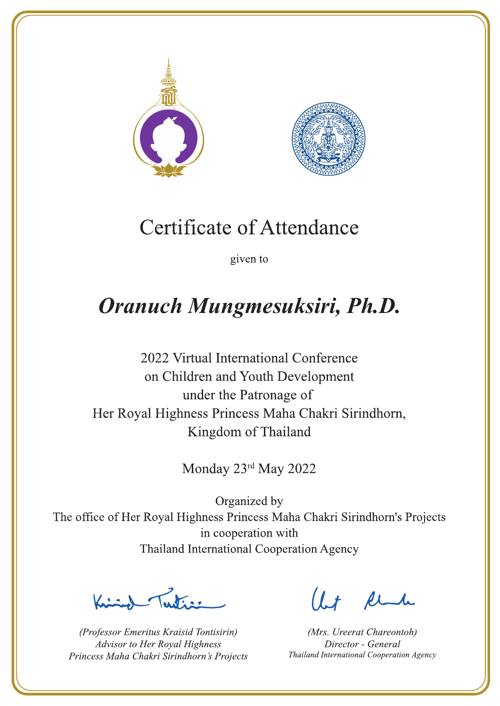



given to

# Oranuch Mungmesuksiri, Ph.D.

2022 Virtual International Conference on Children and Youth Development under the Patronage of Her Royal Highness Princess Maha Chakri Sirindhorn, Kingdom of Thailand

Monday 23rd May 2022

Let's

(Professor Emeritus Kraisid Tontisirin) Advisor to Her Royal Highness Princess Maha Chakri Sirindhorn's Projects

 $l.t$  find

(Mrs. Ureerat Chareontoh) Director - General Thailand International Cooperation Agency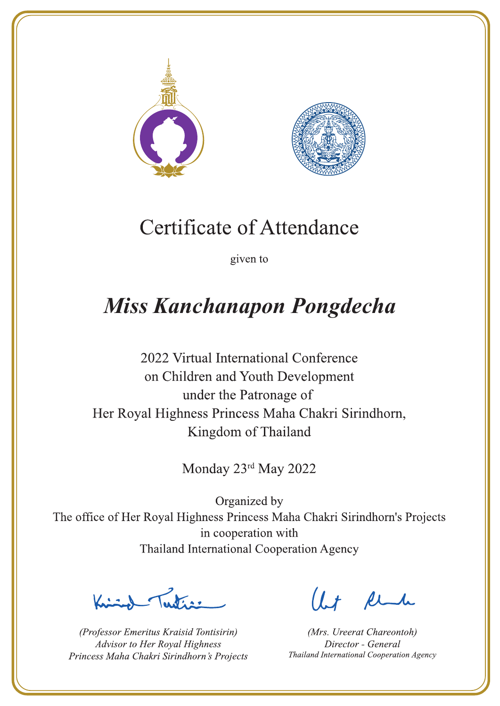



given to

# **Miss Kanchanapon Pongdecha**

2022 Virtual International Conference on Children and Youth Development under the Patronage of Her Royal Highness Princess Maha Chakri Sirindhorn, Kingdom of Thailand

Monday 23rd May 2022

 $\sqrt{1-\frac{1}{2}}$ 

(Professor Emeritus Kraisid Tontisirin) Advisor to Her Royal Highness Princess Maha Chakri Sirindhorn's Projects

 $l.t$  find

(Mrs. Ureerat Chareontoh) Director - General Thailand International Cooperation Agency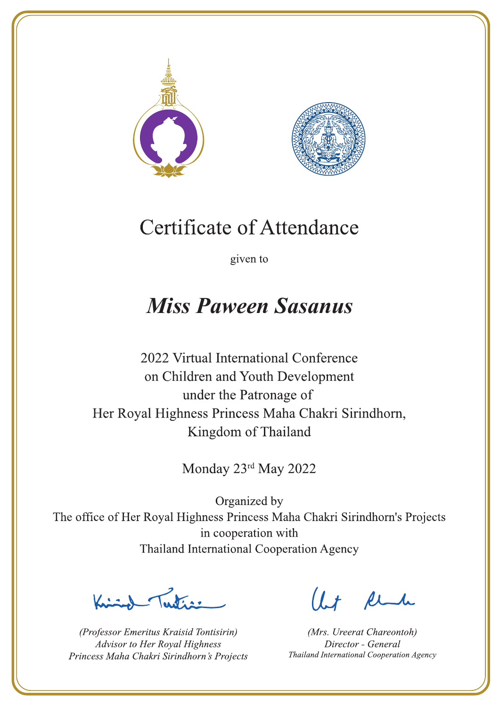



given to

## **Miss Paween Sasanus**

2022 Virtual International Conference on Children and Youth Development under the Patronage of Her Royal Highness Princess Maha Chakri Sirindhorn, Kingdom of Thailand

Monday 23rd May 2022

Letter

(Professor Emeritus Kraisid Tontisirin) Advisor to Her Royal Highness Princess Maha Chakri Sirindhorn's Projects

Ut Rende

(Mrs. Ureerat Chareontoh) Director - General Thailand International Cooperation Agency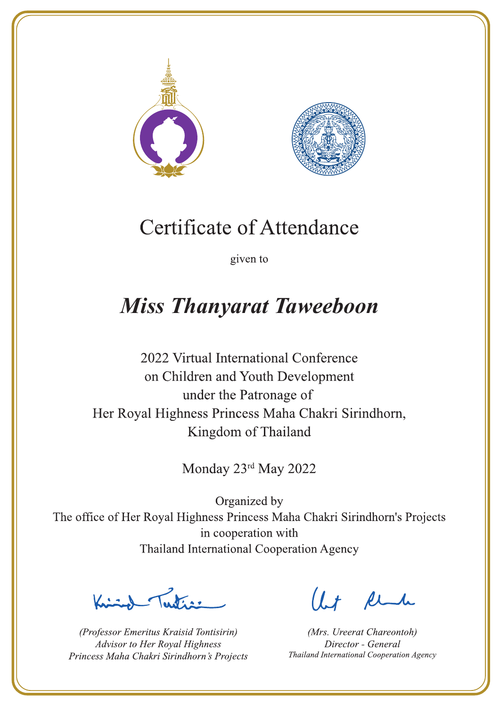



given to

### **Miss Thanyarat Taweeboon**

2022 Virtual International Conference on Children and Youth Development under the Patronage of Her Royal Highness Princess Maha Chakri Sirindhorn, Kingdom of Thailand

Monday 23rd May 2022

La de avons

(Professor Emeritus Kraisid Tontisirin) Advisor to Her Royal Highness Princess Maha Chakri Sirindhorn's Projects

 $l.t$  find

(Mrs. Ureerat Chareontoh) Director - General Thailand International Cooperation Agency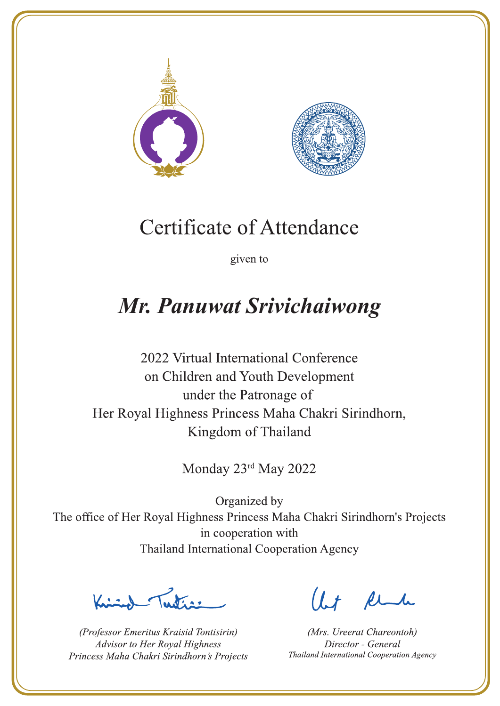



given to

### Mr. Panuwat Srivichaiwong

2022 Virtual International Conference on Children and Youth Development under the Patronage of Her Royal Highness Princess Maha Chakri Sirindhorn, Kingdom of Thailand

Monday 23rd May 2022

 $\sum_{n=1}^{\infty}$ 

(Professor Emeritus Kraisid Tontisirin) Advisor to Her Royal Highness Princess Maha Chakri Sirindhorn's Projects

 $1.7$  flu

(Mrs. Ureerat Chareontoh) Director - General Thailand International Cooperation Agency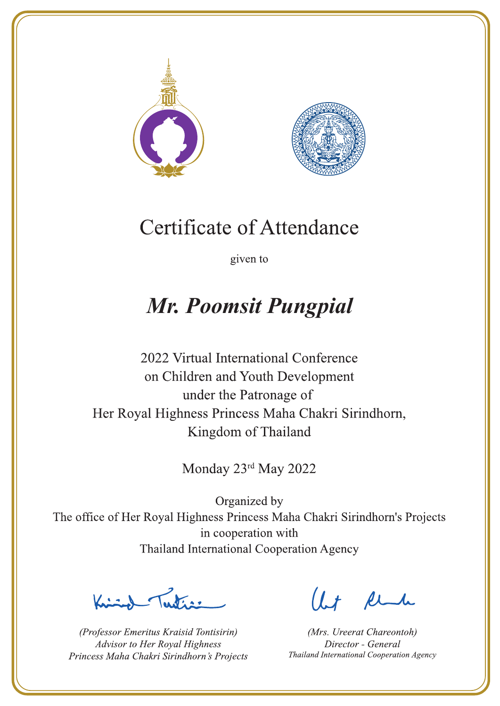



given to

## **Mr. Poomsit Pungpial**

2022 Virtual International Conference on Children and Youth Development under the Patronage of Her Royal Highness Princess Maha Chakri Sirindhorn, Kingdom of Thailand

Monday 23rd May 2022

Latin ,

(Professor Emeritus Kraisid Tontisirin) Advisor to Her Royal Highness Princess Maha Chakri Sirindhorn's Projects

 $l.t$  find

(Mrs. Ureerat Chareontoh) Director - General Thailand International Cooperation Agency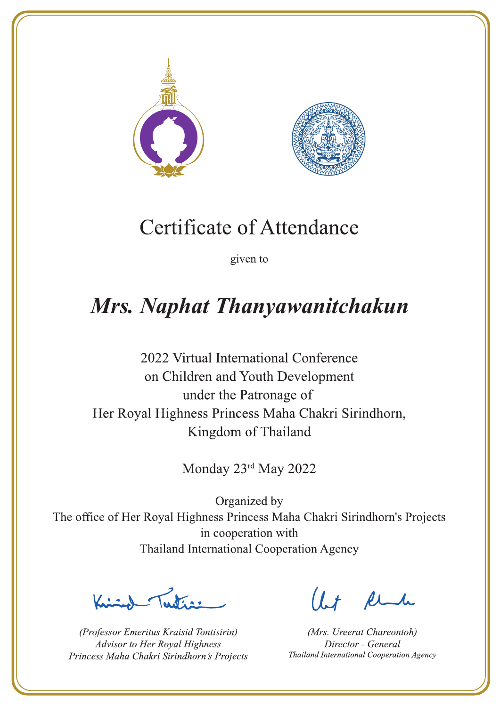



given to

## Mrs. Naphat Thanyawanitchakun

2022 Virtual International Conference on Children and Youth Development under the Patronage of Her Royal Highness Princess Maha Chakri Sirindhorn, Kingdom of Thailand

Monday 23rd May 2022

 $\sum_{n=1}^{\infty}$ 

(Professor Emeritus Kraisid Tontisirin) Advisor to Her Royal Highness Princess Maha Chakri Sirindhorn's Projects

 $l.t$  find

(Mrs. Ureerat Chareontoh) Director - General Thailand International Cooperation Agency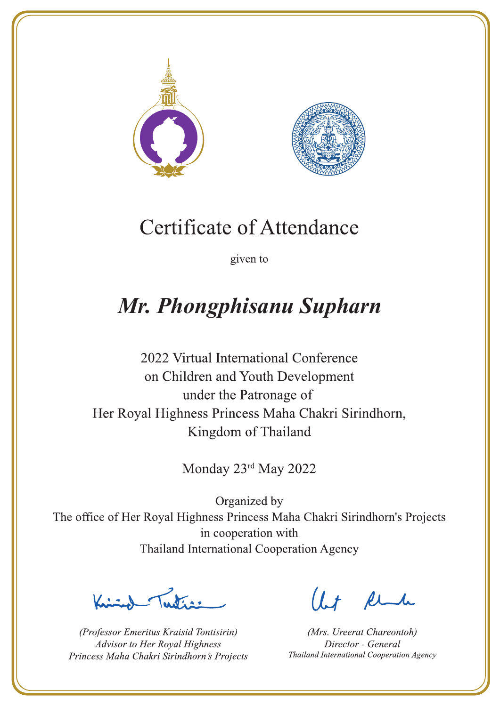



given to

# Mr. Phongphisanu Supharn

2022 Virtual International Conference on Children and Youth Development under the Patronage of Her Royal Highness Princess Maha Chakri Sirindhorn, Kingdom of Thailand

Monday 23rd May 2022

 $\sum_{n=1}^{\infty}$ 

(Professor Emeritus Kraisid Tontisirin) Advisor to Her Royal Highness Princess Maha Chakri Sirindhorn's Projects

 $l.t$  find

(Mrs. Ureerat Chareontoh) Director - General Thailand International Cooperation Agency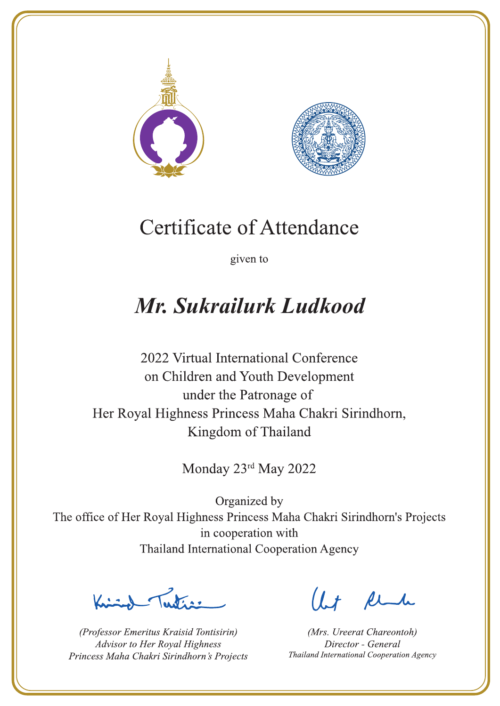



given to

## Mr. Sukrailurk Ludkood

2022 Virtual International Conference on Children and Youth Development under the Patronage of Her Royal Highness Princess Maha Chakri Sirindhorn, Kingdom of Thailand

Monday 23rd May 2022

Letters ,

(Professor Emeritus Kraisid Tontisirin) Advisor to Her Royal Highness Princess Maha Chakri Sirindhorn's Projects

 $l.t$  find

(Mrs. Ureerat Chareontoh) Director - General Thailand International Cooperation Agency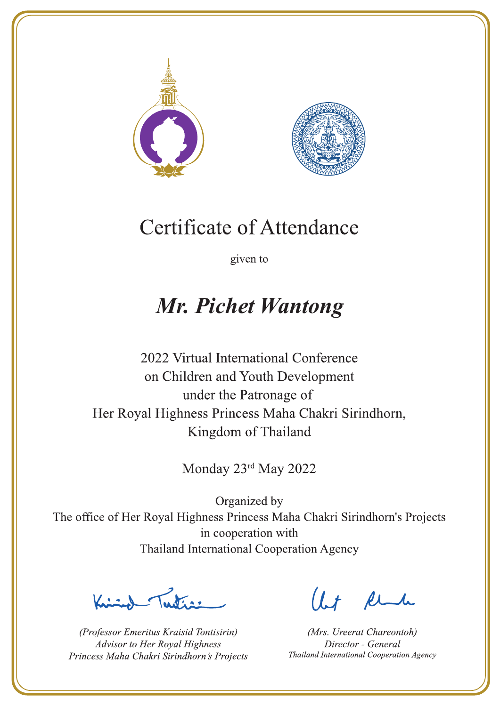



given to

### **Mr. Pichet Wantong**

2022 Virtual International Conference on Children and Youth Development under the Patronage of Her Royal Highness Princess Maha Chakri Sirindhorn, Kingdom of Thailand

Monday 23rd May 2022

Latin ,

(Professor Emeritus Kraisid Tontisirin) Advisor to Her Royal Highness Princess Maha Chakri Sirindhorn's Projects

 $l.t$  find

(Mrs. Ureerat Chareontoh) Director - General Thailand International Cooperation Agency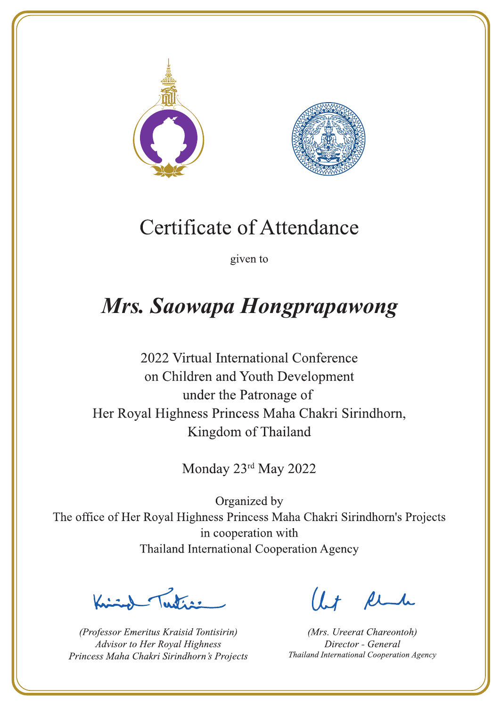



given to

# Mrs. Saowapa Hongprapawong

2022 Virtual International Conference on Children and Youth Development under the Patronage of Her Royal Highness Princess Maha Chakri Sirindhorn, Kingdom of Thailand

Monday 23rd May 2022

Justin 1

(Professor Emeritus Kraisid Tontisirin) Advisor to Her Royal Highness Princess Maha Chakri Sirindhorn's Projects

 $l.t$  find

(Mrs. Ureerat Chareontoh) Director - General Thailand International Cooperation Agency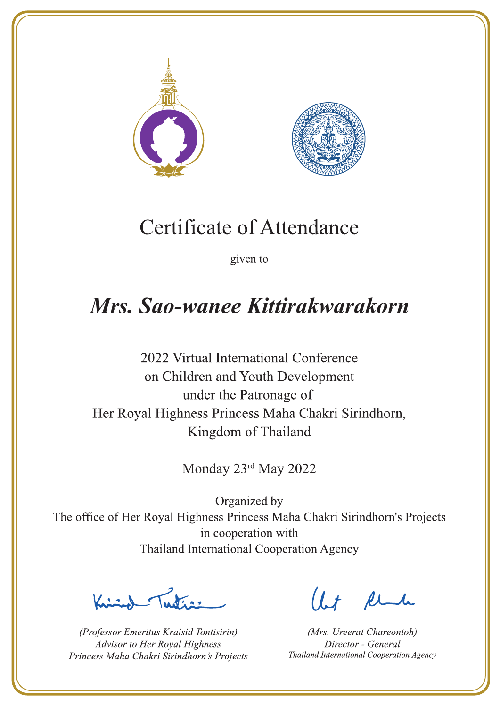



given to

## Mrs. Sao-wanee Kittirakwarakorn

2022 Virtual International Conference on Children and Youth Development under the Patronage of Her Royal Highness Princess Maha Chakri Sirindhorn, Kingdom of Thailand

Monday 23rd May 2022

Letter

(Professor Emeritus Kraisid Tontisirin) Advisor to Her Royal Highness Princess Maha Chakri Sirindhorn's Projects

 $l.t$  find

(Mrs. Ureerat Chareontoh) Director - General Thailand International Cooperation Agency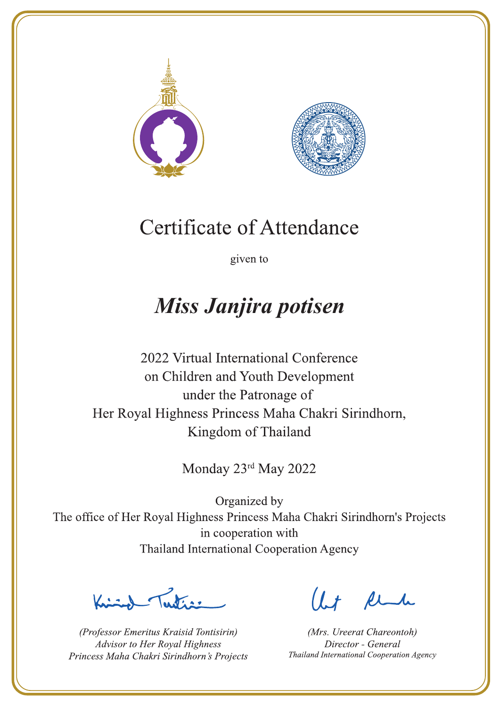



given to

## Miss Janjira potisen

2022 Virtual International Conference on Children and Youth Development under the Patronage of Her Royal Highness Princess Maha Chakri Sirindhorn, Kingdom of Thailand

Monday 23rd May 2022

La de avons

(Professor Emeritus Kraisid Tontisirin) Advisor to Her Royal Highness Princess Maha Chakri Sirindhorn's Projects

 $l.t$  find

(Mrs. Ureerat Chareontoh) Director - General Thailand International Cooperation Agency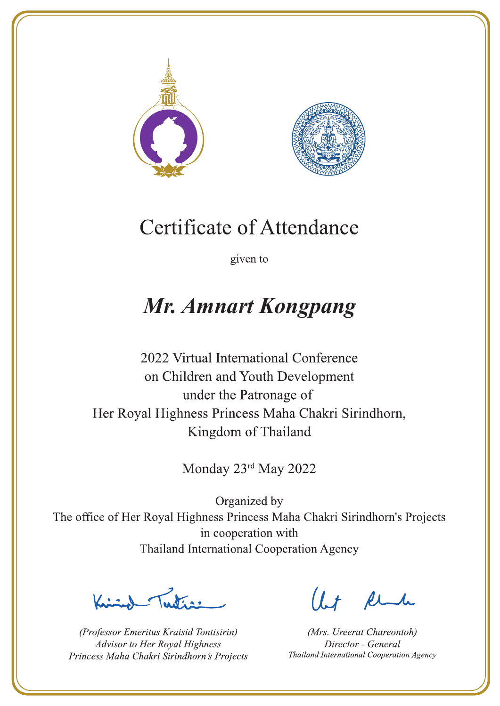



given to

### **Mr. Amnart Kongpang**

2022 Virtual International Conference on Children and Youth Development under the Patronage of Her Royal Highness Princess Maha Chakri Sirindhorn, Kingdom of Thailand

Monday 23rd May 2022

Latin ,

(Professor Emeritus Kraisid Tontisirin) Advisor to Her Royal Highness Princess Maha Chakri Sirindhorn's Projects

 $l.t$  find

(Mrs. Ureerat Chareontoh) Director - General Thailand International Cooperation Agency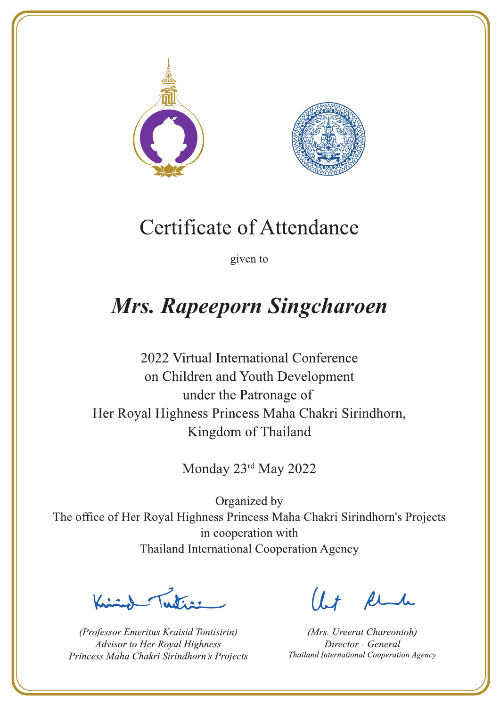



given to

# **Mrs. Rapeeporn Singcharoen**

2022 Virtual International Conference on Children and Youth Development under the Patronage of Her Royal Highness Princess Maha Chakri Sirindhorn, Kingdom of Thailand

Monday 23rd May 2022

Letters

(Professor Emeritus Kraisid Tontisirin) Advisor to Her Royal Highness Princess Maha Chakri Sirindhorn's Projects

 $l.t$  find

(Mrs. Ureerat Chareontoh) Director - General Thailand International Cooperation Agency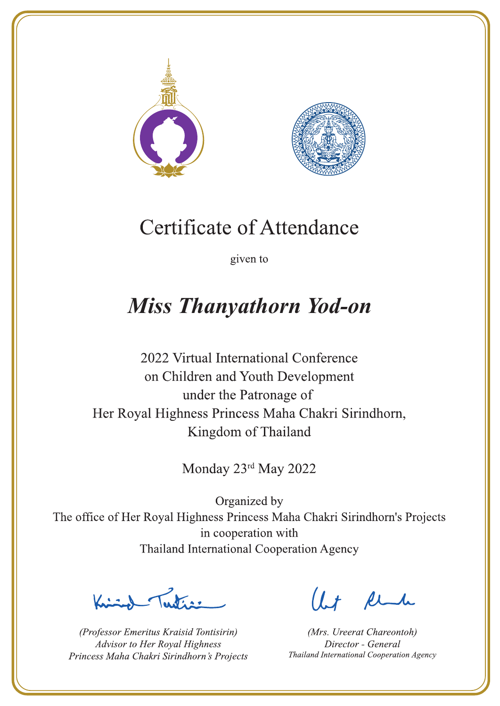



given to

### **Miss Thanyathorn Yod-on**

2022 Virtual International Conference on Children and Youth Development under the Patronage of Her Royal Highness Princess Maha Chakri Sirindhorn, Kingdom of Thailand

Monday 23rd May 2022

 $\sum_{n=1}^{\infty} \int_{\mathbb{R}^d} f(x) dx$ 

(Professor Emeritus Kraisid Tontisirin) Advisor to Her Royal Highness Princess Maha Chakri Sirindhorn's Projects

 $l.t$  find

(Mrs. Ureerat Chareontoh) Director - General Thailand International Cooperation Agency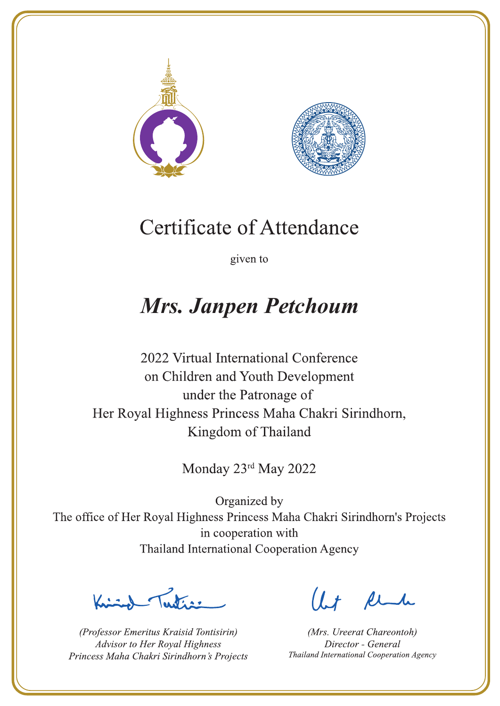



given to

### **Mrs. Janpen Petchoum**

2022 Virtual International Conference on Children and Youth Development under the Patronage of Her Royal Highness Princess Maha Chakri Sirindhorn, Kingdom of Thailand

Monday 23rd May 2022

La de a gr

(Professor Emeritus Kraisid Tontisirin) Advisor to Her Royal Highness Princess Maha Chakri Sirindhorn's Projects

 $l.t$  find

(Mrs. Ureerat Chareontoh) Director - General Thailand International Cooperation Agency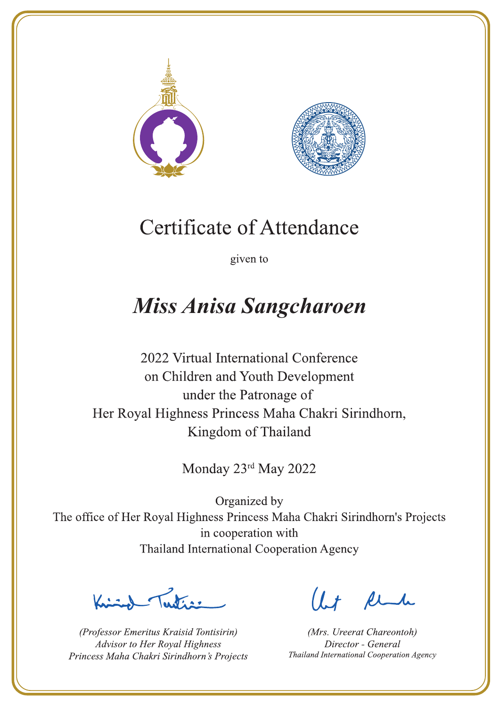



given to

# **Miss Anisa Sangcharoen**

2022 Virtual International Conference on Children and Youth Development under the Patronage of Her Royal Highness Princess Maha Chakri Sirindhorn, Kingdom of Thailand

Monday 23rd May 2022

 $\sum_{n=1}^{\infty}$ 

(Professor Emeritus Kraisid Tontisirin) Advisor to Her Royal Highness Princess Maha Chakri Sirindhorn's Projects

 $l.t$  find

(Mrs. Ureerat Chareontoh) Director - General Thailand International Cooperation Agency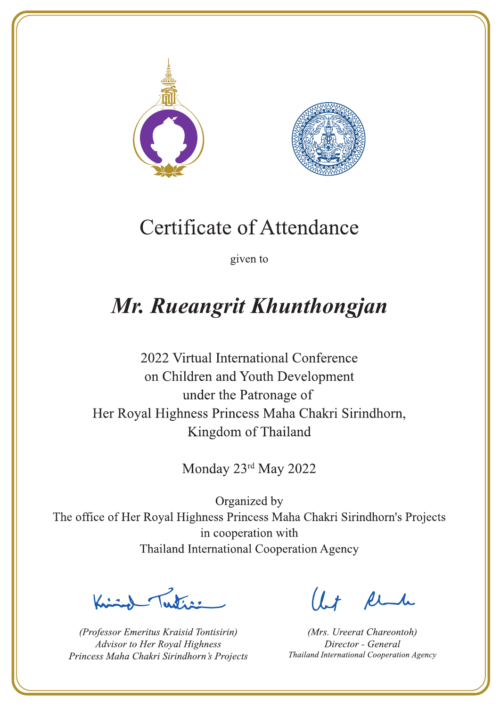



given to

# Mr. Rueangrit Khunthongjan

2022 Virtual International Conference on Children and Youth Development under the Patronage of Her Royal Highness Princess Maha Chakri Sirindhorn, Kingdom of Thailand

Monday 23rd May 2022

Letters .

(Professor Emeritus Kraisid Tontisirin) Advisor to Her Royal Highness Princess Maha Chakri Sirindhorn's Projects

 $l.t$  find

(Mrs. Ureerat Chareontoh) Director - General Thailand International Cooperation Agency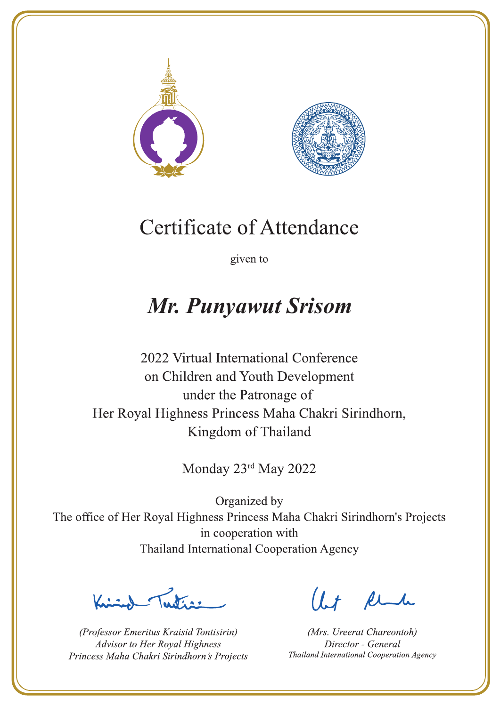



given to

### **Mr. Punyawut Srisom**

2022 Virtual International Conference on Children and Youth Development under the Patronage of Her Royal Highness Princess Maha Chakri Sirindhorn, Kingdom of Thailand

Monday 23rd May 2022

Latin ,

(Professor Emeritus Kraisid Tontisirin) Advisor to Her Royal Highness Princess Maha Chakri Sirindhorn's Projects

 $l.t$  find

(Mrs. Ureerat Chareontoh) Director - General Thailand International Cooperation Agency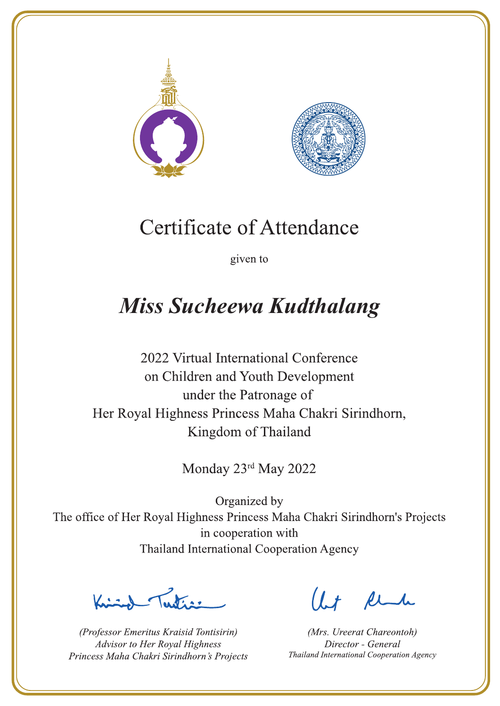



given to

# **Miss Sucheewa Kudthalang**

2022 Virtual International Conference on Children and Youth Development under the Patronage of Her Royal Highness Princess Maha Chakri Sirindhorn, Kingdom of Thailand

Monday 23rd May 2022

Latin ,

(Professor Emeritus Kraisid Tontisirin) Advisor to Her Royal Highness Princess Maha Chakri Sirindhorn's Projects

 $1.7$  find

(Mrs. Ureerat Chareontoh) Director - General Thailand International Cooperation Agency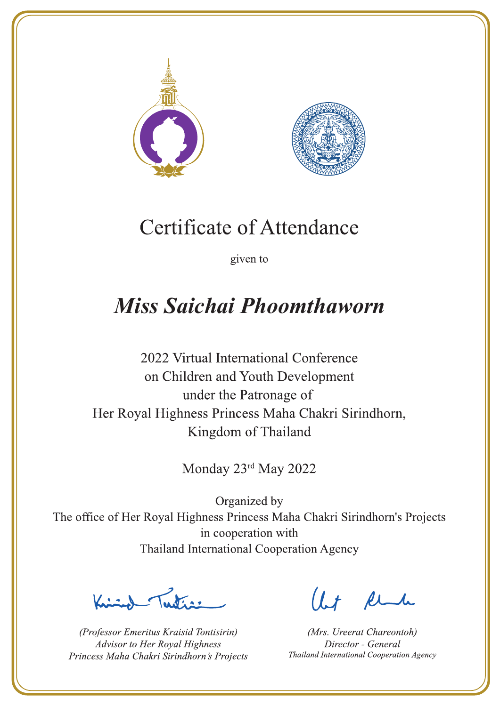



given to

## **Miss Saichai Phoomthaworn**

2022 Virtual International Conference on Children and Youth Development under the Patronage of Her Royal Highness Princess Maha Chakri Sirindhorn, Kingdom of Thailand

Monday 23rd May 2022

Lating

(Professor Emeritus Kraisid Tontisirin) Advisor to Her Royal Highness Princess Maha Chakri Sirindhorn's Projects

 $l.t$  find

(Mrs. Ureerat Chareontoh) Director - General Thailand International Cooperation Agency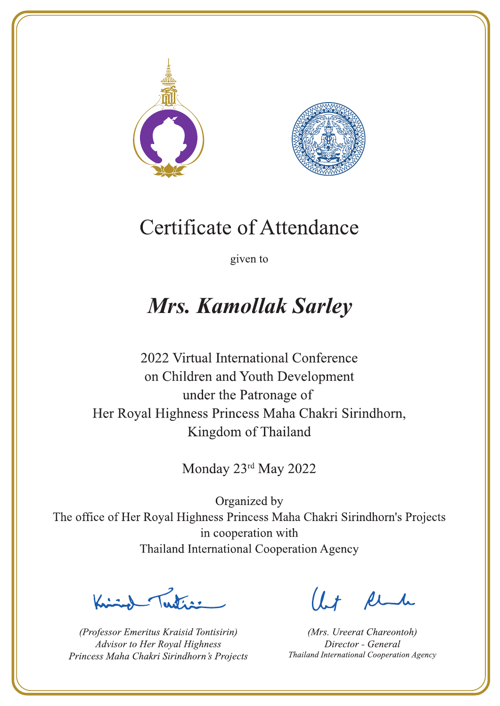



given to

### **Mrs. Kamollak Sarley**

2022 Virtual International Conference on Children and Youth Development under the Patronage of Her Royal Highness Princess Maha Chakri Sirindhorn, Kingdom of Thailand

Monday 23rd May 2022

 $\sum_{n=1}^{\infty}$ 

(Professor Emeritus Kraisid Tontisirin) Advisor to Her Royal Highness Princess Maha Chakri Sirindhorn's Projects

 $l.t$  find

(Mrs. Ureerat Chareontoh) Director - General Thailand International Cooperation Agency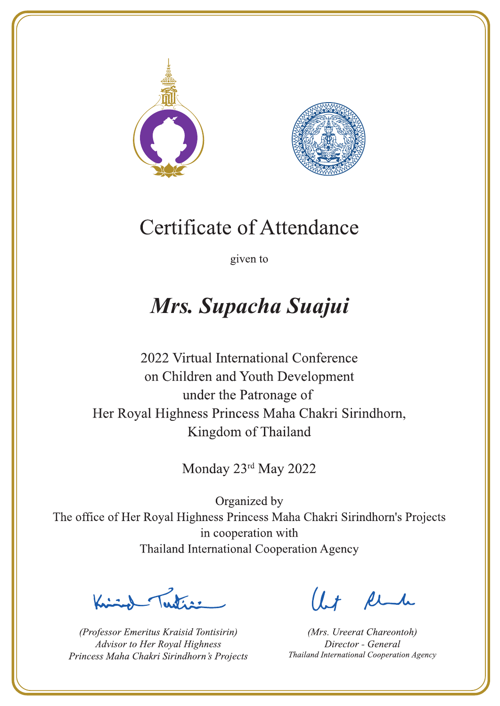



given to

# Mrs. Supacha Suajui

2022 Virtual International Conference on Children and Youth Development under the Patronage of Her Royal Highness Princess Maha Chakri Sirindhorn, Kingdom of Thailand

Monday 23rd May 2022

La Vias

(Professor Emeritus Kraisid Tontisirin) Advisor to Her Royal Highness Princess Maha Chakri Sirindhorn's Projects

 $l.t$  find

(Mrs. Ureerat Chareontoh) Director - General Thailand International Cooperation Agency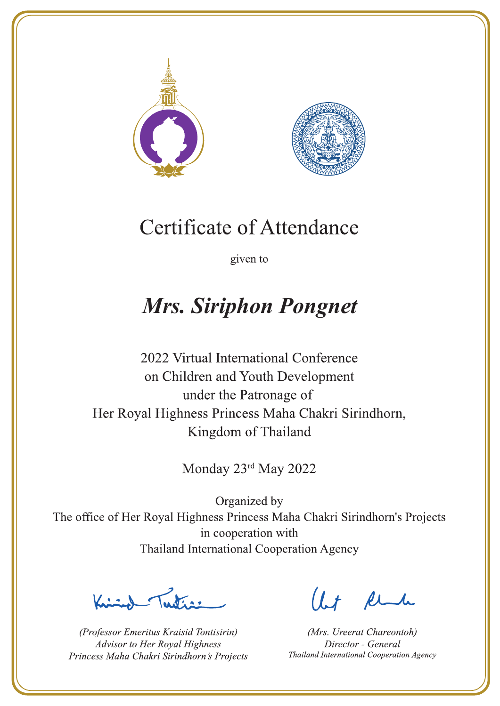



given to

# **Mrs. Siriphon Pongnet**

2022 Virtual International Conference on Children and Youth Development under the Patronage of Her Royal Highness Princess Maha Chakri Sirindhorn, Kingdom of Thailand

Monday 23rd May 2022

 $\sum_{n=1}^{\infty} \int_{\mathbb{R}^d} f(x) dx$ 

(Professor Emeritus Kraisid Tontisirin) Advisor to Her Royal Highness Princess Maha Chakri Sirindhorn's Projects

 $l.t$  find

(Mrs. Ureerat Chareontoh) Director - General Thailand International Cooperation Agency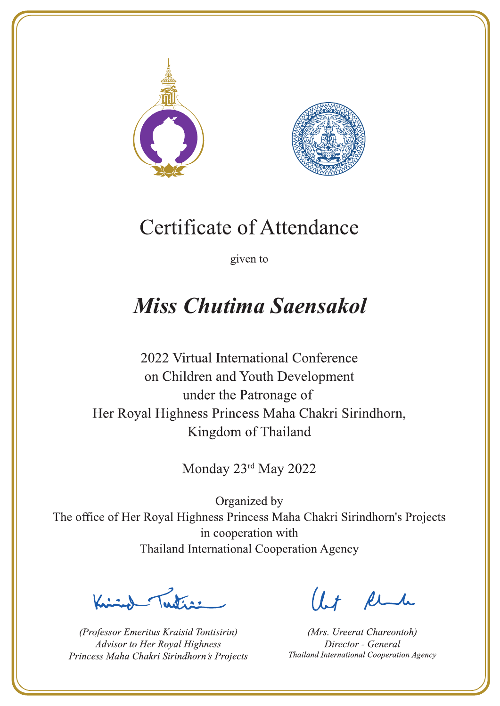



given to

## **Miss Chutima Saensakol**

2022 Virtual International Conference on Children and Youth Development under the Patronage of Her Royal Highness Princess Maha Chakri Sirindhorn, Kingdom of Thailand

Monday 23rd May 2022

Letter

(Professor Emeritus Kraisid Tontisirin) Advisor to Her Royal Highness Princess Maha Chakri Sirindhorn's Projects

 $l.t$  find

(Mrs. Ureerat Chareontoh) Director - General Thailand International Cooperation Agency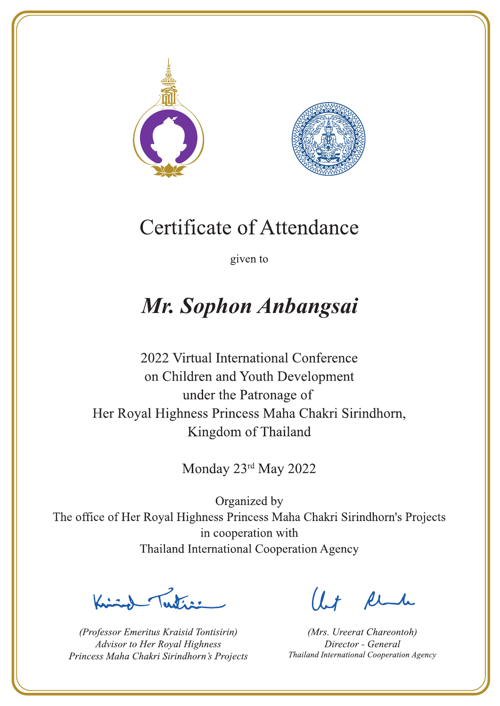



given to

# Mr. Sophon Anbangsai

2022 Virtual International Conference on Children and Youth Development under the Patronage of Her Royal Highness Princess Maha Chakri Sirindhorn, Kingdom of Thailand

Monday 23rd May 2022

Latin .

(Professor Emeritus Kraisid Tontisirin) Advisor to Her Royal Highness Princess Maha Chakri Sirindhorn's Projects

 $l.t$  find

(Mrs. Ureerat Chareontoh) Director - General Thailand International Cooperation Agency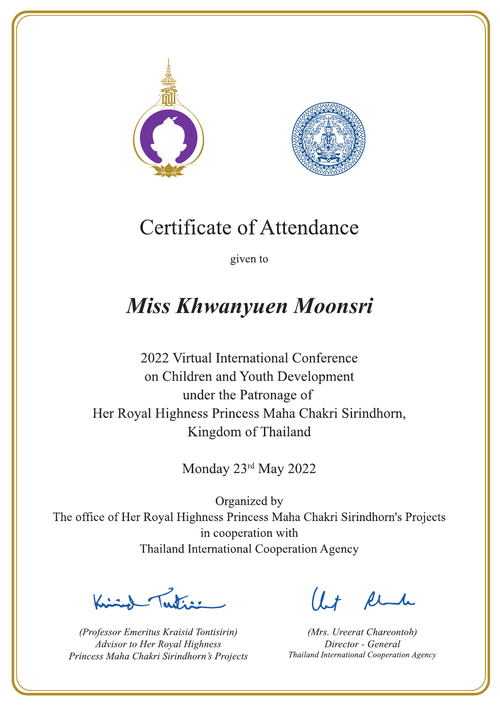



given to

## **Miss Khwanyuen Moonsri**

2022 Virtual International Conference on Children and Youth Development under the Patronage of Her Royal Highness Princess Maha Chakri Sirindhorn, Kingdom of Thailand

Monday 23rd May 2022

 $\sum_{n=1}^{\infty}$ 

(Professor Emeritus Kraisid Tontisirin) Advisor to Her Royal Highness Princess Maha Chakri Sirindhorn's Projects

 $l.t$  find

(Mrs. Ureerat Chareontoh) Director - General Thailand International Cooperation Agency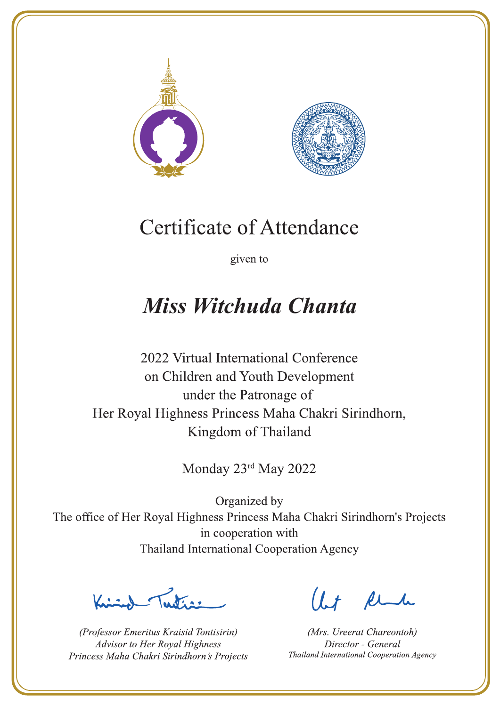



given to

### **Miss Witchuda Chanta**

2022 Virtual International Conference on Children and Youth Development under the Patronage of Her Royal Highness Princess Maha Chakri Sirindhorn, Kingdom of Thailand

Monday 23rd May 2022

Letter

(Professor Emeritus Kraisid Tontisirin) Advisor to Her Royal Highness Princess Maha Chakri Sirindhorn's Projects

 $l.t$  find

(Mrs. Ureerat Chareontoh) Director - General Thailand International Cooperation Agency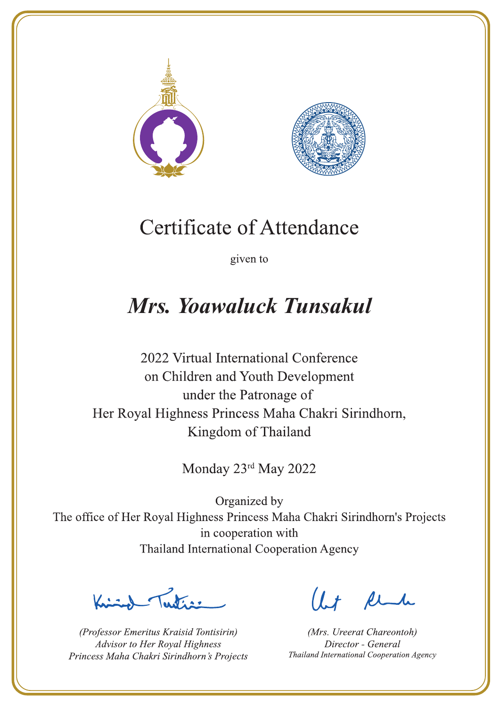



given to

### Mrs. Yoawaluck Tunsakul

2022 Virtual International Conference on Children and Youth Development under the Patronage of Her Royal Highness Princess Maha Chakri Sirindhorn, Kingdom of Thailand

Monday 23rd May 2022

Letters ,

(Professor Emeritus Kraisid Tontisirin) Advisor to Her Royal Highness Princess Maha Chakri Sirindhorn's Projects

Ut Rende

(Mrs. Ureerat Chareontoh) Director - General Thailand International Cooperation Agency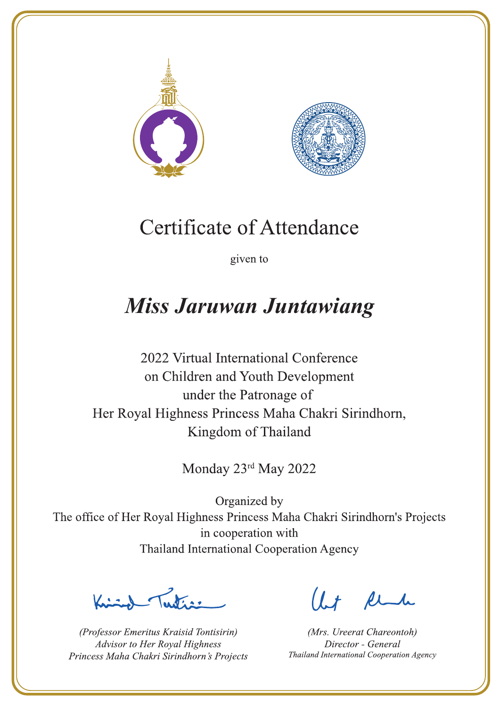



given to

### **Miss Jaruwan Juntawiang**

2022 Virtual International Conference on Children and Youth Development under the Patronage of Her Royal Highness Princess Maha Chakri Sirindhorn, Kingdom of Thailand

Monday 23rd May 2022

Letter

(Professor Emeritus Kraisid Tontisirin) Advisor to Her Royal Highness Princess Maha Chakri Sirindhorn's Projects

 $l.t$  find

(Mrs. Ureerat Chareontoh) Director - General Thailand International Cooperation Agency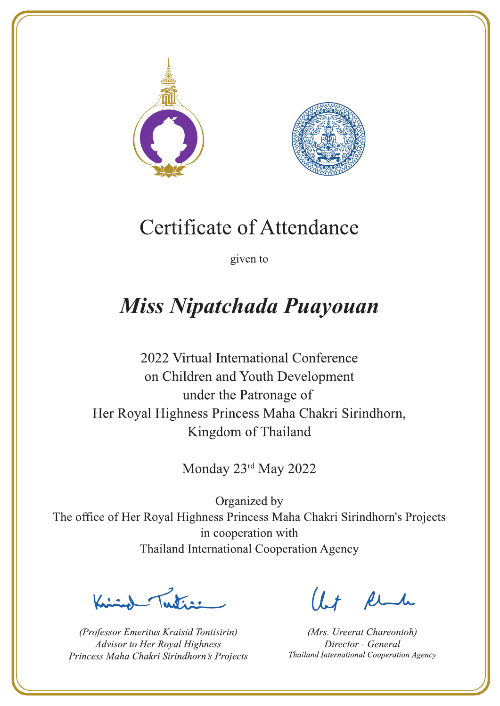



given to

## Miss Nipatchada Puayouan

2022 Virtual International Conference on Children and Youth Development under the Patronage of Her Royal Highness Princess Maha Chakri Sirindhorn, Kingdom of Thailand

Monday 23rd May 2022

Letters .

(Professor Emeritus Kraisid Tontisirin) Advisor to Her Royal Highness Princess Maha Chakri Sirindhorn's Projects

 $l.t$  find

(Mrs. Ureerat Chareontoh) Director - General Thailand International Cooperation Agency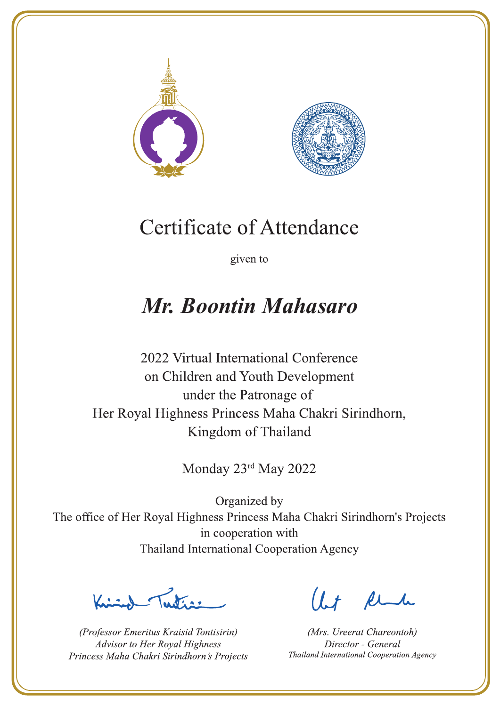



given to

### Mr. Boontin Mahasaro

2022 Virtual International Conference on Children and Youth Development under the Patronage of Her Royal Highness Princess Maha Chakri Sirindhorn, Kingdom of Thailand

Monday 23rd May 2022

Letters ,

(Professor Emeritus Kraisid Tontisirin) Advisor to Her Royal Highness Princess Maha Chakri Sirindhorn's Projects

 $l.t$  find

(Mrs. Ureerat Chareontoh) Director - General Thailand International Cooperation Agency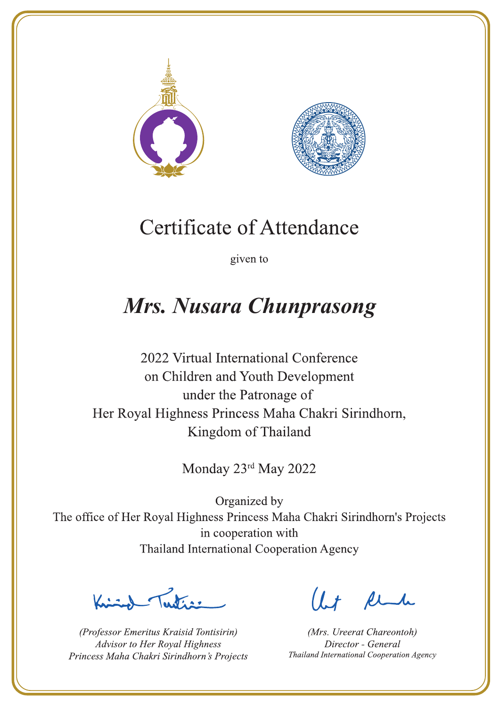



given to

## Mrs. Nusara Chunprasong

2022 Virtual International Conference on Children and Youth Development under the Patronage of Her Royal Highness Princess Maha Chakri Sirindhorn, Kingdom of Thailand

Monday 23rd May 2022

 $\sum_{n=1}^{\infty}$ 

(Professor Emeritus Kraisid Tontisirin) Advisor to Her Royal Highness Princess Maha Chakri Sirindhorn's Projects

 $l.t$  find

(Mrs. Ureerat Chareontoh) Director - General Thailand International Cooperation Agency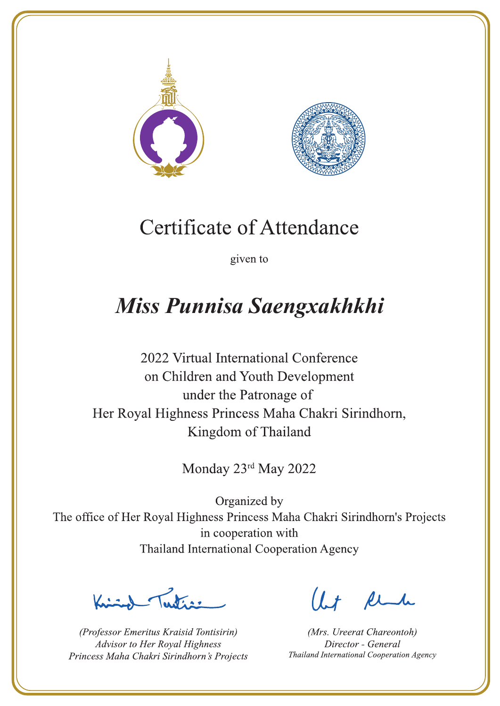



given to

## Miss Punnisa Saengxakhkhi

2022 Virtual International Conference on Children and Youth Development under the Patronage of Her Royal Highness Princess Maha Chakri Sirindhorn, Kingdom of Thailand

Monday 23rd May 2022

 $\sum_{n=1}^{\infty}$ 

(Professor Emeritus Kraisid Tontisirin) Advisor to Her Royal Highness Princess Maha Chakri Sirindhorn's Projects

 $l.t$  find

(Mrs. Ureerat Chareontoh) Director - General Thailand International Cooperation Agency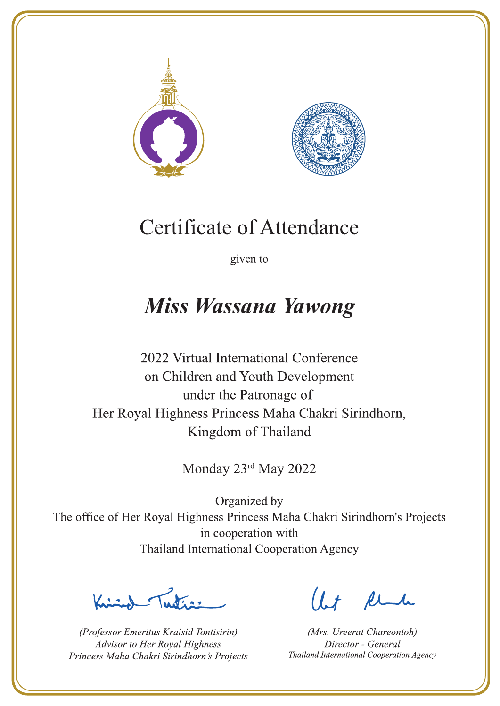



given to

### **Miss Wassana Yawong**

2022 Virtual International Conference on Children and Youth Development under the Patronage of Her Royal Highness Princess Maha Chakri Sirindhorn, Kingdom of Thailand

Monday 23rd May 2022

Letter

(Professor Emeritus Kraisid Tontisirin) Advisor to Her Royal Highness Princess Maha Chakri Sirindhorn's Projects

 $l.t$  find

(Mrs. Ureerat Chareontoh) Director - General Thailand International Cooperation Agency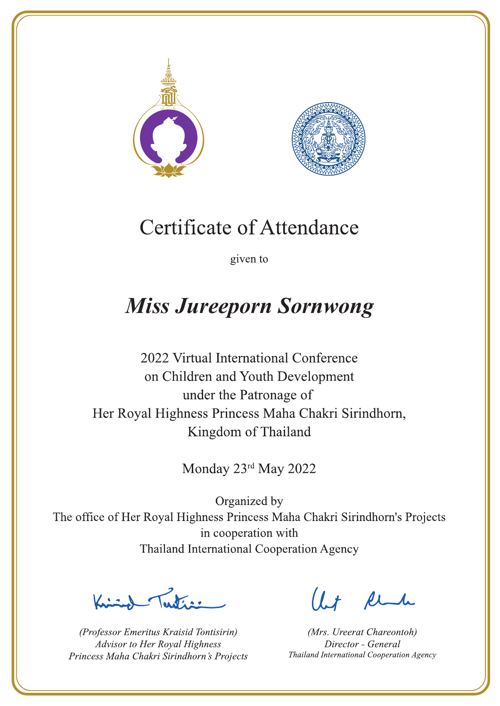



given to

## **Miss Jureeporn Sornwong**

2022 Virtual International Conference on Children and Youth Development under the Patronage of Her Royal Highness Princess Maha Chakri Sirindhorn, Kingdom of Thailand

Monday 23rd May 2022

La de avons

(Professor Emeritus Kraisid Tontisirin) Advisor to Her Royal Highness Princess Maha Chakri Sirindhorn's Projects

 $l.t$  find

(Mrs. Ureerat Chareontoh) Director - General Thailand International Cooperation Agency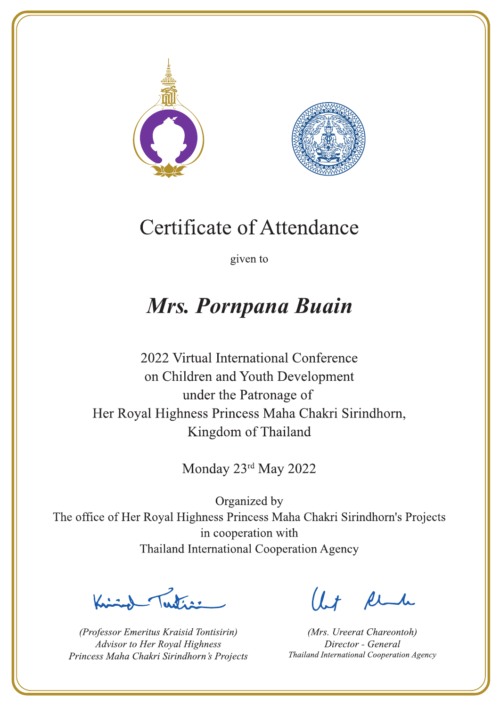



given to

### Mrs. Pornpana Buain

2022 Virtual International Conference on Children and Youth Development under the Patronage of Her Royal Highness Princess Maha Chakri Sirindhorn, Kingdom of Thailand

Monday 23rd May 2022

La de avons

(Professor Emeritus Kraisid Tontisirin) Advisor to Her Royal Highness Princess Maha Chakri Sirindhorn's Projects

 $l.t$  find

(Mrs. Ureerat Chareontoh) Director - General Thailand International Cooperation Agency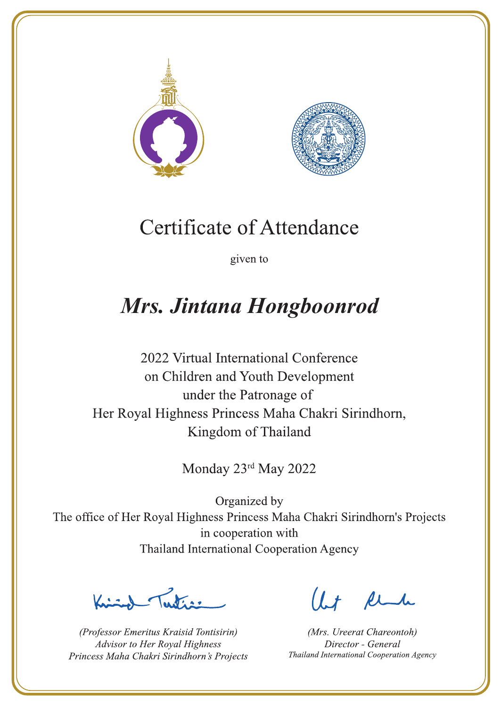



given to

### Mrs. Jintana Hongboonrod

2022 Virtual International Conference on Children and Youth Development under the Patronage of Her Royal Highness Princess Maha Chakri Sirindhorn, Kingdom of Thailand

Monday 23rd May 2022

Lutin ,

(Professor Emeritus Kraisid Tontisirin) Advisor to Her Royal Highness Princess Maha Chakri Sirindhorn's Projects

 $l.t$  find

(Mrs. Ureerat Chareontoh) Director - General Thailand International Cooperation Agency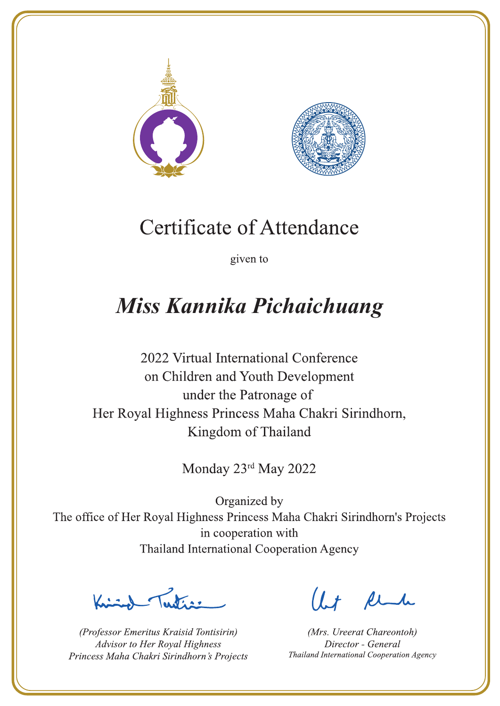



given to

# Miss Kannika Pichaichuang

2022 Virtual International Conference on Children and Youth Development under the Patronage of Her Royal Highness Princess Maha Chakri Sirindhorn, Kingdom of Thailand

Monday 23rd May 2022

Latin ,

(Professor Emeritus Kraisid Tontisirin) Advisor to Her Royal Highness Princess Maha Chakri Sirindhorn's Projects

 $1 + \ell$ 

(Mrs. Ureerat Chareontoh) Director - General Thailand International Cooperation Agency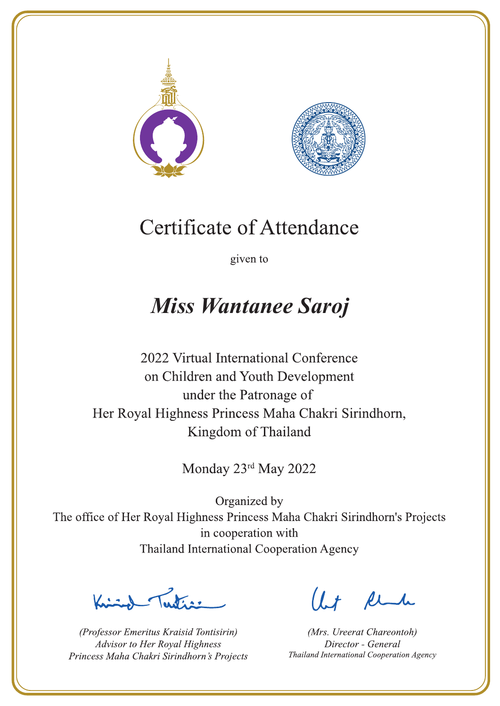



given to

### **Miss Wantanee Saroj**

2022 Virtual International Conference on Children and Youth Development under the Patronage of Her Royal Highness Princess Maha Chakri Sirindhorn, Kingdom of Thailand

Monday 23rd May 2022

Letter

(Professor Emeritus Kraisid Tontisirin) Advisor to Her Royal Highness Princess Maha Chakri Sirindhorn's Projects

 $l.t$  find

(Mrs. Ureerat Chareontoh) Director - General Thailand International Cooperation Agency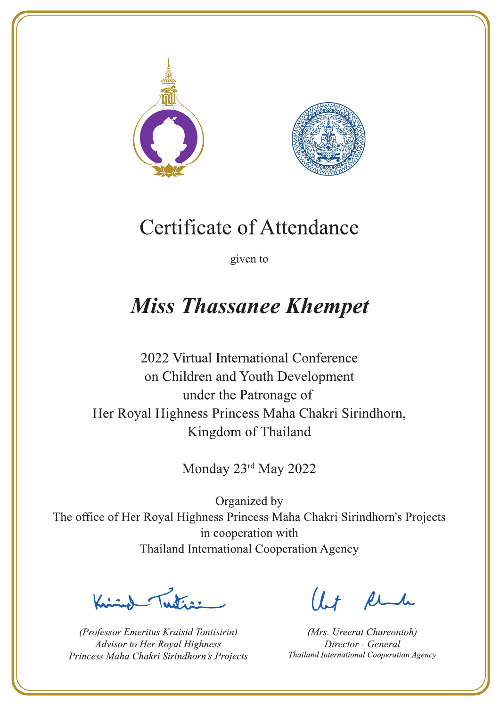



given to

## **Miss Thassanee Khempet**

2022 Virtual International Conference on Children and Youth Development under the Patronage of Her Royal Highness Princess Maha Chakri Sirindhorn, Kingdom of Thailand

Monday 23rd May 2022

 $\sum_{n=1}^{\infty}$ 

(Professor Emeritus Kraisid Tontisirin) Advisor to Her Royal Highness Princess Maha Chakri Sirindhorn's Projects

 $l.t$  find

(Mrs. Ureerat Chareontoh) Director - General Thailand International Cooperation Agency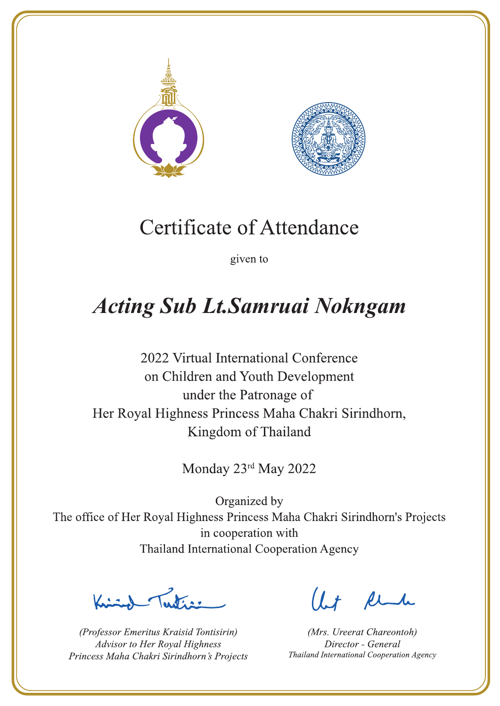



given to

# **Acting Sub Lt.Samruai Nokngam**

2022 Virtual International Conference on Children and Youth Development under the Patronage of Her Royal Highness Princess Maha Chakri Sirindhorn, Kingdom of Thailand

Monday 23rd May 2022

Letters ,

(Professor Emeritus Kraisid Tontisirin) Advisor to Her Royal Highness Princess Maha Chakri Sirindhorn's Projects

 $l.t$  find

(Mrs. Ureerat Chareontoh) Director - General Thailand International Cooperation Agency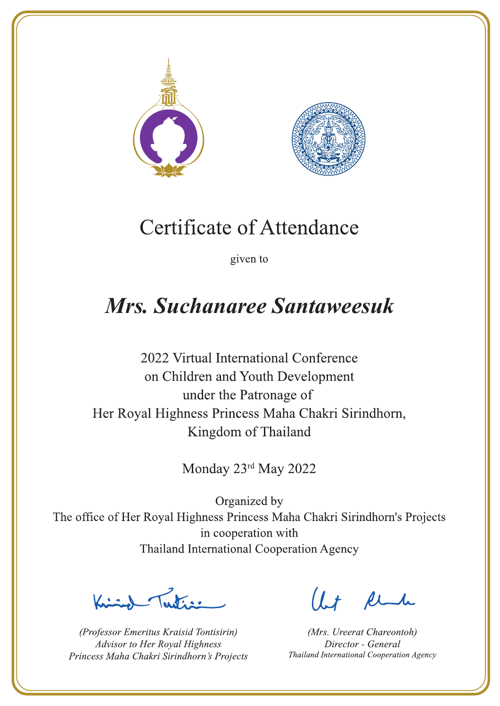



given to

### Mrs. Suchanaree Santaweesuk

2022 Virtual International Conference on Children and Youth Development under the Patronage of Her Royal Highness Princess Maha Chakri Sirindhorn, Kingdom of Thailand

Monday 23rd May 2022

Letters ,

(Professor Emeritus Kraisid Tontisirin) Advisor to Her Royal Highness Princess Maha Chakri Sirindhorn's Projects

 $l.t$  find

(Mrs. Ureerat Chareontoh) Director - General Thailand International Cooperation Agency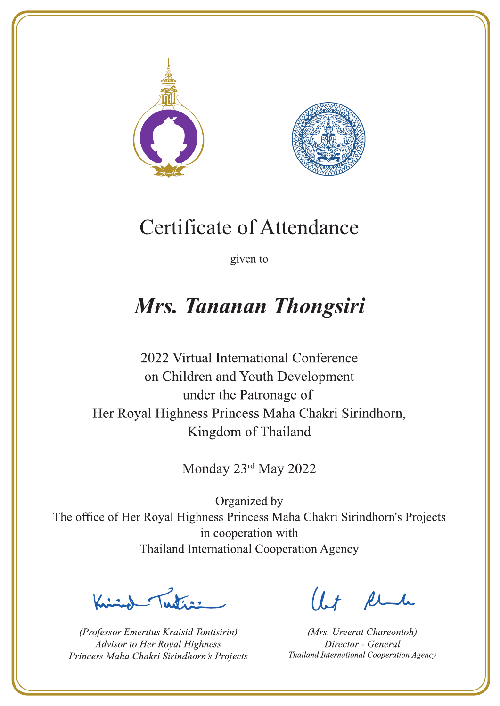



given to

### Mrs. Tananan Thongsiri

2022 Virtual International Conference on Children and Youth Development under the Patronage of Her Royal Highness Princess Maha Chakri Sirindhorn, Kingdom of Thailand

Monday 23rd May 2022

Peters 1

(Professor Emeritus Kraisid Tontisirin) Advisor to Her Royal Highness Princess Maha Chakri Sirindhorn's Projects

Ut Rende

(Mrs. Ureerat Chareontoh) Director - General Thailand International Cooperation Agency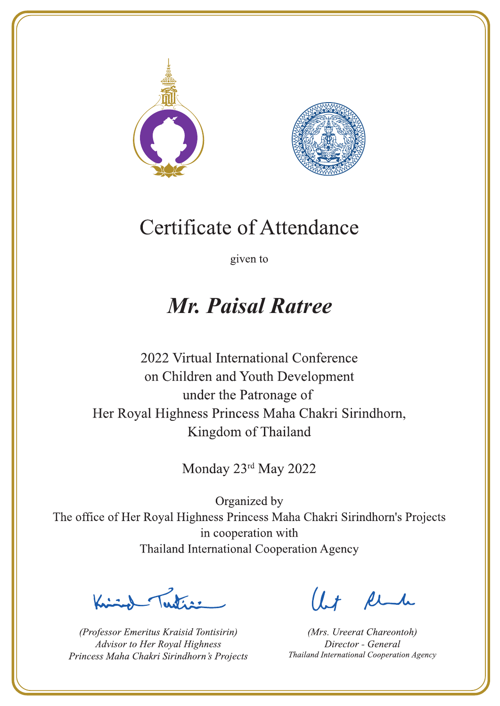



given to

### **Mr. Paisal Ratree**

2022 Virtual International Conference on Children and Youth Development under the Patronage of Her Royal Highness Princess Maha Chakri Sirindhorn, Kingdom of Thailand

Monday 23rd May 2022

Letter

(Professor Emeritus Kraisid Tontisirin) Advisor to Her Royal Highness Princess Maha Chakri Sirindhorn's Projects

Ut Rende

(Mrs. Ureerat Chareontoh) Director - General Thailand International Cooperation Agency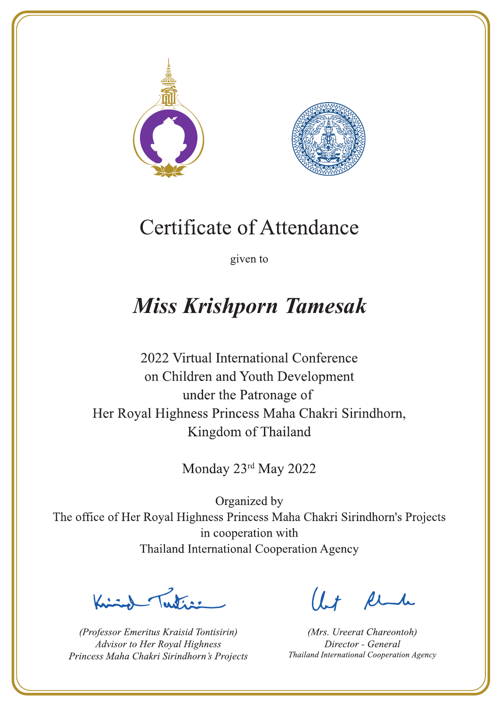



given to

# **Miss Krishporn Tamesak**

2022 Virtual International Conference on Children and Youth Development under the Patronage of Her Royal Highness Princess Maha Chakri Sirindhorn, Kingdom of Thailand

Monday 23rd May 2022

Latin ,

(Professor Emeritus Kraisid Tontisirin) Advisor to Her Royal Highness Princess Maha Chakri Sirindhorn's Projects

 $l.t$  find

(Mrs. Ureerat Chareontoh) Director - General Thailand International Cooperation Agency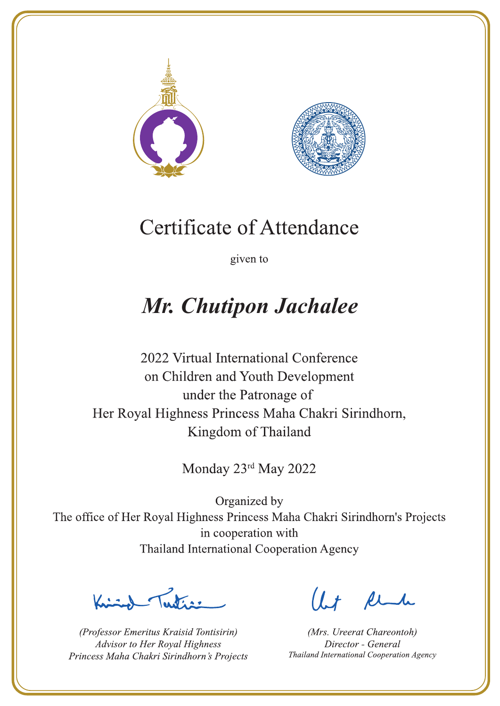



given to

## Mr. Chutipon Jachalee

2022 Virtual International Conference on Children and Youth Development under the Patronage of Her Royal Highness Princess Maha Chakri Sirindhorn, Kingdom of Thailand

Monday 23rd May 2022

La de a gr

(Professor Emeritus Kraisid Tontisirin) Advisor to Her Royal Highness Princess Maha Chakri Sirindhorn's Projects

 $l.t$  find

(Mrs. Ureerat Chareontoh) Director - General Thailand International Cooperation Agency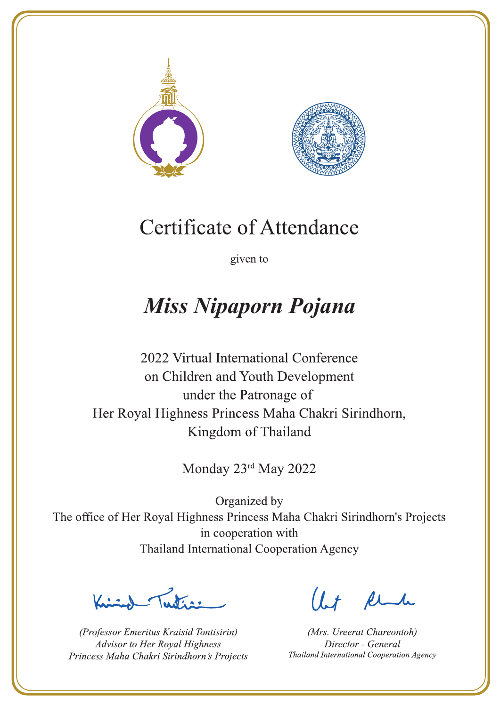



given to

## **Miss Nipaporn Pojana**

2022 Virtual International Conference on Children and Youth Development under the Patronage of Her Royal Highness Princess Maha Chakri Sirindhorn, Kingdom of Thailand

Monday 23rd May 2022

 $\sum_{n=1}^{\infty}$ 

(Professor Emeritus Kraisid Tontisirin) Advisor to Her Royal Highness Princess Maha Chakri Sirindhorn's Projects

 $l.t$  find

(Mrs. Ureerat Chareontoh) Director - General Thailand International Cooperation Agency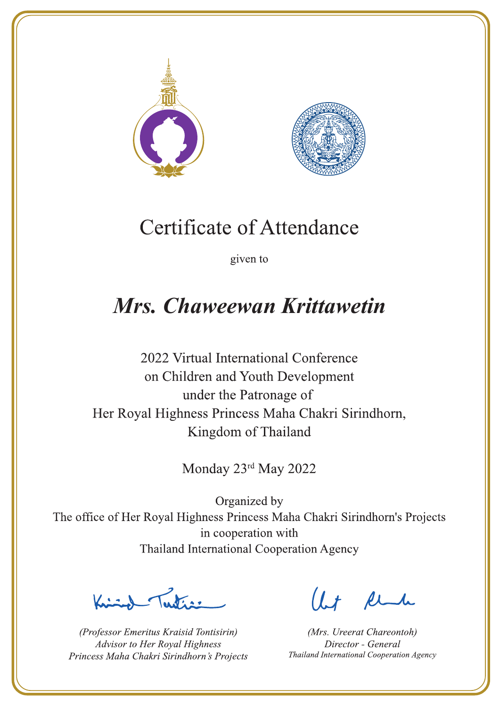



given to

## Mrs. Chaweewan Krittawetin

2022 Virtual International Conference on Children and Youth Development under the Patronage of Her Royal Highness Princess Maha Chakri Sirindhorn, Kingdom of Thailand

Monday 23rd May 2022

Letters

(Professor Emeritus Kraisid Tontisirin) Advisor to Her Royal Highness Princess Maha Chakri Sirindhorn's Projects

Ut Rende

(Mrs. Ureerat Chareontoh) Director - General Thailand International Cooperation Agency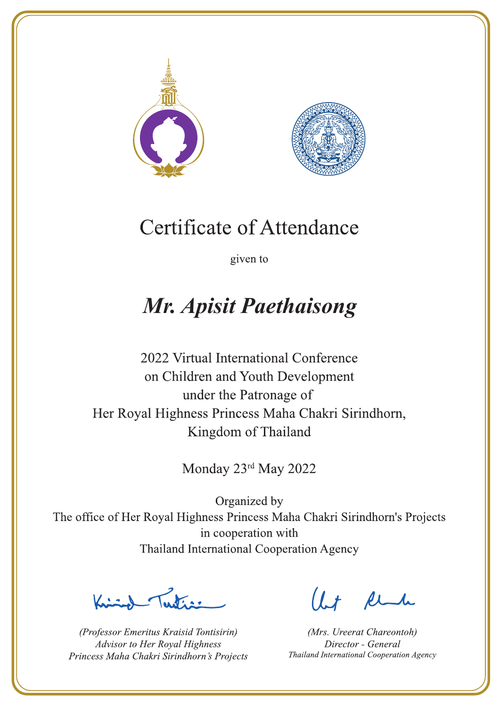



given to

## **Mr. Apisit Paethaisong**

2022 Virtual International Conference on Children and Youth Development under the Patronage of Her Royal Highness Princess Maha Chakri Sirindhorn, Kingdom of Thailand

Monday 23rd May 2022

Let's

(Professor Emeritus Kraisid Tontisirin) Advisor to Her Royal Highness Princess Maha Chakri Sirindhorn's Projects

 $l.t$  find

(Mrs. Ureerat Chareontoh) Director - General Thailand International Cooperation Agency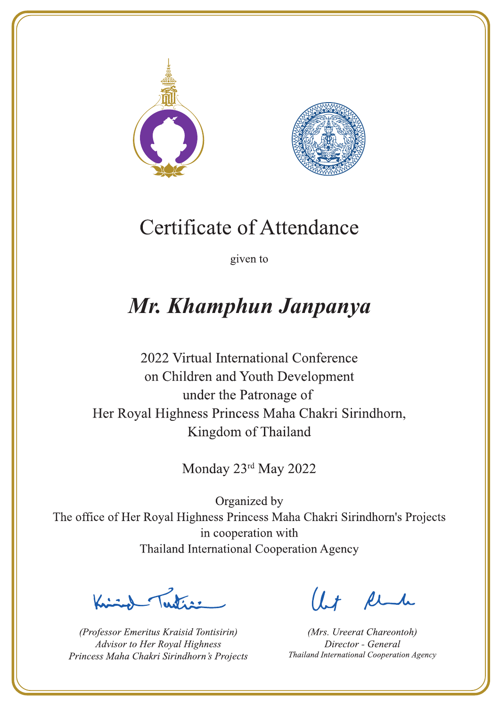



given to

## Mr. Khamphun Janpanya

2022 Virtual International Conference on Children and Youth Development under the Patronage of Her Royal Highness Princess Maha Chakri Sirindhorn, Kingdom of Thailand

Monday 23rd May 2022

Latin ,

(Professor Emeritus Kraisid Tontisirin) Advisor to Her Royal Highness Princess Maha Chakri Sirindhorn's Projects

 $l.t$  find

(Mrs. Ureerat Chareontoh) Director - General Thailand International Cooperation Agency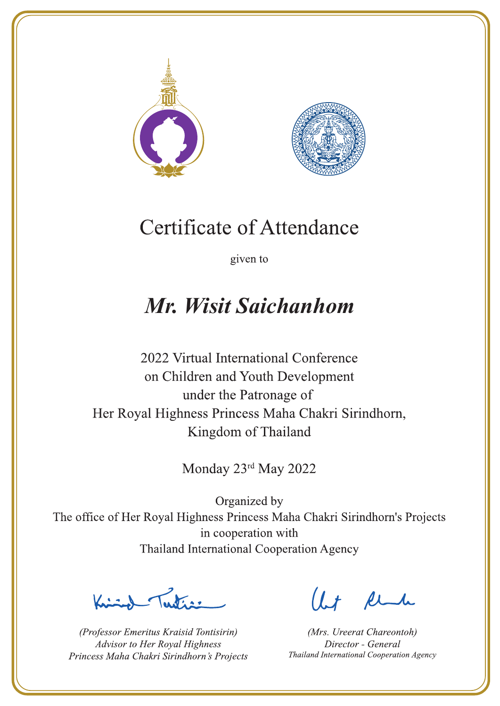



given to

## Mr. Wisit Saichanhom

2022 Virtual International Conference on Children and Youth Development under the Patronage of Her Royal Highness Princess Maha Chakri Sirindhorn, Kingdom of Thailand

Monday 23rd May 2022

Letter

(Professor Emeritus Kraisid Tontisirin) Advisor to Her Royal Highness Princess Maha Chakri Sirindhorn's Projects

 $l.t$  find

(Mrs. Ureerat Chareontoh) Director - General Thailand International Cooperation Agency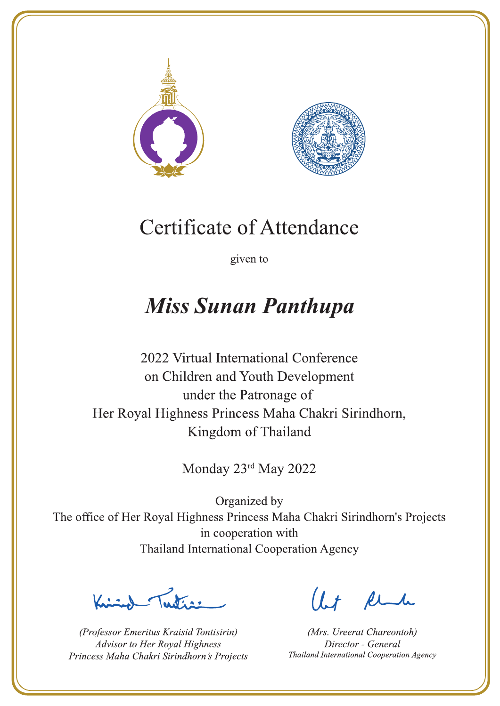



given to

### **Miss Sunan Panthupa**

2022 Virtual International Conference on Children and Youth Development under the Patronage of Her Royal Highness Princess Maha Chakri Sirindhorn, Kingdom of Thailand

Monday 23rd May 2022

La de ar

(Professor Emeritus Kraisid Tontisirin) Advisor to Her Royal Highness Princess Maha Chakri Sirindhorn's Projects

 $l.t$  find

(Mrs. Ureerat Chareontoh) Director - General Thailand International Cooperation Agency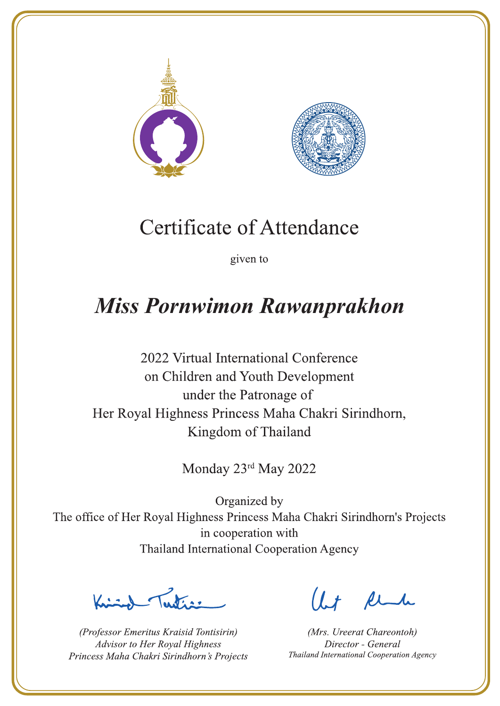



given to

### **Miss Pornwimon Rawanprakhon**

2022 Virtual International Conference on Children and Youth Development under the Patronage of Her Royal Highness Princess Maha Chakri Sirindhorn, Kingdom of Thailand

Monday 23rd May 2022

Latin ,

(Professor Emeritus Kraisid Tontisirin) Advisor to Her Royal Highness Princess Maha Chakri Sirindhorn's Projects

 $l.t$  find

(Mrs. Ureerat Chareontoh) Director - General Thailand International Cooperation Agency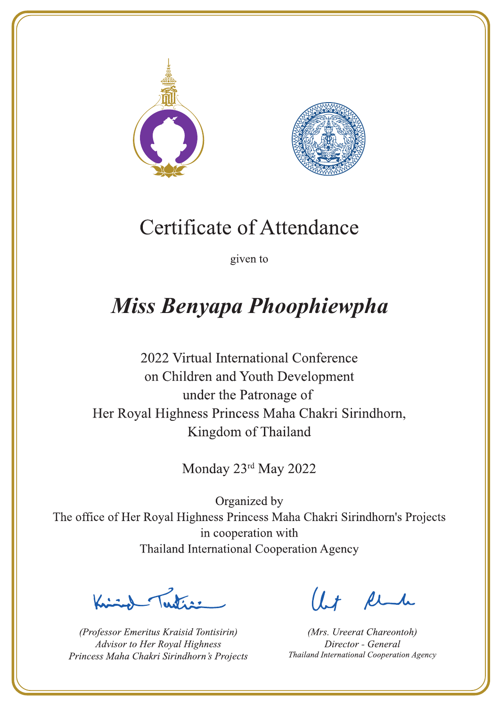



given to

## Miss Benyapa Phoophiewpha

2022 Virtual International Conference on Children and Youth Development under the Patronage of Her Royal Highness Princess Maha Chakri Sirindhorn, Kingdom of Thailand

Monday 23rd May 2022

 $\sqrt{1-\frac{1}{2}}$ 

(Professor Emeritus Kraisid Tontisirin) Advisor to Her Royal Highness Princess Maha Chakri Sirindhorn's Projects

 $l.t$  find

(Mrs. Ureerat Chareontoh) Director - General Thailand International Cooperation Agency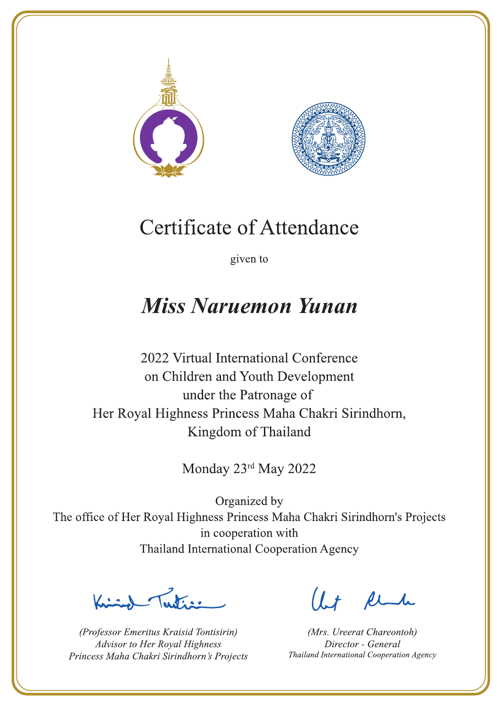



given to

### **Miss Naruemon Yunan**

2022 Virtual International Conference on Children and Youth Development under the Patronage of Her Royal Highness Princess Maha Chakri Sirindhorn, Kingdom of Thailand

Monday 23rd May 2022

Ludian

(Professor Emeritus Kraisid Tontisirin) Advisor to Her Royal Highness Princess Maha Chakri Sirindhorn's Projects

Ut Rende

(Mrs. Ureerat Chareontoh) Director - General Thailand International Cooperation Agency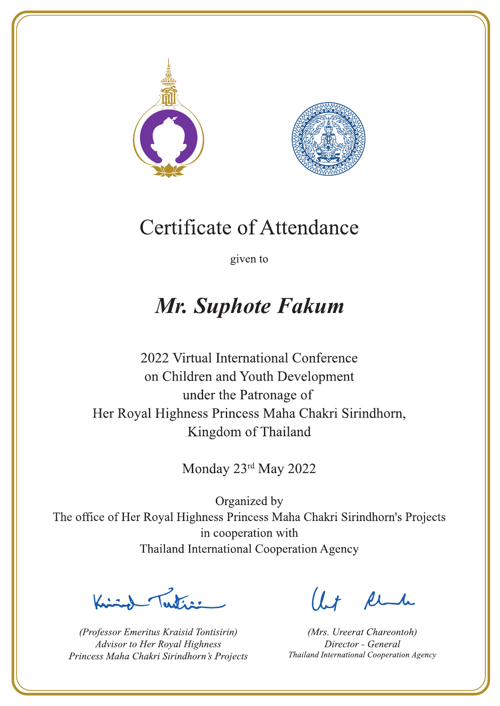



given to

### Mr. Suphote Fakum

2022 Virtual International Conference on Children and Youth Development under the Patronage of Her Royal Highness Princess Maha Chakri Sirindhorn, Kingdom of Thailand

Monday 23rd May 2022

La de a gr

(Professor Emeritus Kraisid Tontisirin) Advisor to Her Royal Highness Princess Maha Chakri Sirindhorn's Projects

 $l.t$  find

(Mrs. Ureerat Chareontoh) Director - General Thailand International Cooperation Agency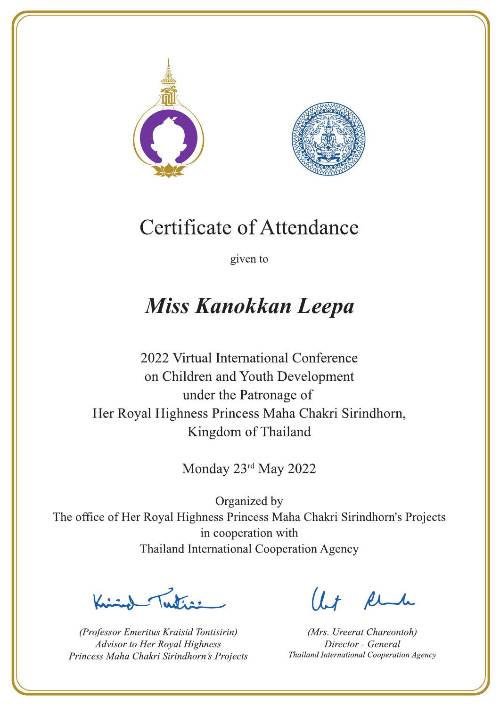



given to

## **Miss Kanokkan Leepa**

2022 Virtual International Conference on Children and Youth Development under the Patronage of Her Royal Highness Princess Maha Chakri Sirindhorn, Kingdom of Thailand

Monday 23rd May 2022

Lating

(Professor Emeritus Kraisid Tontisirin) Advisor to Her Royal Highness Princess Maha Chakri Sirindhorn's Projects

 $l.t$  find

(Mrs. Ureerat Chareontoh) Director - General Thailand International Cooperation Agency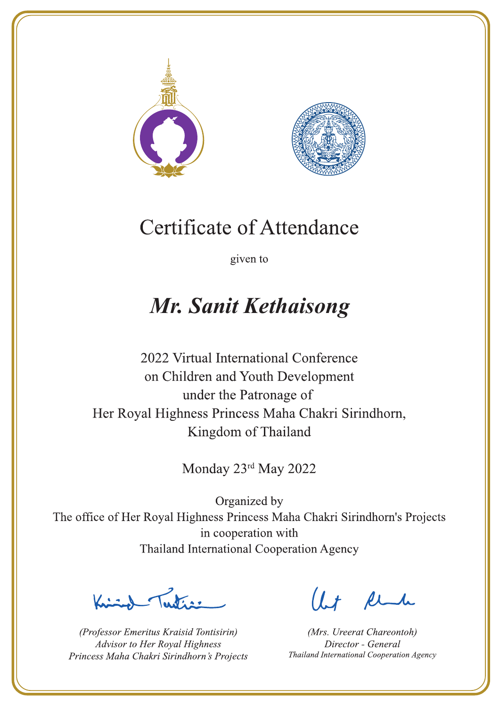



given to

### **Mr. Sanit Kethaisong**

2022 Virtual International Conference on Children and Youth Development under the Patronage of Her Royal Highness Princess Maha Chakri Sirindhorn, Kingdom of Thailand

Monday 23rd May 2022

Latin ,

(Professor Emeritus Kraisid Tontisirin) Advisor to Her Royal Highness Princess Maha Chakri Sirindhorn's Projects

 $l.t$  find

(Mrs. Ureerat Chareontoh) Director - General Thailand International Cooperation Agency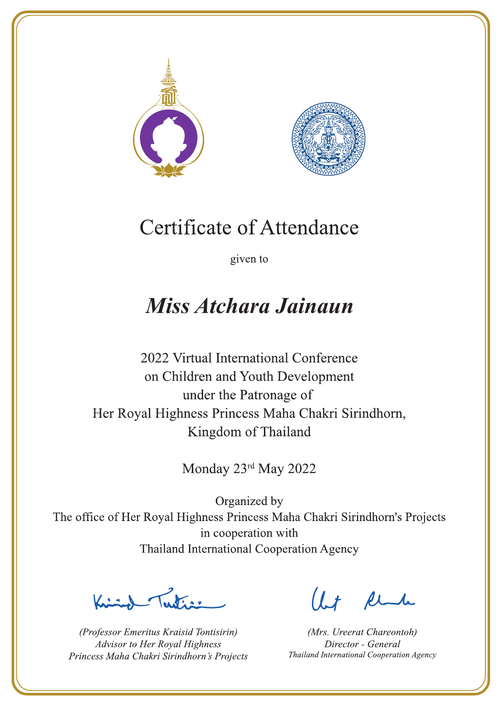



given to

### Miss Atchara Jainaun

2022 Virtual International Conference on Children and Youth Development under the Patronage of Her Royal Highness Princess Maha Chakri Sirindhorn, Kingdom of Thailand

Monday 23rd May 2022

Letter

(Professor Emeritus Kraisid Tontisirin) Advisor to Her Royal Highness Princess Maha Chakri Sirindhorn's Projects

 $l.t$  find

(Mrs. Ureerat Chareontoh) Director - General Thailand International Cooperation Agency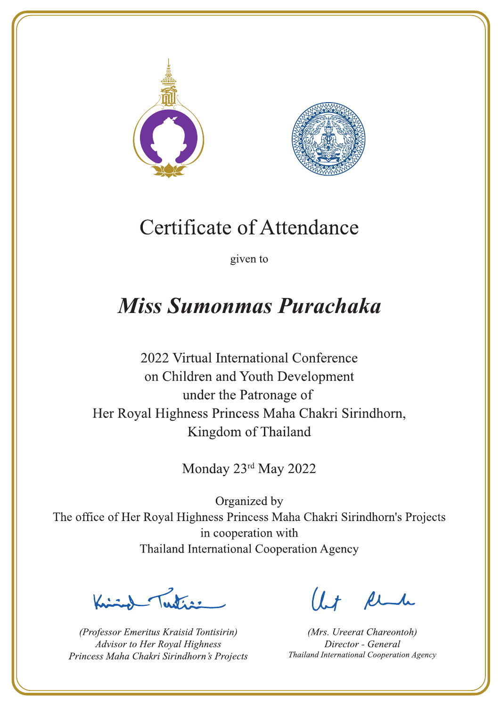



given to

### **Miss Sumonmas Purachaka**

2022 Virtual International Conference on Children and Youth Development under the Patronage of Her Royal Highness Princess Maha Chakri Sirindhorn, Kingdom of Thailand

Monday 23rd May 2022

Letter

(Professor Emeritus Kraisid Tontisirin) Advisor to Her Royal Highness Princess Maha Chakri Sirindhorn's Projects

Ut Rende

(Mrs. Ureerat Chareontoh) Director - General Thailand International Cooperation Agency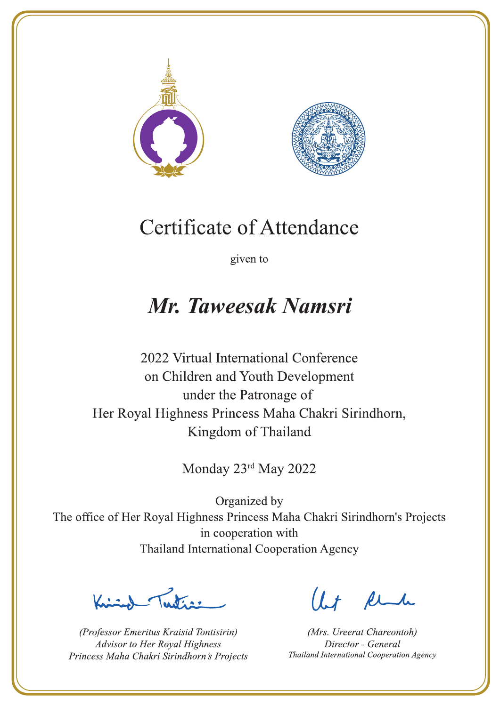



given to

### Mr. Taweesak Namsri

2022 Virtual International Conference on Children and Youth Development under the Patronage of Her Royal Highness Princess Maha Chakri Sirindhorn, Kingdom of Thailand

Monday 23rd May 2022

Peters 1

(Professor Emeritus Kraisid Tontisirin) Advisor to Her Royal Highness Princess Maha Chakri Sirindhorn's Projects

Ut Rende

(Mrs. Ureerat Chareontoh) Director - General Thailand International Cooperation Agency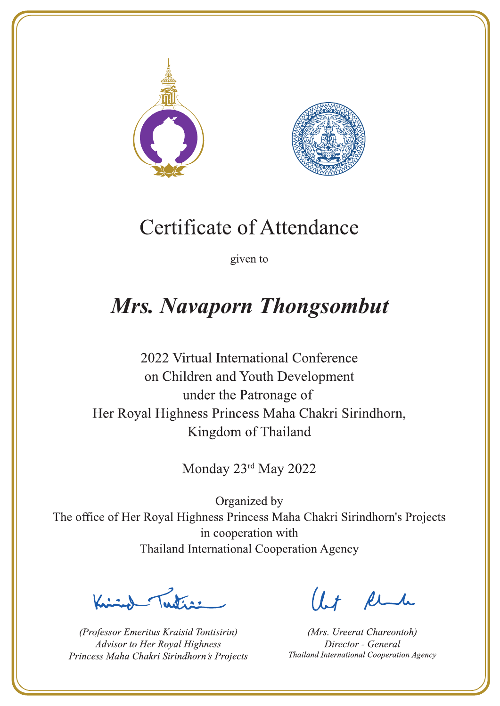



given to

## **Mrs. Navaporn Thongsombut**

2022 Virtual International Conference on Children and Youth Development under the Patronage of Her Royal Highness Princess Maha Chakri Sirindhorn, Kingdom of Thailand

Monday 23rd May 2022

La de a gr

(Professor Emeritus Kraisid Tontisirin) Advisor to Her Royal Highness Princess Maha Chakri Sirindhorn's Projects

 $l.t$  find

(Mrs. Ureerat Chareontoh) Director - General Thailand International Cooperation Agency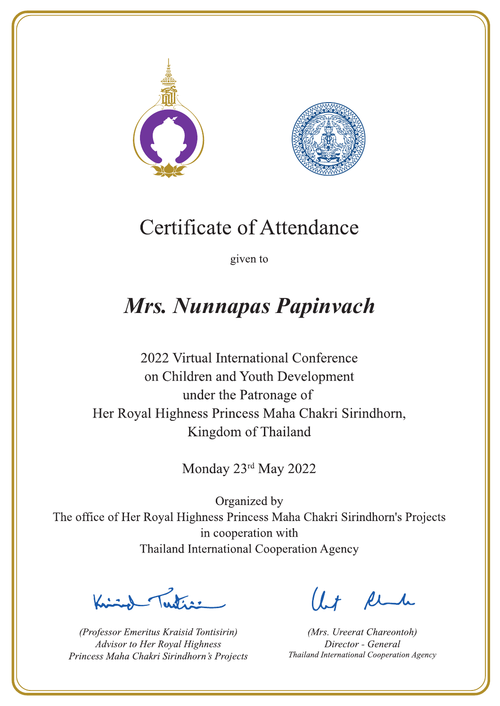



given to

## **Mrs. Nunnapas Papinvach**

2022 Virtual International Conference on Children and Youth Development under the Patronage of Her Royal Highness Princess Maha Chakri Sirindhorn, Kingdom of Thailand

Monday 23rd May 2022

Let's

(Professor Emeritus Kraisid Tontisirin) Advisor to Her Royal Highness Princess Maha Chakri Sirindhorn's Projects

 $l.t$  find

(Mrs. Ureerat Chareontoh) Director - General Thailand International Cooperation Agency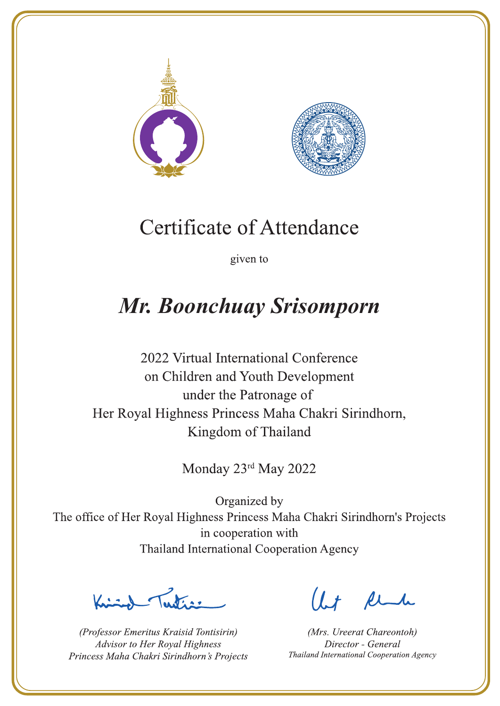



given to

### Mr. Boonchuay Srisomporn

2022 Virtual International Conference on Children and Youth Development under the Patronage of Her Royal Highness Princess Maha Chakri Sirindhorn, Kingdom of Thailand

Monday 23rd May 2022

Letters .

(Professor Emeritus Kraisid Tontisirin) Advisor to Her Royal Highness Princess Maha Chakri Sirindhorn's Projects

 $l.t$  find

(Mrs. Ureerat Chareontoh) Director - General Thailand International Cooperation Agency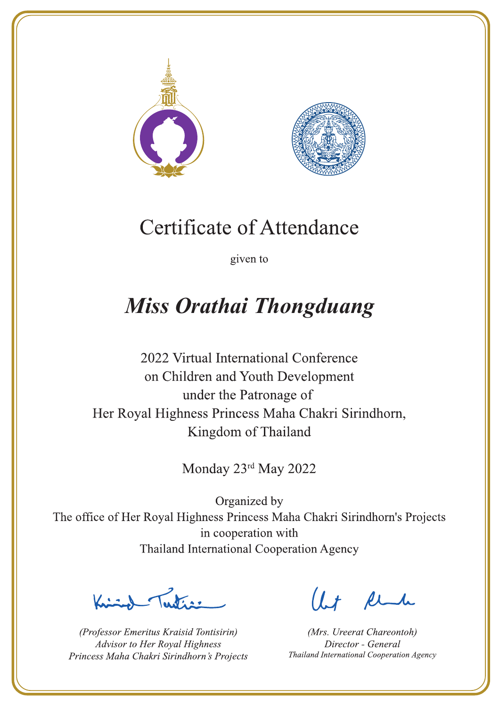



given to

# **Miss Orathai Thongduang**

2022 Virtual International Conference on Children and Youth Development under the Patronage of Her Royal Highness Princess Maha Chakri Sirindhorn, Kingdom of Thailand

Monday 23rd May 2022

Lating

(Professor Emeritus Kraisid Tontisirin) Advisor to Her Royal Highness Princess Maha Chakri Sirindhorn's Projects

 $l.t$  find

(Mrs. Ureerat Chareontoh) Director - General Thailand International Cooperation Agency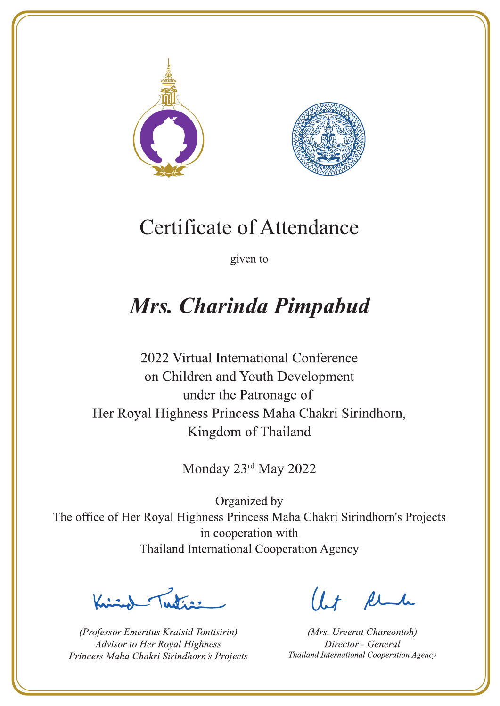



given to

# Mrs. Charinda Pimpabud

2022 Virtual International Conference on Children and Youth Development under the Patronage of Her Royal Highness Princess Maha Chakri Sirindhorn, Kingdom of Thailand

Monday 23rd May 2022

Let's

(Professor Emeritus Kraisid Tontisirin) Advisor to Her Royal Highness Princess Maha Chakri Sirindhorn's Projects

 $l.t$  find

(Mrs. Ureerat Chareontoh) Director - General Thailand International Cooperation Agency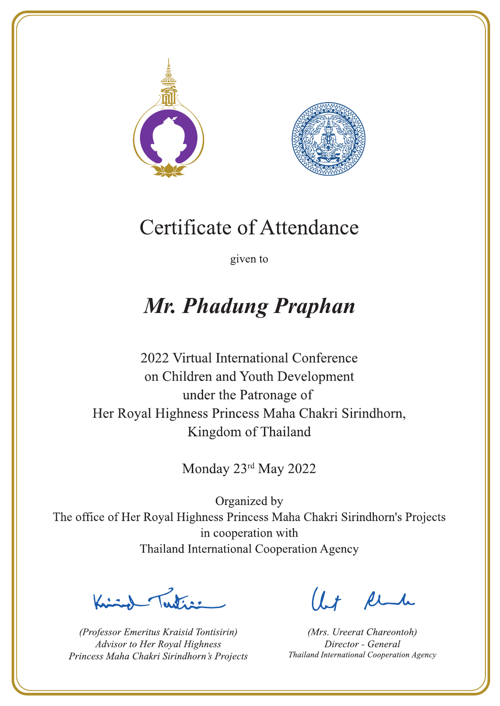



given to

## **Mr. Phadung Praphan**

2022 Virtual International Conference on Children and Youth Development under the Patronage of Her Royal Highness Princess Maha Chakri Sirindhorn, Kingdom of Thailand

Monday 23rd May 2022

Latin ,

(Professor Emeritus Kraisid Tontisirin) Advisor to Her Royal Highness Princess Maha Chakri Sirindhorn's Projects

 $l.t$  find

(Mrs. Ureerat Chareontoh) Director - General Thailand International Cooperation Agency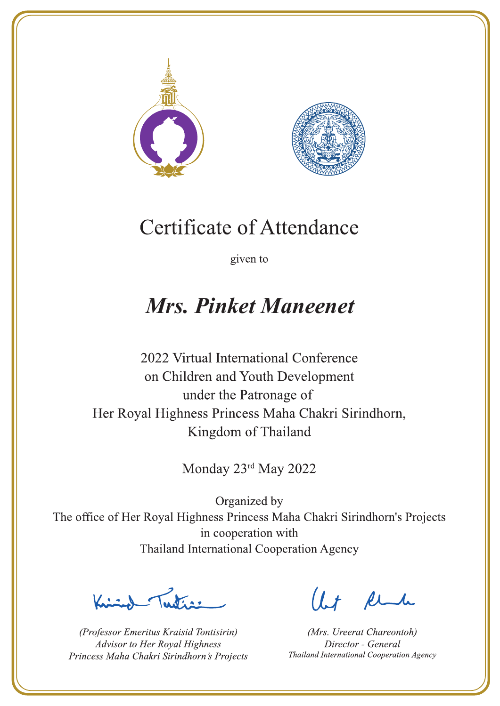



given to

### **Mrs. Pinket Maneenet**

2022 Virtual International Conference on Children and Youth Development under the Patronage of Her Royal Highness Princess Maha Chakri Sirindhorn, Kingdom of Thailand

Monday 23rd May 2022

Letters ,

(Professor Emeritus Kraisid Tontisirin) Advisor to Her Royal Highness Princess Maha Chakri Sirindhorn's Projects

 $l.t$  find

(Mrs. Ureerat Chareontoh) Director - General Thailand International Cooperation Agency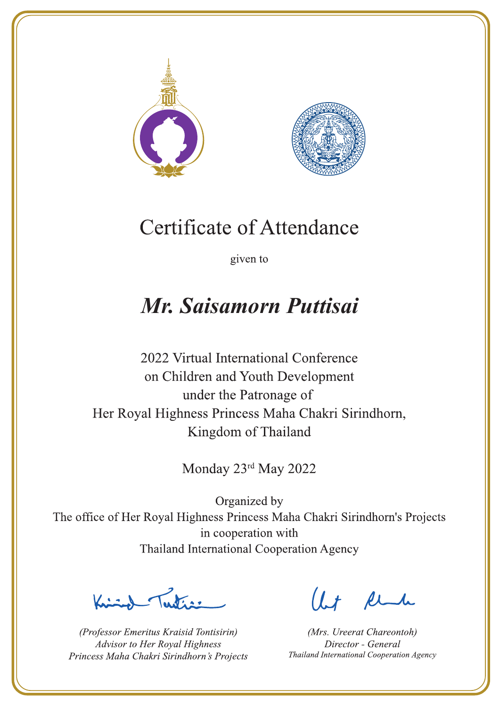



given to

### Mr. Saisamorn Puttisai

2022 Virtual International Conference on Children and Youth Development under the Patronage of Her Royal Highness Princess Maha Chakri Sirindhorn, Kingdom of Thailand

Monday 23rd May 2022

Letter

(Professor Emeritus Kraisid Tontisirin) Advisor to Her Royal Highness Princess Maha Chakri Sirindhorn's Projects

Ut Rende

(Mrs. Ureerat Chareontoh) Director - General Thailand International Cooperation Agency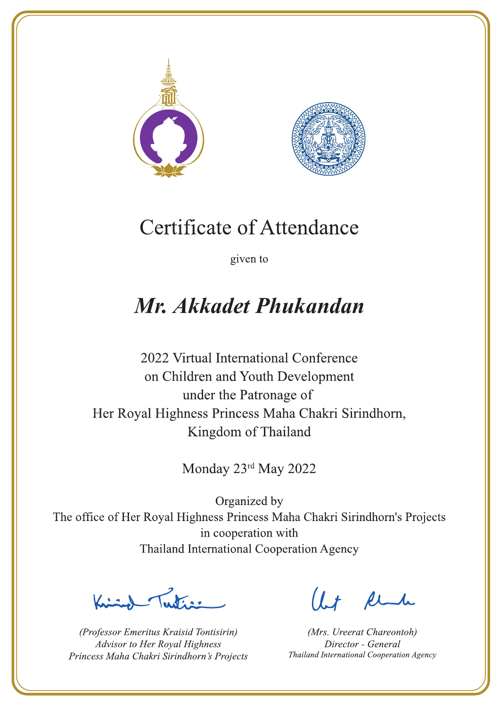



given to

## Mr. Akkadet Phukandan

2022 Virtual International Conference on Children and Youth Development under the Patronage of Her Royal Highness Princess Maha Chakri Sirindhorn, Kingdom of Thailand

Monday 23rd May 2022

L. K. ar

(Professor Emeritus Kraisid Tontisirin) Advisor to Her Royal Highness Princess Maha Chakri Sirindhorn's Projects

 $l.t$  find

(Mrs. Ureerat Chareontoh) Director - General Thailand International Cooperation Agency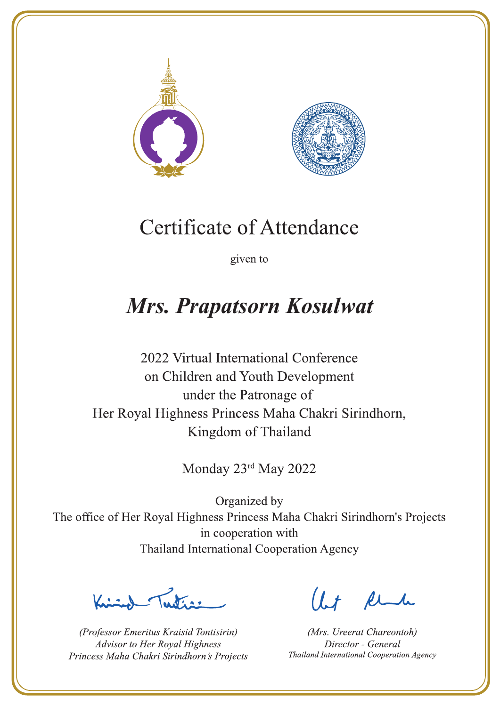



given to

### **Mrs. Prapatsorn Kosulwat**

2022 Virtual International Conference on Children and Youth Development under the Patronage of Her Royal Highness Princess Maha Chakri Sirindhorn, Kingdom of Thailand

Monday 23rd May 2022

Lutin ,

(Professor Emeritus Kraisid Tontisirin) Advisor to Her Royal Highness Princess Maha Chakri Sirindhorn's Projects

 $l.t$  find

(Mrs. Ureerat Chareontoh) Director - General Thailand International Cooperation Agency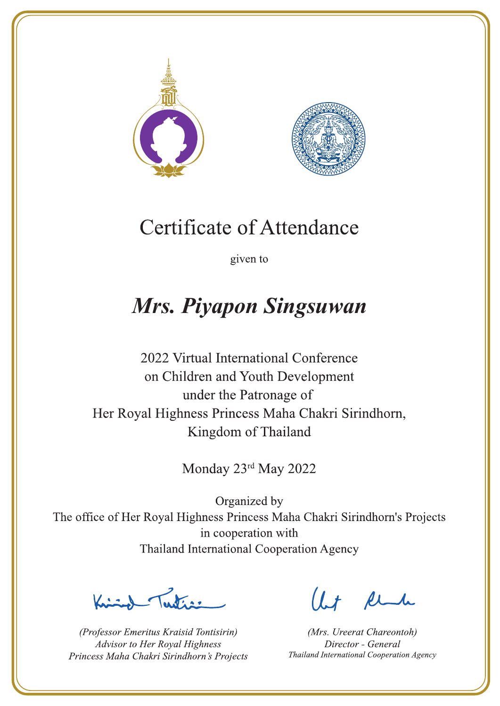



given to

### **Mrs. Piyapon Singsuwan**

2022 Virtual International Conference on Children and Youth Development under the Patronage of Her Royal Highness Princess Maha Chakri Sirindhorn, Kingdom of Thailand

Monday 23rd May 2022

Letter

(Professor Emeritus Kraisid Tontisirin) Advisor to Her Royal Highness Princess Maha Chakri Sirindhorn's Projects

 $l.t$  find

(Mrs. Ureerat Chareontoh) Director - General Thailand International Cooperation Agency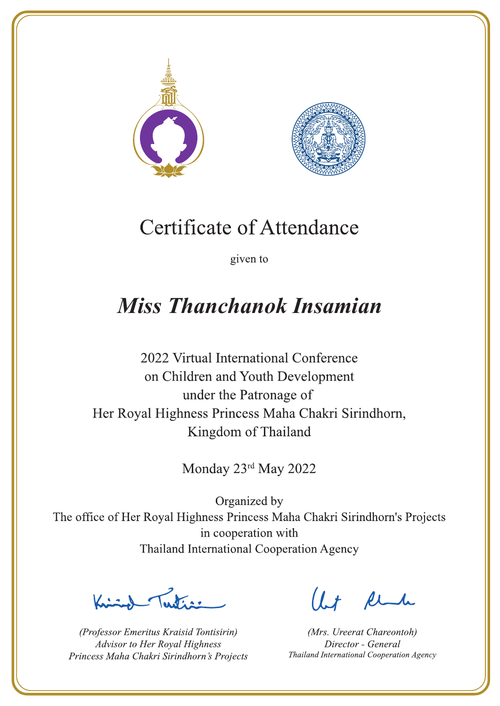



given to

### **Miss Thanchanok Insamian**

2022 Virtual International Conference on Children and Youth Development under the Patronage of Her Royal Highness Princess Maha Chakri Sirindhorn, Kingdom of Thailand

Monday 23rd May 2022

Letter

(Professor Emeritus Kraisid Tontisirin) Advisor to Her Royal Highness Princess Maha Chakri Sirindhorn's Projects

Ut Rende

(Mrs. Ureerat Chareontoh) Director - General Thailand International Cooperation Agency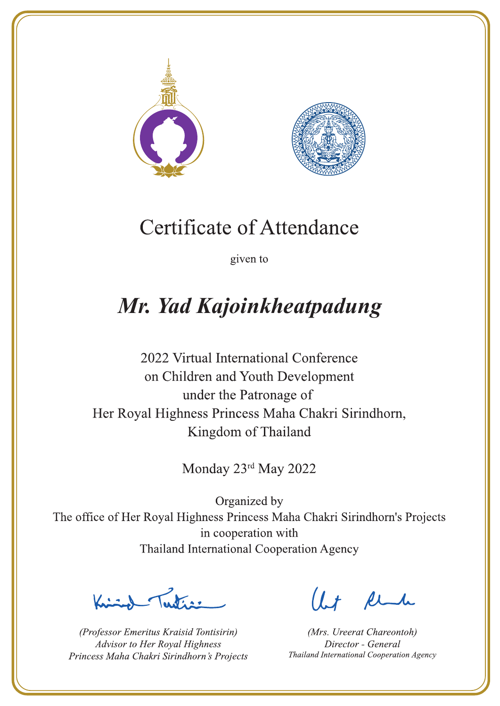



given to

# Mr. Yad Kajoinkheatpadung

2022 Virtual International Conference on Children and Youth Development under the Patronage of Her Royal Highness Princess Maha Chakri Sirindhorn, Kingdom of Thailand

Monday 23rd May 2022

Letters .

(Professor Emeritus Kraisid Tontisirin) Advisor to Her Royal Highness Princess Maha Chakri Sirindhorn's Projects

 $l.t$  find

(Mrs. Ureerat Chareontoh) Director - General Thailand International Cooperation Agency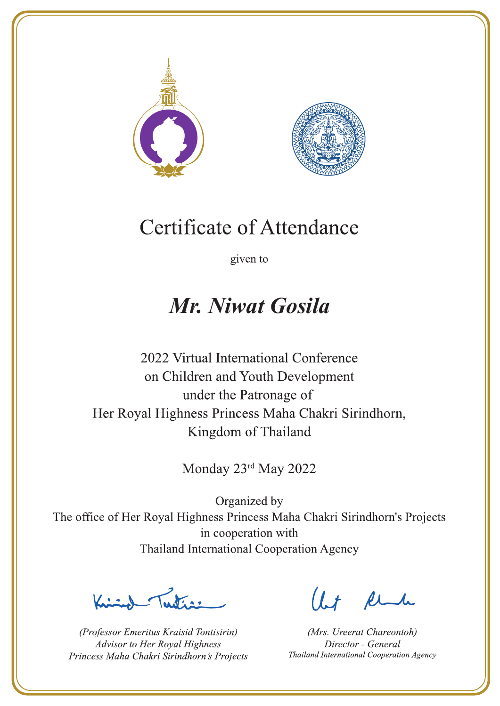



given to

### Mr. Niwat Gosila

2022 Virtual International Conference on Children and Youth Development under the Patronage of Her Royal Highness Princess Maha Chakri Sirindhorn, Kingdom of Thailand

Monday 23rd May 2022

Publics -

(Professor Emeritus Kraisid Tontisirin) Advisor to Her Royal Highness Princess Maha Chakri Sirindhorn's Projects

Ut Rende

(Mrs. Ureerat Chareontoh) Director - General Thailand International Cooperation Agency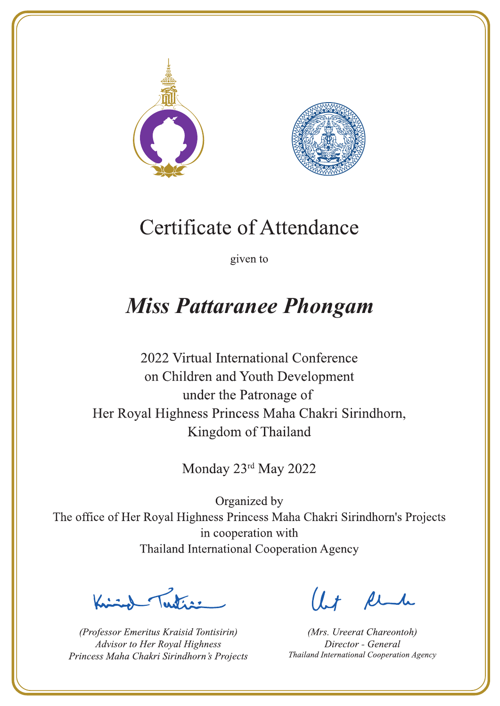



given to

### **Miss Pattaranee Phongam**

2022 Virtual International Conference on Children and Youth Development under the Patronage of Her Royal Highness Princess Maha Chakri Sirindhorn, Kingdom of Thailand

Monday 23rd May 2022

 $\sum_{n=1}^{\infty}$ 

(Professor Emeritus Kraisid Tontisirin) Advisor to Her Royal Highness Princess Maha Chakri Sirindhorn's Projects

 $l.t$  find

(Mrs. Ureerat Chareontoh) Director - General Thailand International Cooperation Agency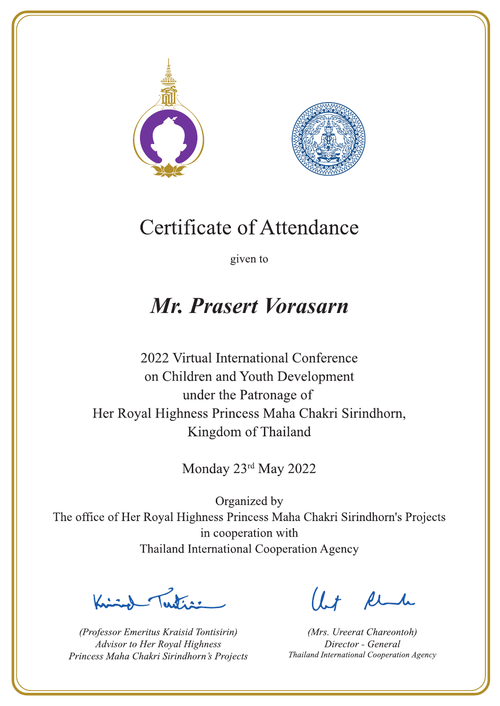



given to

### Mr. Prasert Vorasarn

2022 Virtual International Conference on Children and Youth Development under the Patronage of Her Royal Highness Princess Maha Chakri Sirindhorn, Kingdom of Thailand

Monday 23rd May 2022

Ludian

(Professor Emeritus Kraisid Tontisirin) Advisor to Her Royal Highness Princess Maha Chakri Sirindhorn's Projects

Ut Rende

(Mrs. Ureerat Chareontoh) Director - General Thailand International Cooperation Agency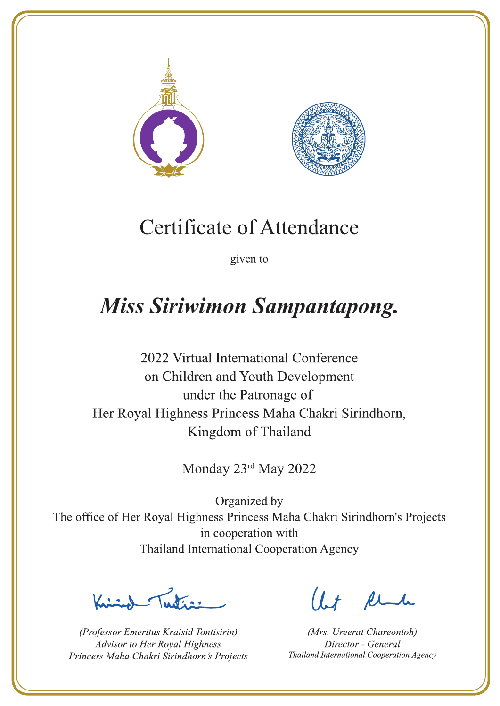



given to

### **Miss Siriwimon Sampantapong.**

2022 Virtual International Conference on Children and Youth Development under the Patronage of Her Royal Highness Princess Maha Chakri Sirindhorn, Kingdom of Thailand

Monday 23rd May 2022

Lating

(Professor Emeritus Kraisid Tontisirin) Advisor to Her Royal Highness Princess Maha Chakri Sirindhorn's Projects

 $l.t$  find

(Mrs. Ureerat Chareontoh) Director - General Thailand International Cooperation Agency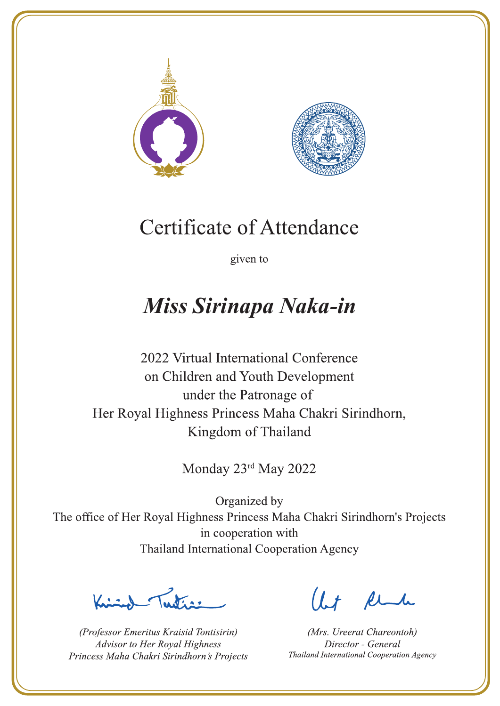



given to

## Miss Sirinapa Naka-in

2022 Virtual International Conference on Children and Youth Development under the Patronage of Her Royal Highness Princess Maha Chakri Sirindhorn, Kingdom of Thailand

Monday 23rd May 2022

Let's

(Professor Emeritus Kraisid Tontisirin) Advisor to Her Royal Highness Princess Maha Chakri Sirindhorn's Projects

 $l.t$  find

(Mrs. Ureerat Chareontoh) Director - General Thailand International Cooperation Agency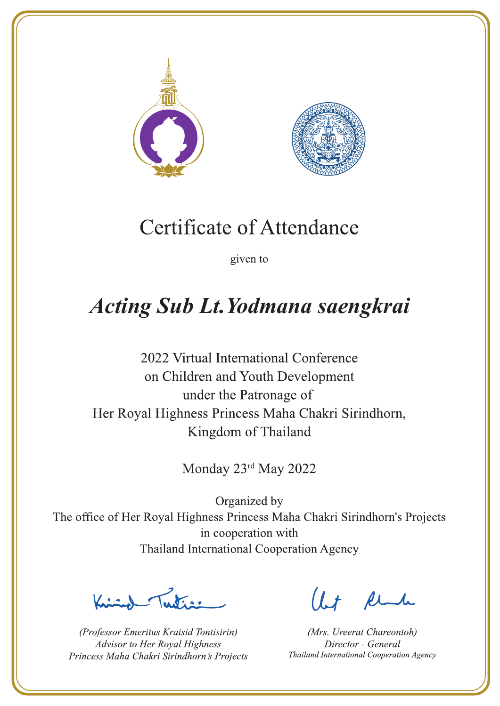



given to

## **Acting Sub Lt. Yodmana saengkrai**

2022 Virtual International Conference on Children and Youth Development under the Patronage of Her Royal Highness Princess Maha Chakri Sirindhorn, Kingdom of Thailand

Monday 23rd May 2022

Letters ,

(Professor Emeritus Kraisid Tontisirin) Advisor to Her Royal Highness Princess Maha Chakri Sirindhorn's Projects

 $l.t$  find

(Mrs. Ureerat Chareontoh) Director - General Thailand International Cooperation Agency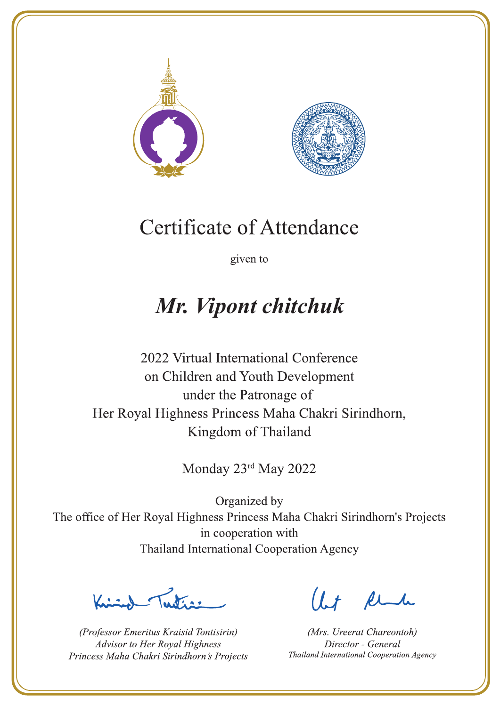



given to

## Mr. Vipont chitchuk

2022 Virtual International Conference on Children and Youth Development under the Patronage of Her Royal Highness Princess Maha Chakri Sirindhorn, Kingdom of Thailand

Monday 23rd May 2022

 $\sum_{n=1}^{\infty}$ 

(Professor Emeritus Kraisid Tontisirin) Advisor to Her Royal Highness Princess Maha Chakri Sirindhorn's Projects

 $l.t$  find

(Mrs. Ureerat Chareontoh) Director - General Thailand International Cooperation Agency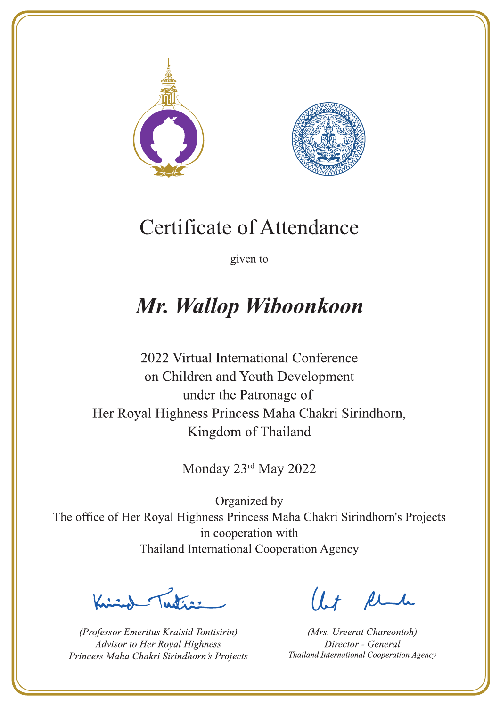



given to

## Mr. Wallop Wiboonkoon

2022 Virtual International Conference on Children and Youth Development under the Patronage of Her Royal Highness Princess Maha Chakri Sirindhorn, Kingdom of Thailand

Monday 23rd May 2022

 $\sum_{n=1}^{\infty}$ 

(Professor Emeritus Kraisid Tontisirin) Advisor to Her Royal Highness Princess Maha Chakri Sirindhorn's Projects

 $l.t$  find

(Mrs. Ureerat Chareontoh) Director - General Thailand International Cooperation Agency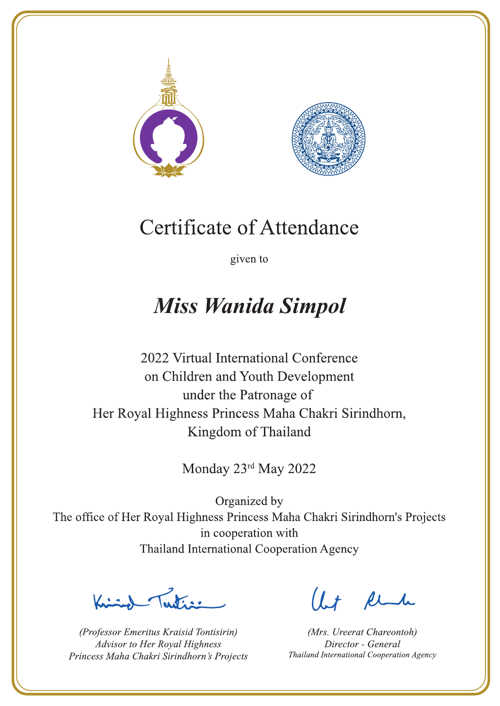



given to

### **Miss Wanida Simpol**

2022 Virtual International Conference on Children and Youth Development under the Patronage of Her Royal Highness Princess Maha Chakri Sirindhorn, Kingdom of Thailand

Monday 23rd May 2022

Latin ,

(Professor Emeritus Kraisid Tontisirin) Advisor to Her Royal Highness Princess Maha Chakri Sirindhorn's Projects

 $l.t$  find

(Mrs. Ureerat Chareontoh) Director - General Thailand International Cooperation Agency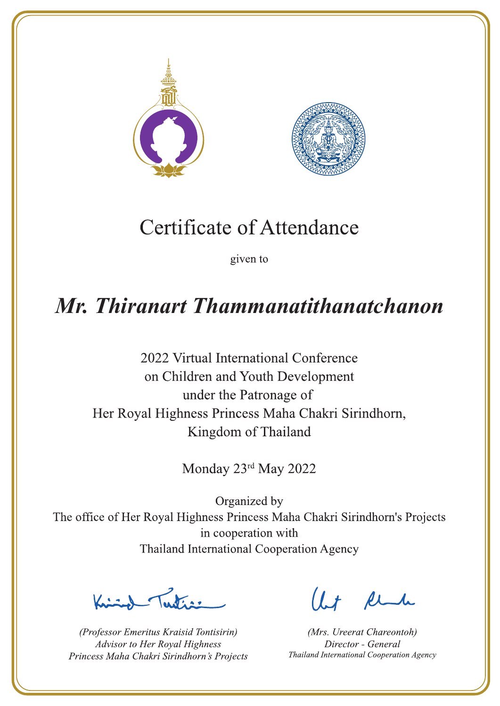



given to

### Mr. Thiranart Thammanatithanatchanon

2022 Virtual International Conference on Children and Youth Development under the Patronage of Her Royal Highness Princess Maha Chakri Sirindhorn, Kingdom of Thailand

Monday 23rd May 2022

Letter

(Professor Emeritus Kraisid Tontisirin) Advisor to Her Royal Highness Princess Maha Chakri Sirindhorn's Projects

 $1 + \mu$ 

(Mrs. Ureerat Chareontoh) Director - General Thailand International Cooperation Agency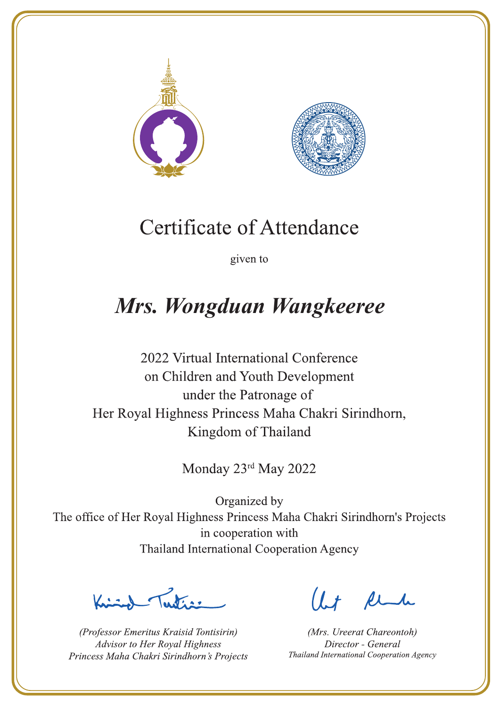



given to

### Mrs. Wongduan Wangkeeree

2022 Virtual International Conference on Children and Youth Development under the Patronage of Her Royal Highness Princess Maha Chakri Sirindhorn, Kingdom of Thailand

Monday 23rd May 2022

Letters ,

(Professor Emeritus Kraisid Tontisirin) Advisor to Her Royal Highness Princess Maha Chakri Sirindhorn's Projects

 $l.t$  find

(Mrs. Ureerat Chareontoh) Director - General Thailand International Cooperation Agency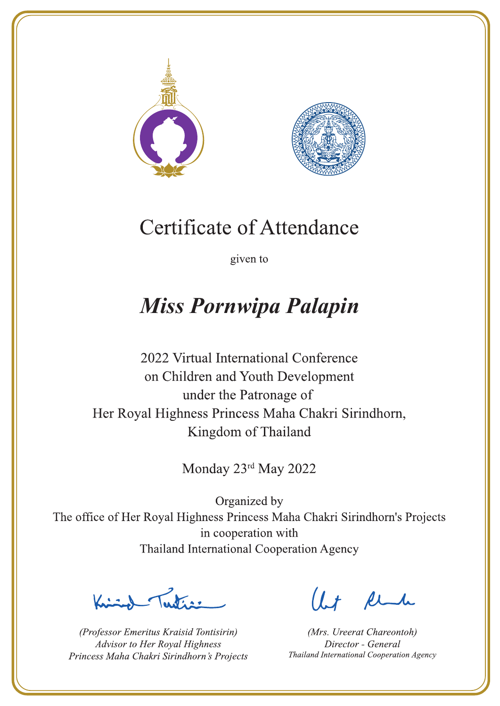



given to

## **Miss Pornwipa Palapin**

2022 Virtual International Conference on Children and Youth Development under the Patronage of Her Royal Highness Princess Maha Chakri Sirindhorn, Kingdom of Thailand

Monday 23rd May 2022

Let's

(Professor Emeritus Kraisid Tontisirin) Advisor to Her Royal Highness Princess Maha Chakri Sirindhorn's Projects

 $l.t$  find

(Mrs. Ureerat Chareontoh) Director - General Thailand International Cooperation Agency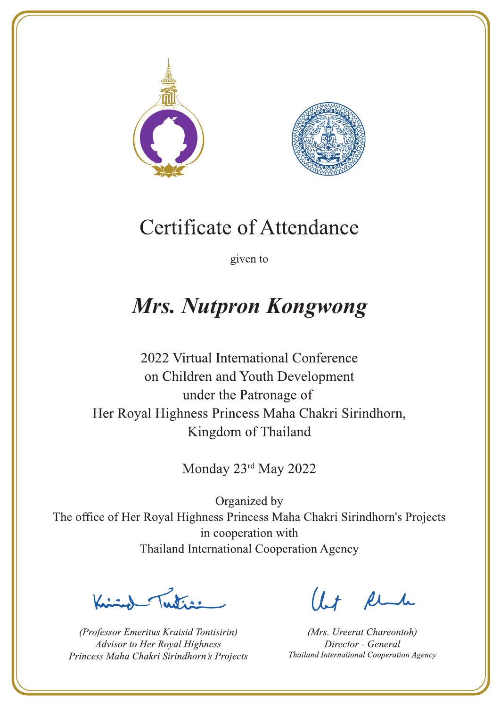



given to

## **Mrs. Nutpron Kongwong**

2022 Virtual International Conference on Children and Youth Development under the Patronage of Her Royal Highness Princess Maha Chakri Sirindhorn, Kingdom of Thailand

Monday 23rd May 2022

 $\sum_{n=1}^{\infty}$ 

(Professor Emeritus Kraisid Tontisirin) Advisor to Her Royal Highness Princess Maha Chakri Sirindhorn's Projects

 $l.t$  find

(Mrs. Ureerat Chareontoh) Director - General Thailand International Cooperation Agency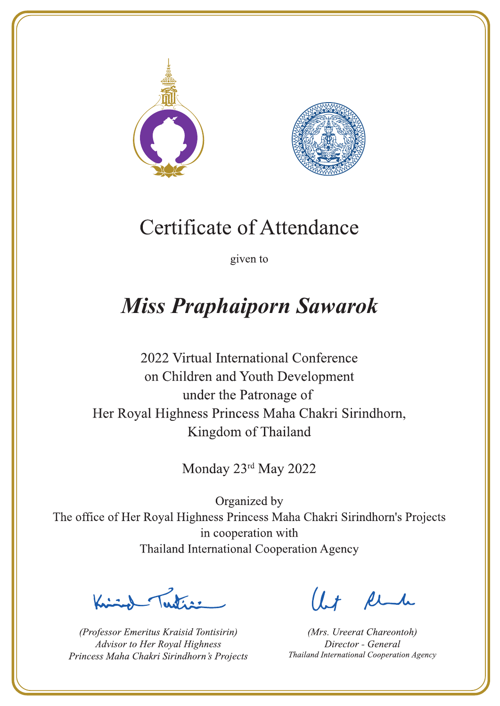



given to

# **Miss Praphaiporn Sawarok**

2022 Virtual International Conference on Children and Youth Development under the Patronage of Her Royal Highness Princess Maha Chakri Sirindhorn, Kingdom of Thailand

Monday 23rd May 2022

 $\sqrt{1-\frac{1}{2}}$ 

(Professor Emeritus Kraisid Tontisirin) Advisor to Her Royal Highness Princess Maha Chakri Sirindhorn's Projects

 $l.t$  find

(Mrs. Ureerat Chareontoh) Director - General Thailand International Cooperation Agency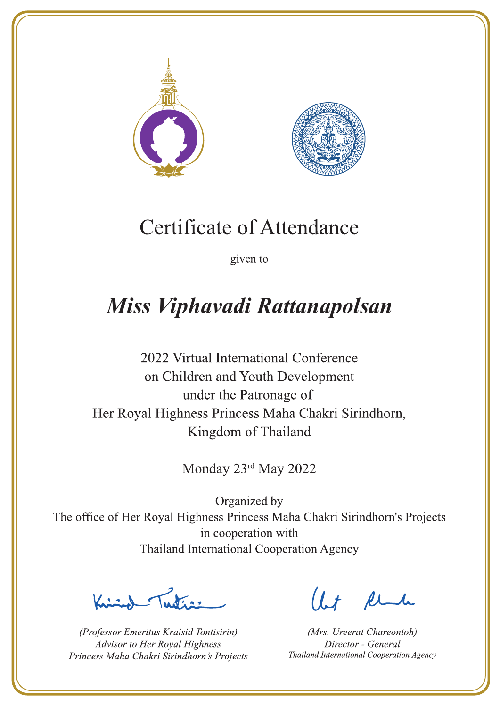



given to

# Miss Viphavadi Rattanapolsan

2022 Virtual International Conference on Children and Youth Development under the Patronage of Her Royal Highness Princess Maha Chakri Sirindhorn, Kingdom of Thailand

Monday 23rd May 2022

Lutin ,

(Professor Emeritus Kraisid Tontisirin) Advisor to Her Royal Highness Princess Maha Chakri Sirindhorn's Projects

 $l.t$  find

(Mrs. Ureerat Chareontoh) Director - General Thailand International Cooperation Agency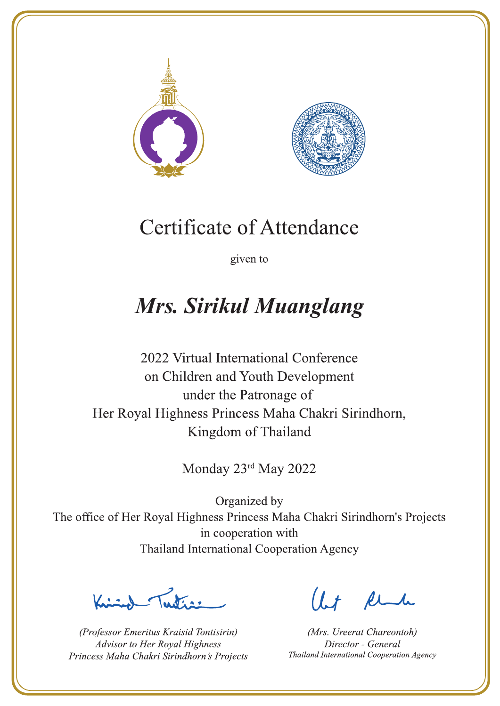



given to

# **Mrs. Sirikul Muanglang**

2022 Virtual International Conference on Children and Youth Development under the Patronage of Her Royal Highness Princess Maha Chakri Sirindhorn, Kingdom of Thailand

Monday 23rd May 2022

Lating

(Professor Emeritus Kraisid Tontisirin) Advisor to Her Royal Highness Princess Maha Chakri Sirindhorn's Projects

 $l.t$  find

(Mrs. Ureerat Chareontoh) Director - General Thailand International Cooperation Agency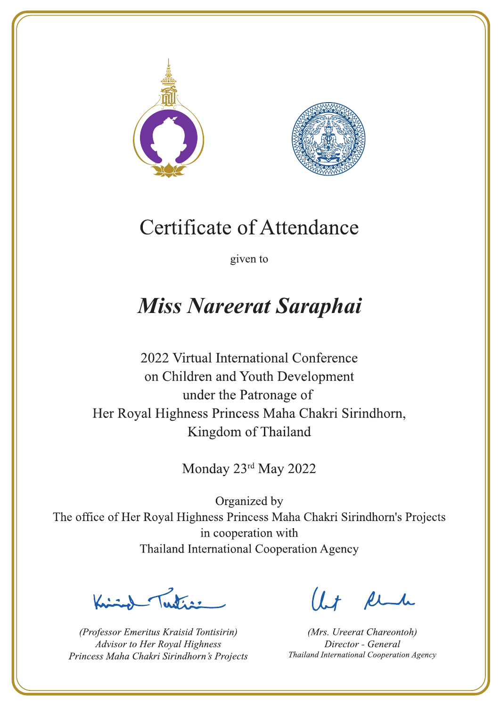



given to

## **Miss Nareerat Saraphai**

2022 Virtual International Conference on Children and Youth Development under the Patronage of Her Royal Highness Princess Maha Chakri Sirindhorn, Kingdom of Thailand

Monday 23rd May 2022

Justin 1

(Professor Emeritus Kraisid Tontisirin) Advisor to Her Royal Highness Princess Maha Chakri Sirindhorn's Projects

 $l.t$  find

(Mrs. Ureerat Chareontoh) Director - General Thailand International Cooperation Agency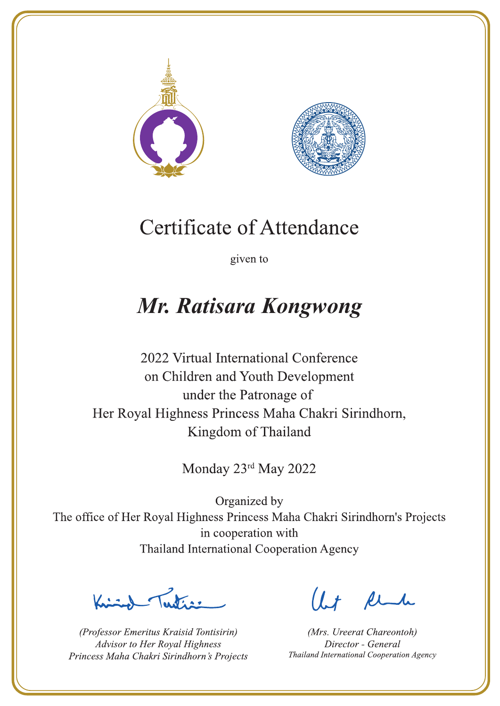



given to

## Mr. Ratisara Kongwong

2022 Virtual International Conference on Children and Youth Development under the Patronage of Her Royal Highness Princess Maha Chakri Sirindhorn, Kingdom of Thailand

Monday 23rd May 2022

Latin ,

(Professor Emeritus Kraisid Tontisirin) Advisor to Her Royal Highness Princess Maha Chakri Sirindhorn's Projects

 $l.t$  find

(Mrs. Ureerat Chareontoh) Director - General Thailand International Cooperation Agency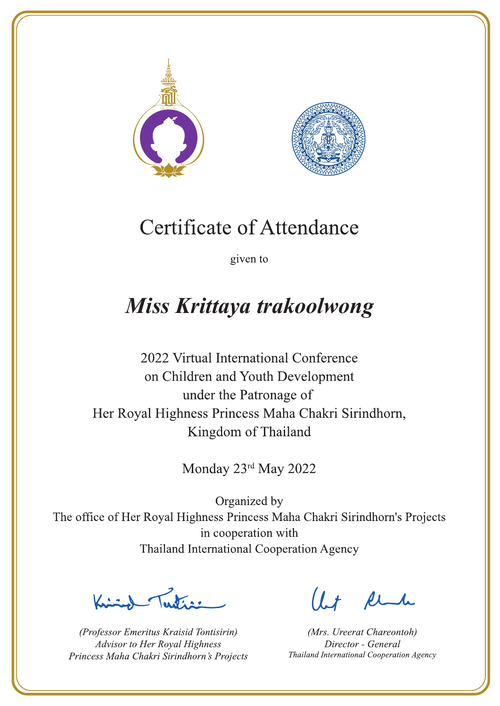



given to

## Miss Krittaya trakoolwong

2022 Virtual International Conference on Children and Youth Development under the Patronage of Her Royal Highness Princess Maha Chakri Sirindhorn, Kingdom of Thailand

Monday 23rd May 2022

 $\sum_{n=1}^{\infty} \int_{\mathbb{R}^d} f(x) dx$ 

(Professor Emeritus Kraisid Tontisirin) Advisor to Her Royal Highness Princess Maha Chakri Sirindhorn's Projects

 $l.t$  find

(Mrs. Ureerat Chareontoh) Director - General Thailand International Cooperation Agency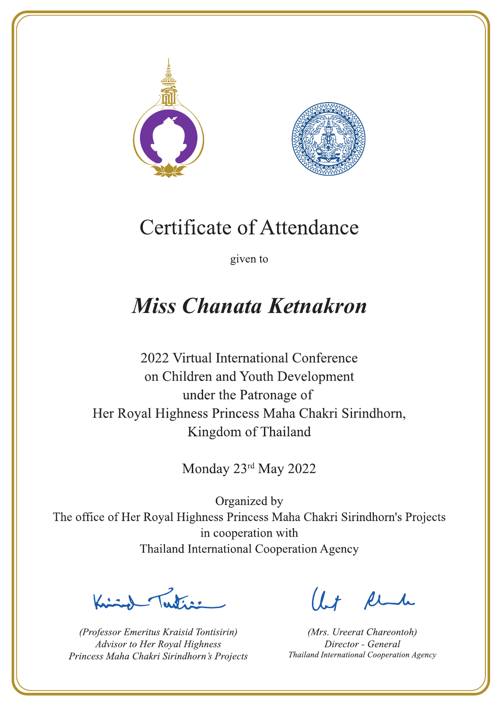



given to

### **Miss Chanata Ketnakron**

2022 Virtual International Conference on Children and Youth Development under the Patronage of Her Royal Highness Princess Maha Chakri Sirindhorn, Kingdom of Thailand

Monday 23rd May 2022

Letter

(Professor Emeritus Kraisid Tontisirin) Advisor to Her Royal Highness Princess Maha Chakri Sirindhorn's Projects

 $l.t$  find

(Mrs. Ureerat Chareontoh) Director - General Thailand International Cooperation Agency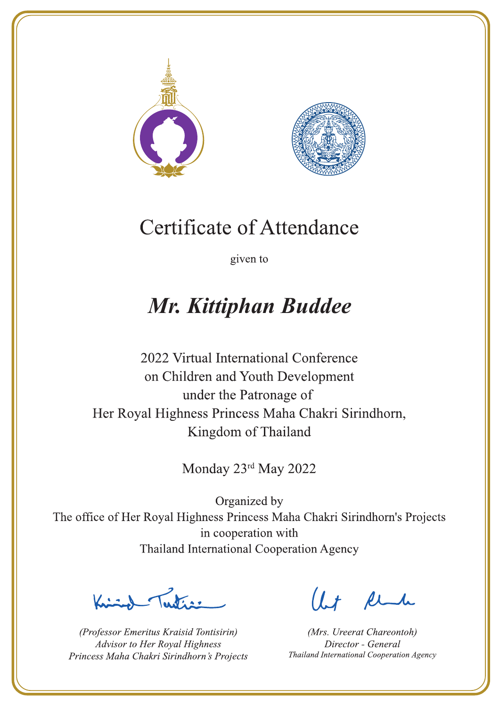



given to

## Mr. Kittiphan Buddee

2022 Virtual International Conference on Children and Youth Development under the Patronage of Her Royal Highness Princess Maha Chakri Sirindhorn, Kingdom of Thailand

Monday 23rd May 2022

Latin ,

(Professor Emeritus Kraisid Tontisirin) Advisor to Her Royal Highness Princess Maha Chakri Sirindhorn's Projects

 $l.t$  find

(Mrs. Ureerat Chareontoh) Director - General Thailand International Cooperation Agency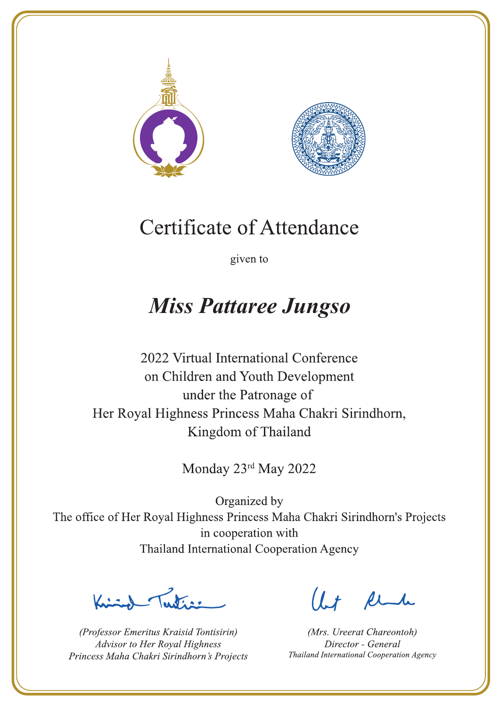



given to

### **Miss Pattaree Jungso**

2022 Virtual International Conference on Children and Youth Development under the Patronage of Her Royal Highness Princess Maha Chakri Sirindhorn, Kingdom of Thailand

Monday 23rd May 2022

La de a gr

(Professor Emeritus Kraisid Tontisirin) Advisor to Her Royal Highness Princess Maha Chakri Sirindhorn's Projects

 $l.t$  find

(Mrs. Ureerat Chareontoh) Director - General Thailand International Cooperation Agency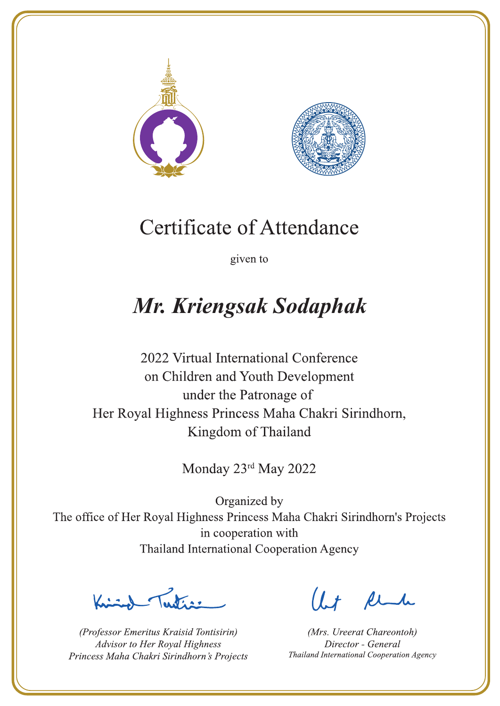



given to

# Mr. Kriengsak Sodaphak

2022 Virtual International Conference on Children and Youth Development under the Patronage of Her Royal Highness Princess Maha Chakri Sirindhorn, Kingdom of Thailand

Monday 23rd May 2022

 $\sum_{\alpha}$ 

(Professor Emeritus Kraisid Tontisirin) Advisor to Her Royal Highness Princess Maha Chakri Sirindhorn's Projects

 $l.t$  find

(Mrs. Ureerat Chareontoh) Director - General Thailand International Cooperation Agency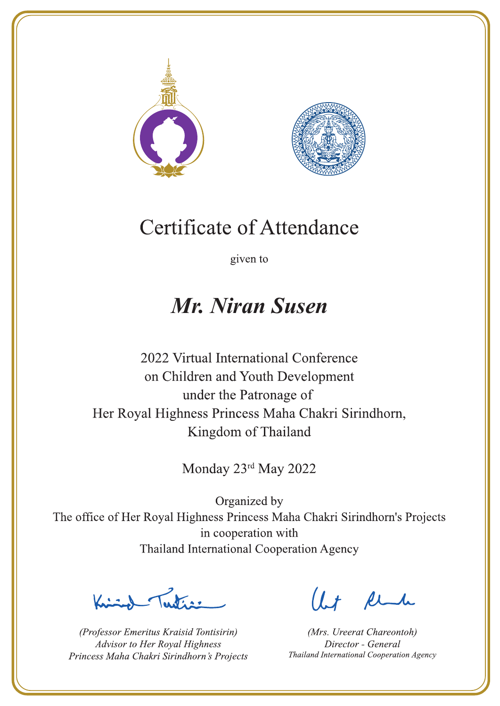



given to

### **Mr. Niran Susen**

2022 Virtual International Conference on Children and Youth Development under the Patronage of Her Royal Highness Princess Maha Chakri Sirindhorn, Kingdom of Thailand

Monday 23rd May 2022

Publics -

(Professor Emeritus Kraisid Tontisirin) Advisor to Her Royal Highness Princess Maha Chakri Sirindhorn's Projects

Ut Rende

(Mrs. Ureerat Chareontoh) Director - General Thailand International Cooperation Agency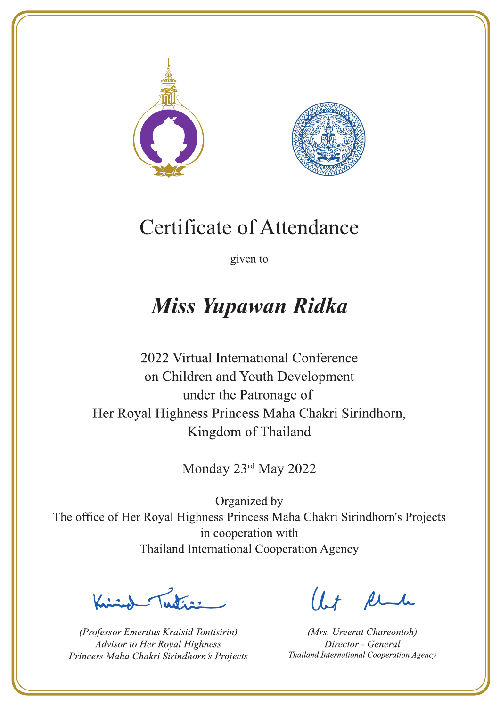



given to

### **Miss Yupawan Ridka**

2022 Virtual International Conference on Children and Youth Development under the Patronage of Her Royal Highness Princess Maha Chakri Sirindhorn, Kingdom of Thailand

Monday 23rd May 2022

Latin ,

(Professor Emeritus Kraisid Tontisirin) Advisor to Her Royal Highness Princess Maha Chakri Sirindhorn's Projects

 $l.t$  find

(Mrs. Ureerat Chareontoh) Director - General Thailand International Cooperation Agency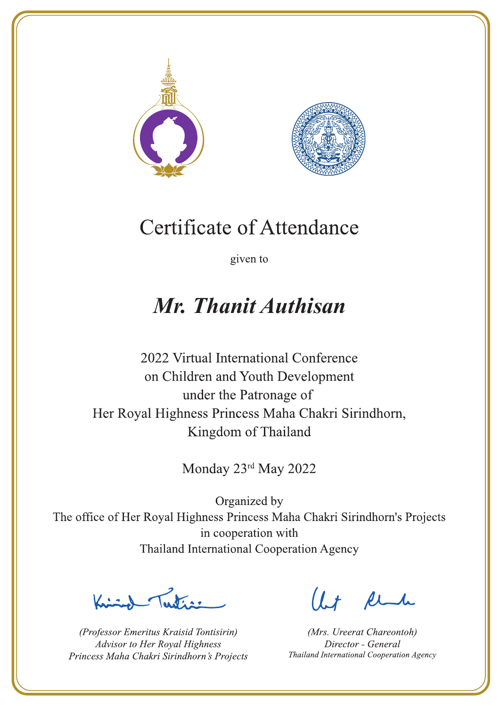



given to

### Mr. Thanit Authisan

2022 Virtual International Conference on Children and Youth Development under the Patronage of Her Royal Highness Princess Maha Chakri Sirindhorn, Kingdom of Thailand

Monday 23rd May 2022

Letter

(Professor Emeritus Kraisid Tontisirin) Advisor to Her Royal Highness Princess Maha Chakri Sirindhorn's Projects

Ut Rende

(Mrs. Ureerat Chareontoh) Director - General Thailand International Cooperation Agency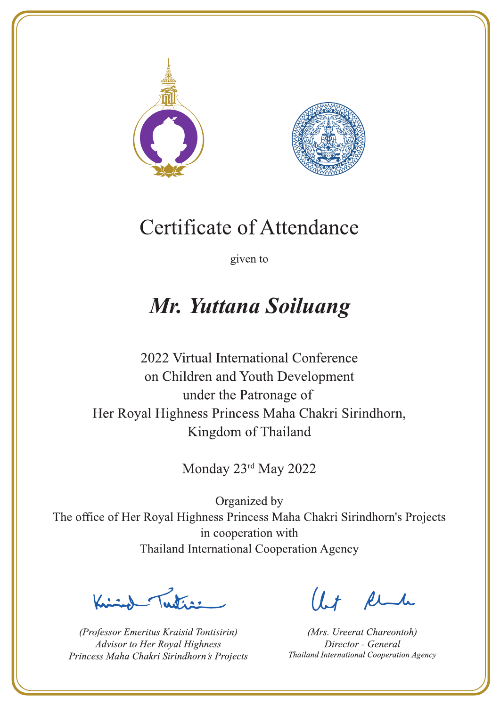



given to

### Mr. Yuttana Soiluang

2022 Virtual International Conference on Children and Youth Development under the Patronage of Her Royal Highness Princess Maha Chakri Sirindhorn, Kingdom of Thailand

Monday 23rd May 2022

 $\sum_{n=1}^{\infty}$ 

(Professor Emeritus Kraisid Tontisirin) Advisor to Her Royal Highness Princess Maha Chakri Sirindhorn's Projects

 $l.t$  find

(Mrs. Ureerat Chareontoh) Director - General Thailand International Cooperation Agency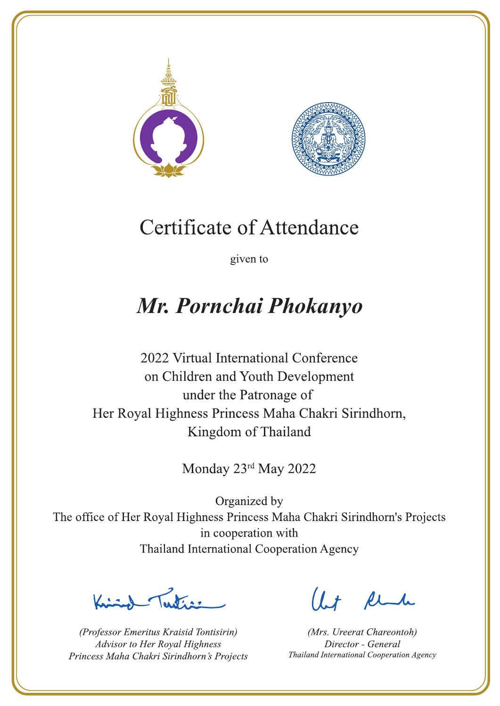



given to

## Mr. Pornchai Phokanyo

2022 Virtual International Conference on Children and Youth Development under the Patronage of Her Royal Highness Princess Maha Chakri Sirindhorn, Kingdom of Thailand

Monday 23rd May 2022

Let's

(Professor Emeritus Kraisid Tontisirin) Advisor to Her Royal Highness Princess Maha Chakri Sirindhorn's Projects

 $1.7$  flu

(Mrs. Ureerat Chareontoh) Director - General Thailand International Cooperation Agency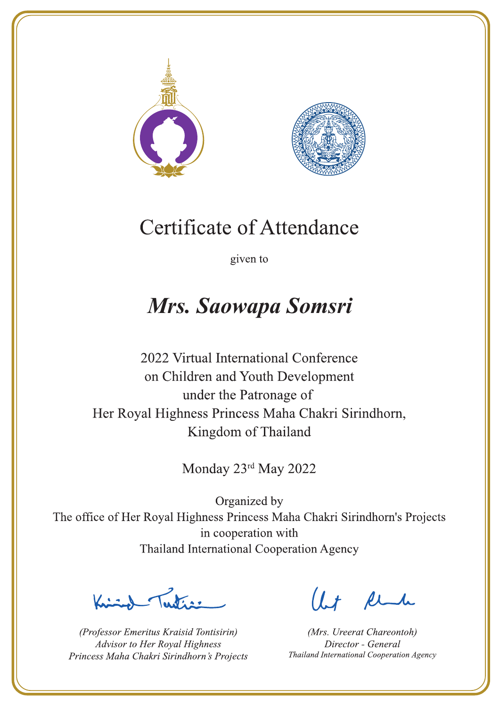



given to

## Mrs. Saowapa Somsri

2022 Virtual International Conference on Children and Youth Development under the Patronage of Her Royal Highness Princess Maha Chakri Sirindhorn, Kingdom of Thailand

Monday 23rd May 2022

La de a gr

(Professor Emeritus Kraisid Tontisirin) Advisor to Her Royal Highness Princess Maha Chakri Sirindhorn's Projects

 $l.t$  find

(Mrs. Ureerat Chareontoh) Director - General Thailand International Cooperation Agency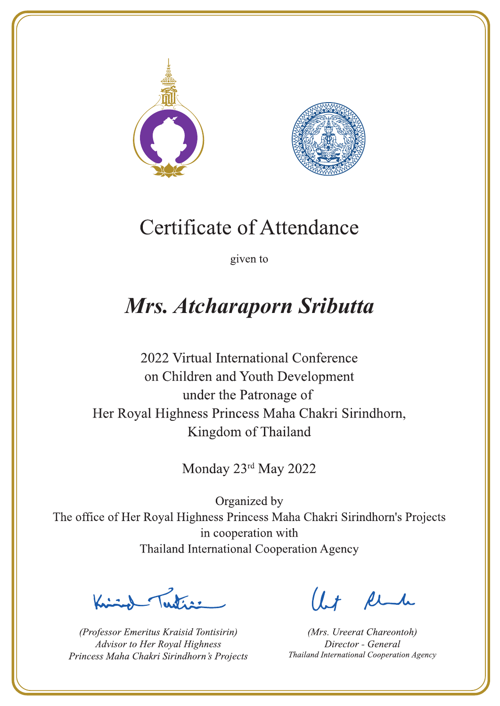



given to

## **Mrs. Atcharaporn Sributta**

2022 Virtual International Conference on Children and Youth Development under the Patronage of Her Royal Highness Princess Maha Chakri Sirindhorn, Kingdom of Thailand

Monday 23rd May 2022

 $\sqrt{1-\frac{1}{2}}$ 

(Professor Emeritus Kraisid Tontisirin) Advisor to Her Royal Highness Princess Maha Chakri Sirindhorn's Projects

 $l.t$  find

(Mrs. Ureerat Chareontoh) Director - General Thailand International Cooperation Agency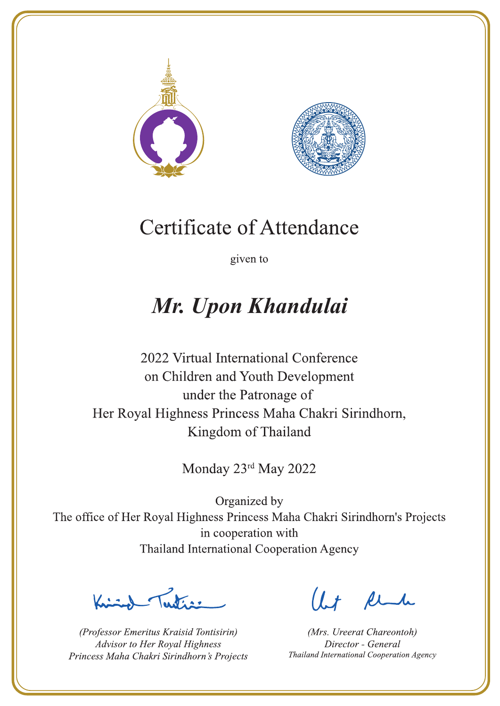



given to

# Mr. Upon Khandulai

2022 Virtual International Conference on Children and Youth Development under the Patronage of Her Royal Highness Princess Maha Chakri Sirindhorn, Kingdom of Thailand

Monday 23rd May 2022

 $\sum_{n=1}^{\infty}$ 

(Professor Emeritus Kraisid Tontisirin) Advisor to Her Royal Highness Princess Maha Chakri Sirindhorn's Projects

 $l.t$  find

(Mrs. Ureerat Chareontoh) Director - General Thailand International Cooperation Agency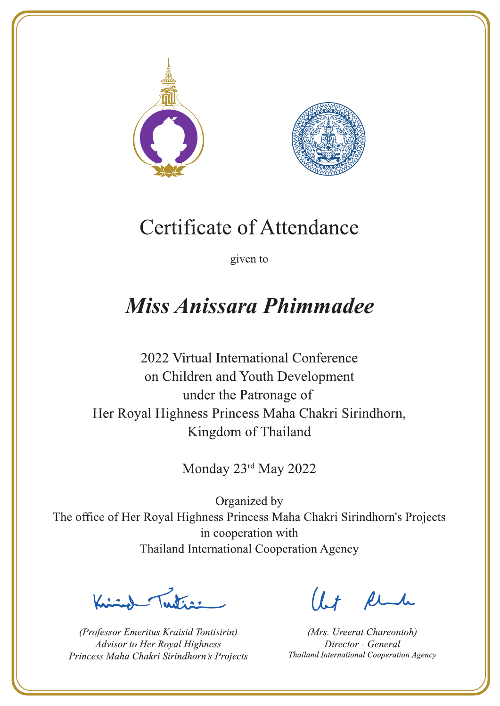



given to

## Miss Anissara Phimmadee

2022 Virtual International Conference on Children and Youth Development under the Patronage of Her Royal Highness Princess Maha Chakri Sirindhorn, Kingdom of Thailand

Monday 23rd May 2022

Letter

(Professor Emeritus Kraisid Tontisirin) Advisor to Her Royal Highness Princess Maha Chakri Sirindhorn's Projects

 $l.t$  find

(Mrs. Ureerat Chareontoh) Director - General Thailand International Cooperation Agency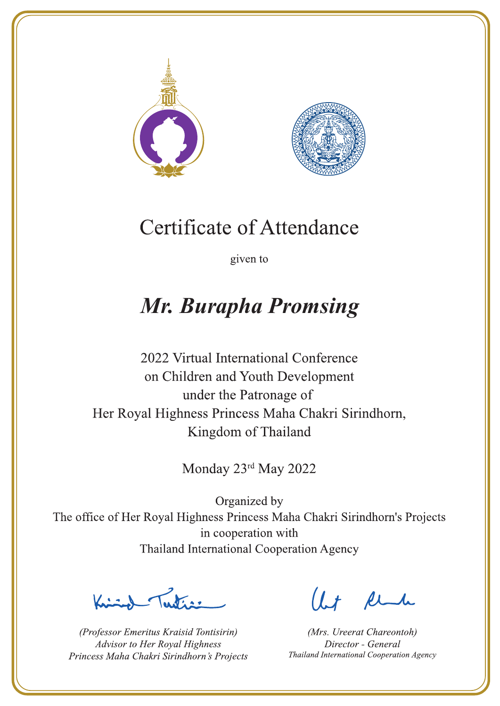



given to

## **Mr. Burapha Promsing**

2022 Virtual International Conference on Children and Youth Development under the Patronage of Her Royal Highness Princess Maha Chakri Sirindhorn, Kingdom of Thailand

Monday 23rd May 2022

Latin ,

(Professor Emeritus Kraisid Tontisirin) Advisor to Her Royal Highness Princess Maha Chakri Sirindhorn's Projects

 $l.t$  find

(Mrs. Ureerat Chareontoh) Director - General Thailand International Cooperation Agency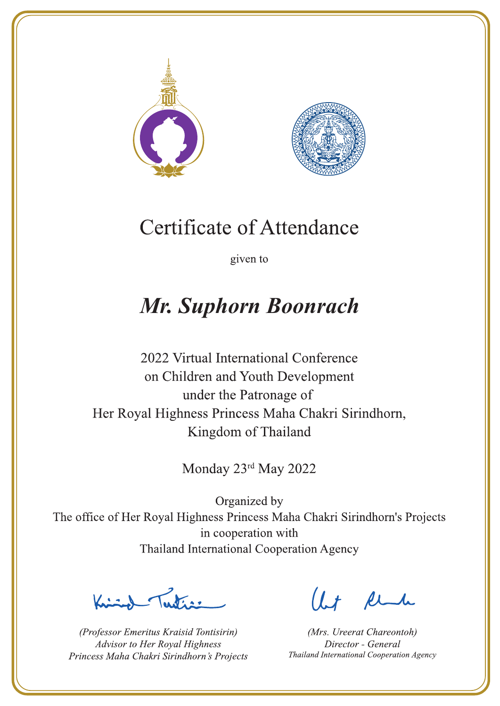



given to

## **Mr. Suphorn Boonrach**

2022 Virtual International Conference on Children and Youth Development under the Patronage of Her Royal Highness Princess Maha Chakri Sirindhorn, Kingdom of Thailand

Monday 23rd May 2022

Lutin ,

(Professor Emeritus Kraisid Tontisirin) Advisor to Her Royal Highness Princess Maha Chakri Sirindhorn's Projects

 $l.t$  find

(Mrs. Ureerat Chareontoh) Director - General Thailand International Cooperation Agency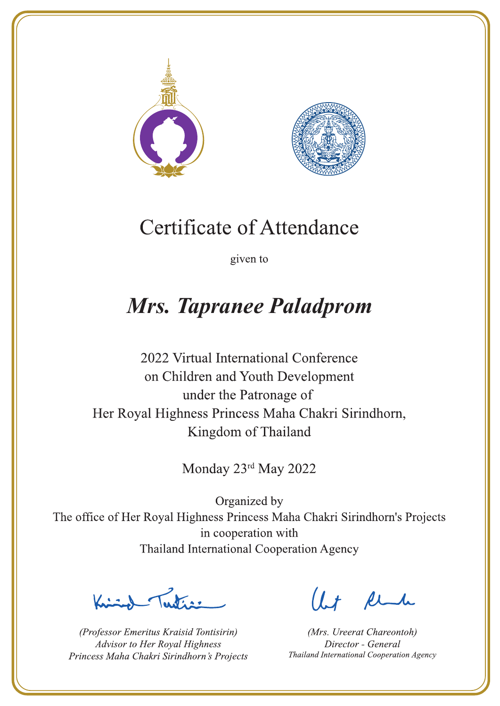



given to

## **Mrs. Tapranee Paladprom**

2022 Virtual International Conference on Children and Youth Development under the Patronage of Her Royal Highness Princess Maha Chakri Sirindhorn, Kingdom of Thailand

Monday 23rd May 2022

Lutin ,

(Professor Emeritus Kraisid Tontisirin) Advisor to Her Royal Highness Princess Maha Chakri Sirindhorn's Projects

 $l.t$  find

(Mrs. Ureerat Chareontoh) Director - General Thailand International Cooperation Agency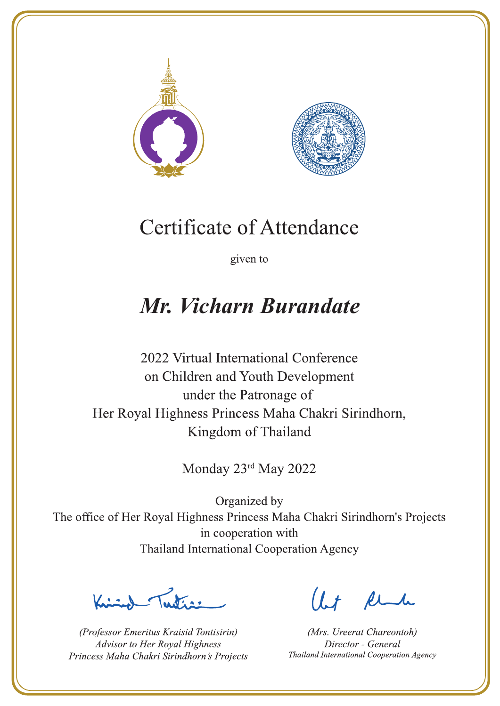



given to

## Mr. Vicharn Burandate

2022 Virtual International Conference on Children and Youth Development under the Patronage of Her Royal Highness Princess Maha Chakri Sirindhorn, Kingdom of Thailand

Monday 23rd May 2022

Letter

(Professor Emeritus Kraisid Tontisirin) Advisor to Her Royal Highness Princess Maha Chakri Sirindhorn's Projects

Ut Rende

(Mrs. Ureerat Chareontoh) Director - General Thailand International Cooperation Agency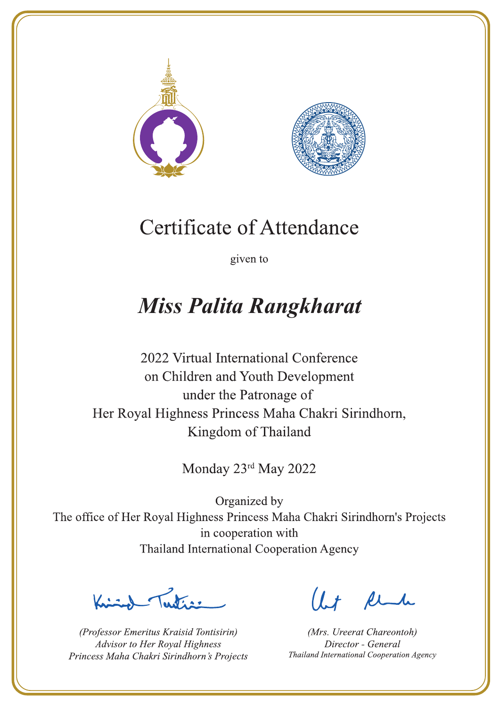



given to

## **Miss Palita Rangkharat**

2022 Virtual International Conference on Children and Youth Development under the Patronage of Her Royal Highness Princess Maha Chakri Sirindhorn, Kingdom of Thailand

Monday 23rd May 2022

La Vias

(Professor Emeritus Kraisid Tontisirin) Advisor to Her Royal Highness Princess Maha Chakri Sirindhorn's Projects

 $l.t$  find

(Mrs. Ureerat Chareontoh) Director - General Thailand International Cooperation Agency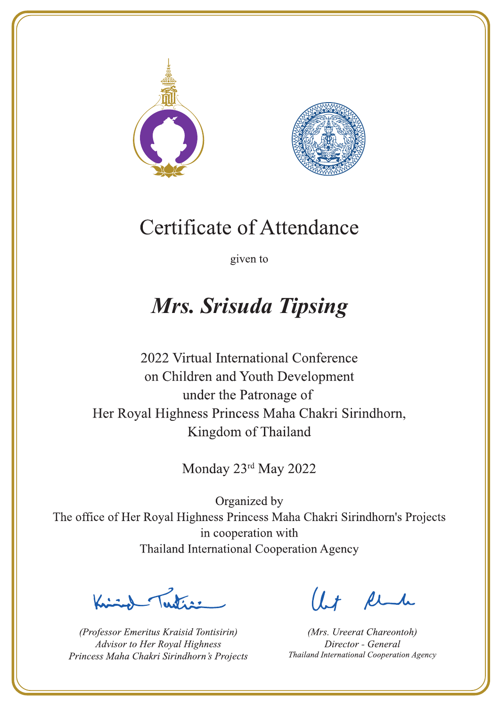



given to

## Mrs. Srisuda Tipsing

2022 Virtual International Conference on Children and Youth Development under the Patronage of Her Royal Highness Princess Maha Chakri Sirindhorn, Kingdom of Thailand

Monday 23rd May 2022

Latin ,

(Professor Emeritus Kraisid Tontisirin) Advisor to Her Royal Highness Princess Maha Chakri Sirindhorn's Projects

 $l.t$  find

(Mrs. Ureerat Chareontoh) Director - General Thailand International Cooperation Agency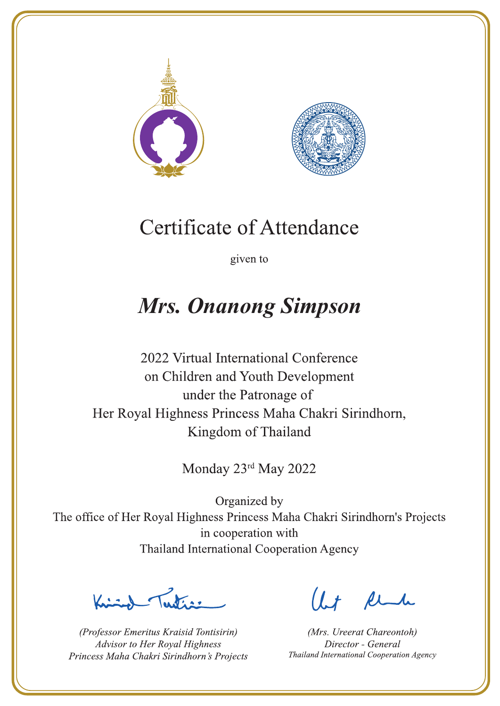



given to

# **Mrs. Onanong Simpson**

2022 Virtual International Conference on Children and Youth Development under the Patronage of Her Royal Highness Princess Maha Chakri Sirindhorn, Kingdom of Thailand

Monday 23rd May 2022

 $\sum_{n=1}^{\infty}$ 

(Professor Emeritus Kraisid Tontisirin) Advisor to Her Royal Highness Princess Maha Chakri Sirindhorn's Projects

 $l.t$  find

(Mrs. Ureerat Chareontoh) Director - General Thailand International Cooperation Agency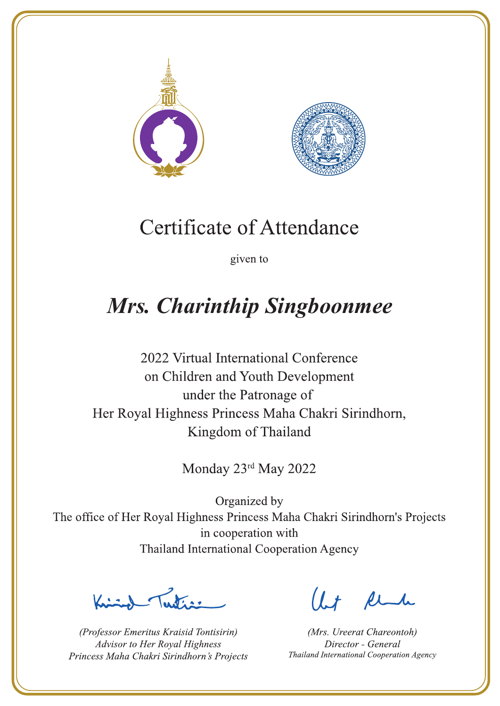



given to

# **Mrs. Charinthip Singboonmee**

2022 Virtual International Conference on Children and Youth Development under the Patronage of Her Royal Highness Princess Maha Chakri Sirindhorn, Kingdom of Thailand

Monday 23rd May 2022

Letters ,

(Professor Emeritus Kraisid Tontisirin) Advisor to Her Royal Highness Princess Maha Chakri Sirindhorn's Projects

 $l.t$  find

(Mrs. Ureerat Chareontoh) Director - General Thailand International Cooperation Agency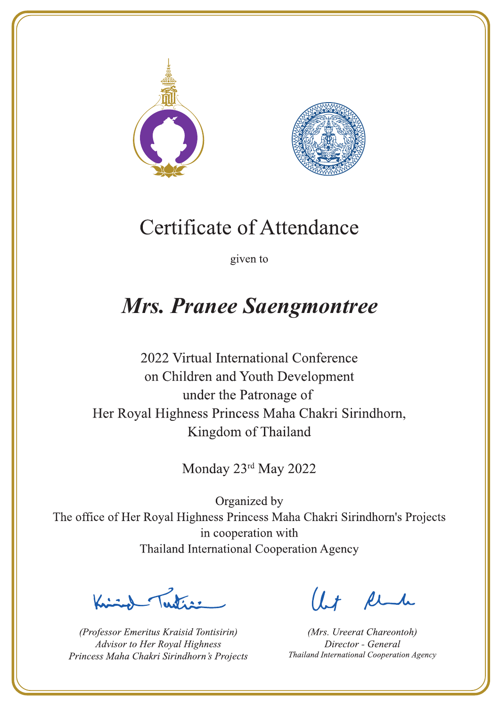



given to

## **Mrs. Pranee Saengmontree**

2022 Virtual International Conference on Children and Youth Development under the Patronage of Her Royal Highness Princess Maha Chakri Sirindhorn, Kingdom of Thailand

Monday 23rd May 2022

La de avons

(Professor Emeritus Kraisid Tontisirin) Advisor to Her Royal Highness Princess Maha Chakri Sirindhorn's Projects

 $l.t$  find

(Mrs. Ureerat Chareontoh) Director - General Thailand International Cooperation Agency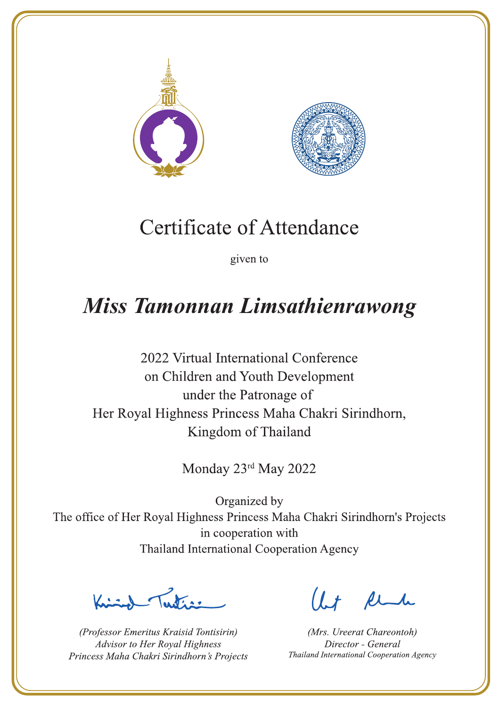



given to

## Miss Tamonnan Limsathienrawong

2022 Virtual International Conference on Children and Youth Development under the Patronage of Her Royal Highness Princess Maha Chakri Sirindhorn, Kingdom of Thailand

Monday 23rd May 2022

Labert

(Professor Emeritus Kraisid Tontisirin) Advisor to Her Royal Highness Princess Maha Chakri Sirindhorn's Projects

 $l.t$  find

(Mrs. Ureerat Chareontoh) Director - General Thailand International Cooperation Agency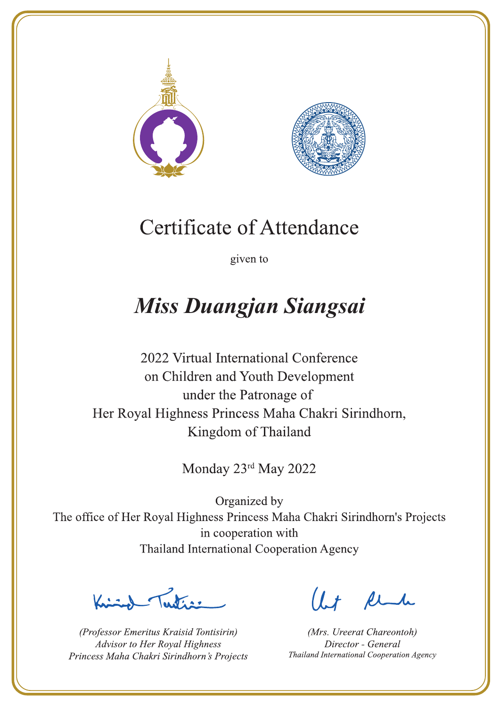



given to

# **Miss Duangjan Siangsai**

2022 Virtual International Conference on Children and Youth Development under the Patronage of Her Royal Highness Princess Maha Chakri Sirindhorn, Kingdom of Thailand

Monday 23rd May 2022

 $\sum_{n=1}^{\infty}$ 

(Professor Emeritus Kraisid Tontisirin) Advisor to Her Royal Highness Princess Maha Chakri Sirindhorn's Projects

 $l.t$  find

(Mrs. Ureerat Chareontoh) Director - General Thailand International Cooperation Agency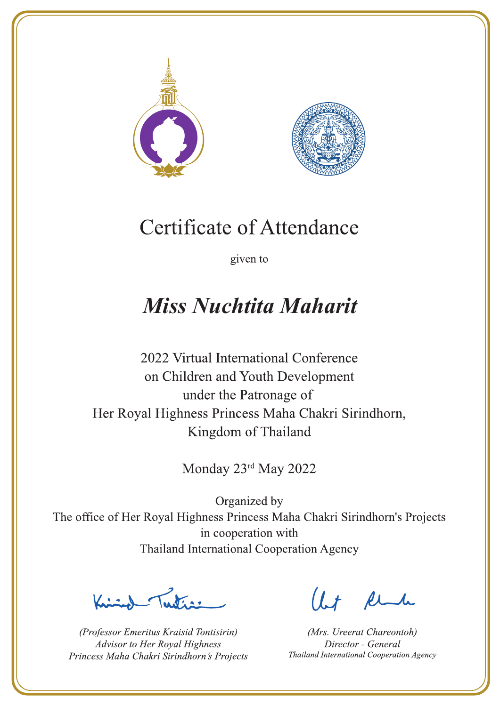



given to

## **Miss Nuchtita Maharit**

2022 Virtual International Conference on Children and Youth Development under the Patronage of Her Royal Highness Princess Maha Chakri Sirindhorn, Kingdom of Thailand

Monday 23rd May 2022

Letters ,

(Professor Emeritus Kraisid Tontisirin) Advisor to Her Royal Highness Princess Maha Chakri Sirindhorn's Projects

 $l.t$  find

(Mrs. Ureerat Chareontoh) Director - General Thailand International Cooperation Agency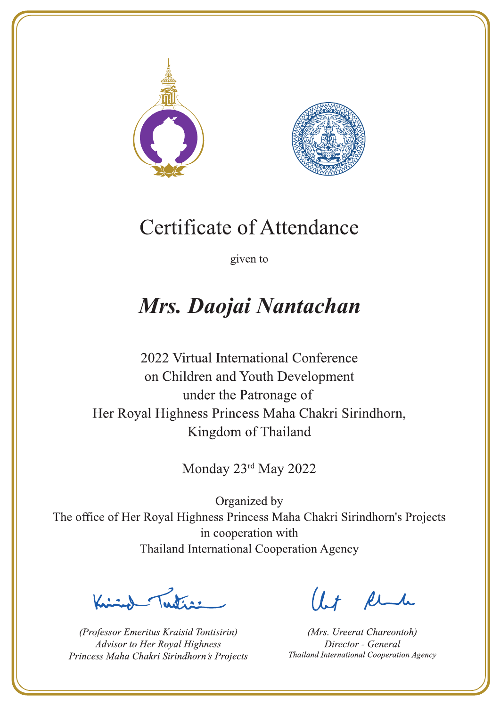



given to

## Mrs. Daojai Nantachan

2022 Virtual International Conference on Children and Youth Development under the Patronage of Her Royal Highness Princess Maha Chakri Sirindhorn, Kingdom of Thailand

Monday 23rd May 2022

 $\sum_{n=1}^{\infty} \int_{\mathbb{R}^d} f(x) dx$ 

(Professor Emeritus Kraisid Tontisirin) Advisor to Her Royal Highness Princess Maha Chakri Sirindhorn's Projects

 $l.t$  find

(Mrs. Ureerat Chareontoh) Director - General Thailand International Cooperation Agency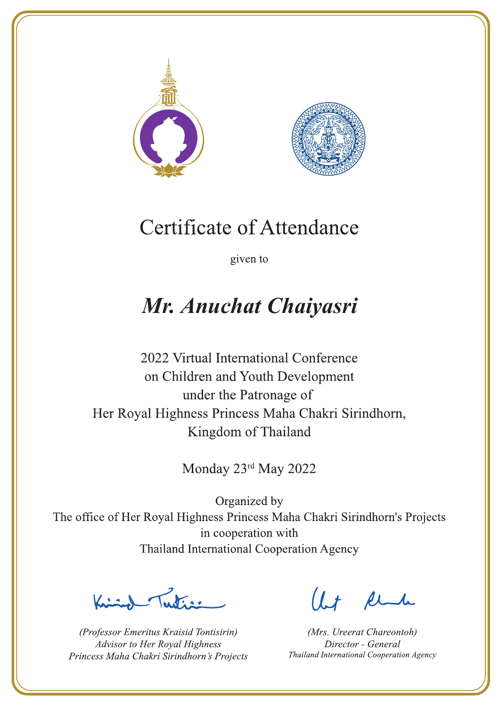



given to

## Mr. Anuchat Chaiyasri

2022 Virtual International Conference on Children and Youth Development under the Patronage of Her Royal Highness Princess Maha Chakri Sirindhorn, Kingdom of Thailand

Monday 23rd May 2022

Julian

(Professor Emeritus Kraisid Tontisirin) Advisor to Her Royal Highness Princess Maha Chakri Sirindhorn's Projects

 $l.t$  find

(Mrs. Ureerat Chareontoh) Director - General Thailand International Cooperation Agency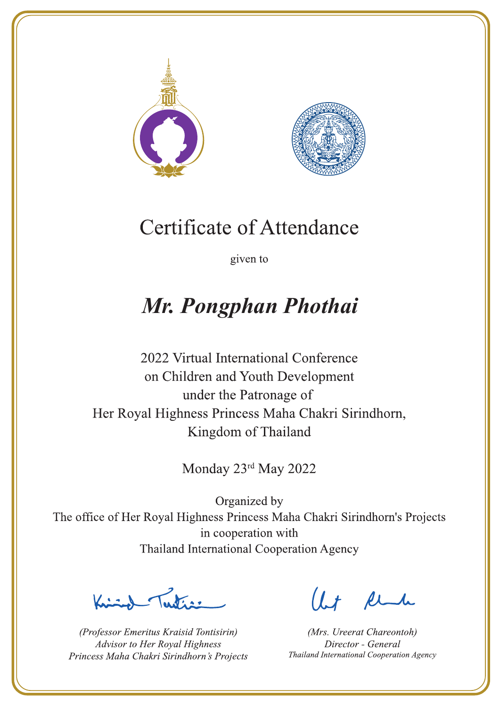



given to

# Mr. Pongphan Phothai

2022 Virtual International Conference on Children and Youth Development under the Patronage of Her Royal Highness Princess Maha Chakri Sirindhorn, Kingdom of Thailand

Monday 23rd May 2022

Lutin ,

(Professor Emeritus Kraisid Tontisirin) Advisor to Her Royal Highness Princess Maha Chakri Sirindhorn's Projects

 $l.t$  find

(Mrs. Ureerat Chareontoh) Director - General Thailand International Cooperation Agency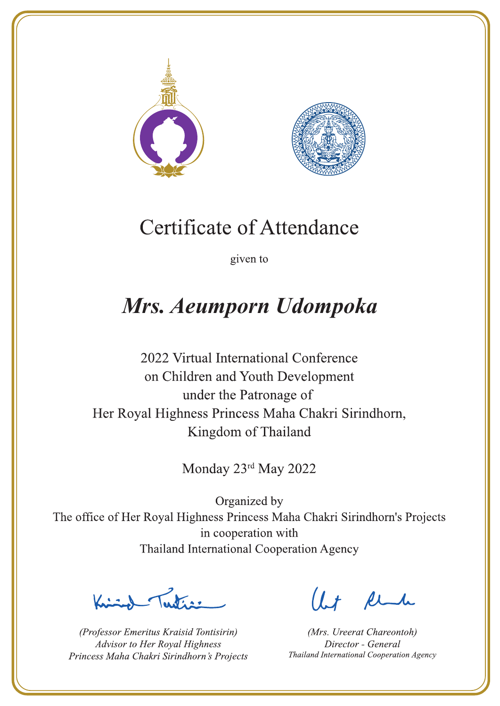



given to

## Mrs. Aeumporn Udompoka

2022 Virtual International Conference on Children and Youth Development under the Patronage of Her Royal Highness Princess Maha Chakri Sirindhorn, Kingdom of Thailand

Monday 23rd May 2022

 $\sum_{n=1}^{\infty} \int_{\mathbb{R}^d} f(x) dx$ 

(Professor Emeritus Kraisid Tontisirin) Advisor to Her Royal Highness Princess Maha Chakri Sirindhorn's Projects

 $l.t$  find

(Mrs. Ureerat Chareontoh) Director - General Thailand International Cooperation Agency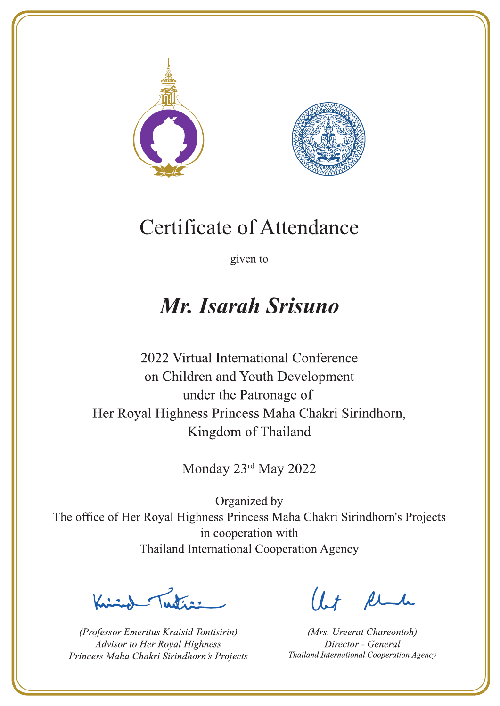



given to

## Mr. Isarah Srisuno

2022 Virtual International Conference on Children and Youth Development under the Patronage of Her Royal Highness Princess Maha Chakri Sirindhorn, Kingdom of Thailand

Monday 23rd May 2022

 $\sum_{n=1}^{\infty}$ 

(Professor Emeritus Kraisid Tontisirin) Advisor to Her Royal Highness Princess Maha Chakri Sirindhorn's Projects

Ut Rende

(Mrs. Ureerat Chareontoh) Director - General Thailand International Cooperation Agency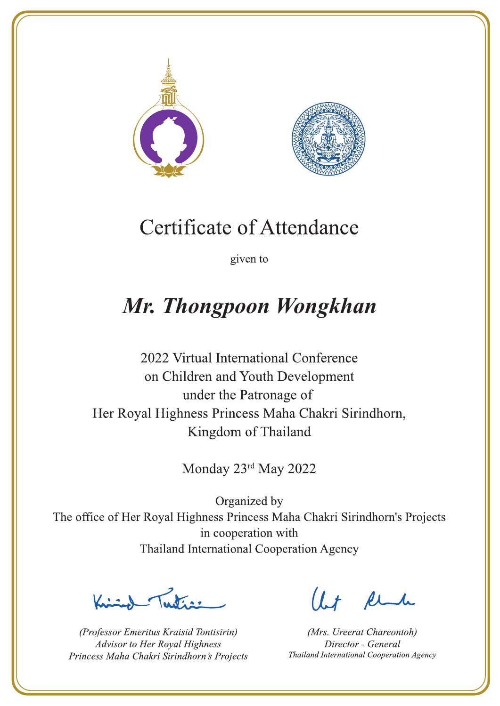



given to

# Mr. Thongpoon Wongkhan

2022 Virtual International Conference on Children and Youth Development under the Patronage of Her Royal Highness Princess Maha Chakri Sirindhorn, Kingdom of Thailand

Monday 23rd May 2022

 $\sum_{n=1}^{\infty}$ 

(Professor Emeritus Kraisid Tontisirin) Advisor to Her Royal Highness Princess Maha Chakri Sirindhorn's Projects

 $l.t$  find

(Mrs. Ureerat Chareontoh) Director - General Thailand International Cooperation Agency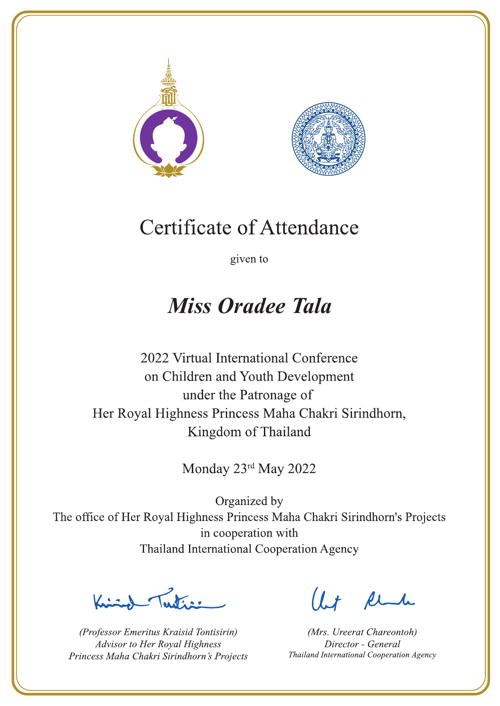



given to

## **Miss Oradee Tala**

2022 Virtual International Conference on Children and Youth Development under the Patronage of Her Royal Highness Princess Maha Chakri Sirindhorn, Kingdom of Thailand

Monday 23rd May 2022

Letter

(Professor Emeritus Kraisid Tontisirin) Advisor to Her Royal Highness Princess Maha Chakri Sirindhorn's Projects

Ut Rende

(Mrs. Ureerat Chareontoh) Director - General Thailand International Cooperation Agency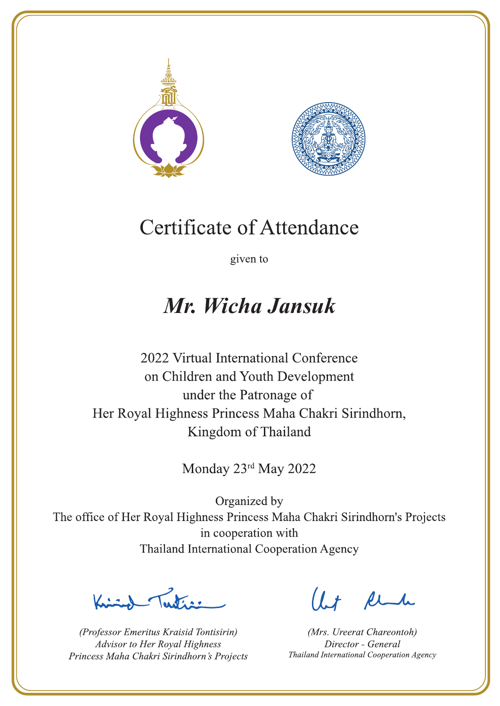



given to

## Mr. Wicha Jansuk

2022 Virtual International Conference on Children and Youth Development under the Patronage of Her Royal Highness Princess Maha Chakri Sirindhorn, Kingdom of Thailand

Monday 23rd May 2022

Publics -

(Professor Emeritus Kraisid Tontisirin) Advisor to Her Royal Highness Princess Maha Chakri Sirindhorn's Projects

Ut Rende

(Mrs. Ureerat Chareontoh) Director - General Thailand International Cooperation Agency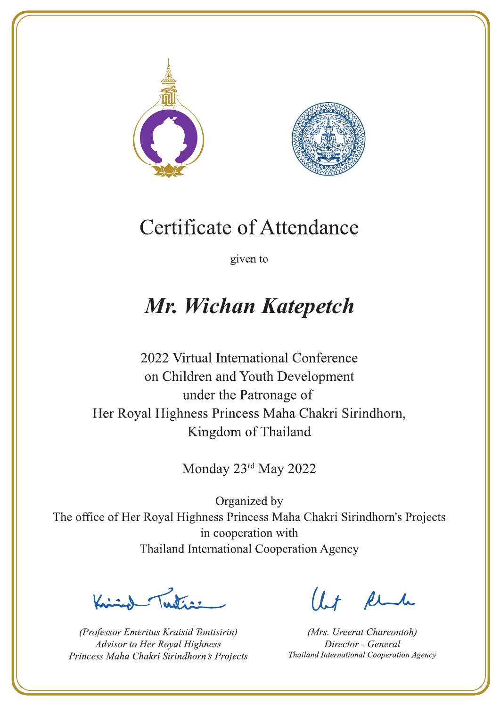



given to

# Mr. Wichan Katepetch

2022 Virtual International Conference on Children and Youth Development under the Patronage of Her Royal Highness Princess Maha Chakri Sirindhorn, Kingdom of Thailand

Monday 23rd May 2022

Let's

(Professor Emeritus Kraisid Tontisirin) Advisor to Her Royal Highness Princess Maha Chakri Sirindhorn's Projects

 $l.t$  find

(Mrs. Ureerat Chareontoh) Director - General Thailand International Cooperation Agency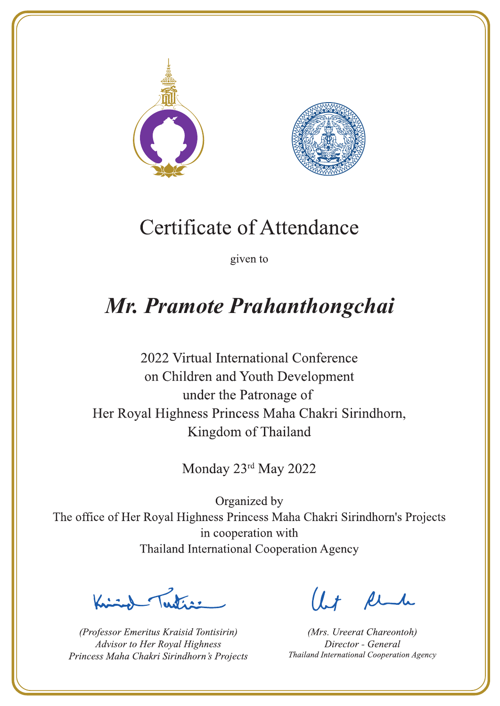



given to

## Mr. Pramote Prahanthongchai

2022 Virtual International Conference on Children and Youth Development under the Patronage of Her Royal Highness Princess Maha Chakri Sirindhorn, Kingdom of Thailand

Monday 23rd May 2022

Justin 1

(Professor Emeritus Kraisid Tontisirin) Advisor to Her Royal Highness Princess Maha Chakri Sirindhorn's Projects

 $1.7$  flu

(Mrs. Ureerat Chareontoh) Director - General Thailand International Cooperation Agency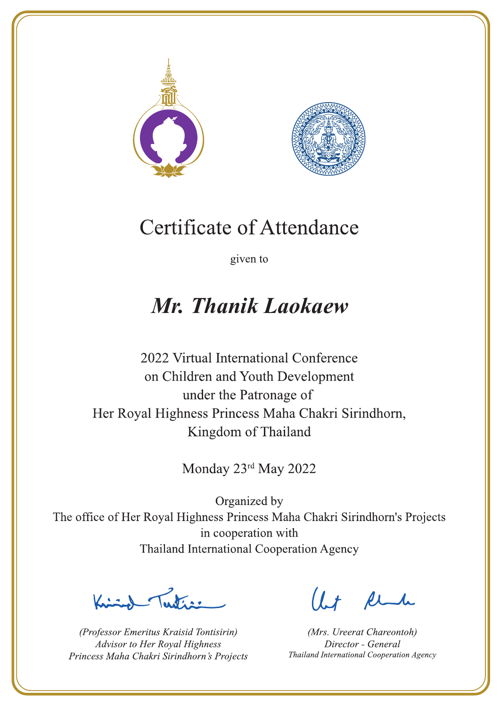



given to

## Mr. Thanik Laokaew

2022 Virtual International Conference on Children and Youth Development under the Patronage of Her Royal Highness Princess Maha Chakri Sirindhorn, Kingdom of Thailand

Monday 23rd May 2022

Letter

(Professor Emeritus Kraisid Tontisirin) Advisor to Her Royal Highness Princess Maha Chakri Sirindhorn's Projects

Ut Rende

(Mrs. Ureerat Chareontoh) Director - General Thailand International Cooperation Agency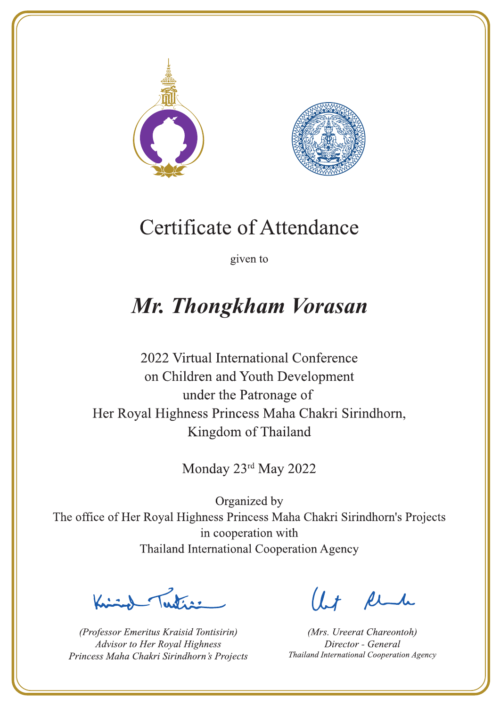



given to

## Mr. Thongkham Vorasan

2022 Virtual International Conference on Children and Youth Development under the Patronage of Her Royal Highness Princess Maha Chakri Sirindhorn, Kingdom of Thailand

Monday 23rd May 2022

 $\sum_{n=1}^{\infty}$ 

(Professor Emeritus Kraisid Tontisirin) Advisor to Her Royal Highness Princess Maha Chakri Sirindhorn's Projects

 $l.t$  find

(Mrs. Ureerat Chareontoh) Director - General Thailand International Cooperation Agency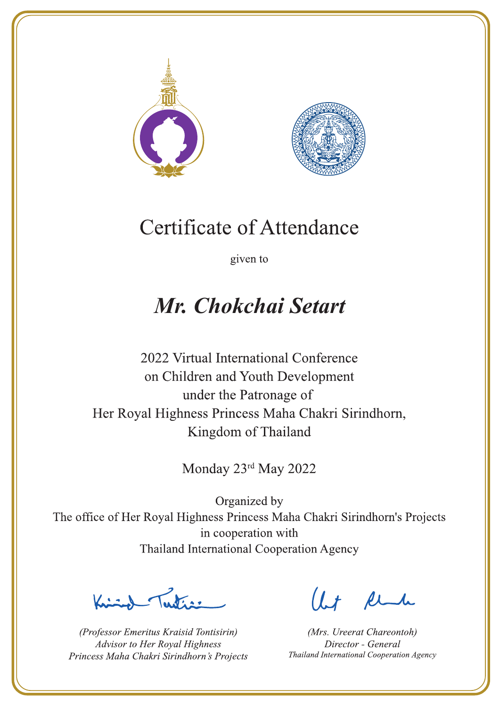



given to

## Mr. Chokchai Setart

2022 Virtual International Conference on Children and Youth Development under the Patronage of Her Royal Highness Princess Maha Chakri Sirindhorn, Kingdom of Thailand

Monday 23rd May 2022

Letters ,

(Professor Emeritus Kraisid Tontisirin) Advisor to Her Royal Highness Princess Maha Chakri Sirindhorn's Projects

 $l.t$  find

(Mrs. Ureerat Chareontoh) Director - General Thailand International Cooperation Agency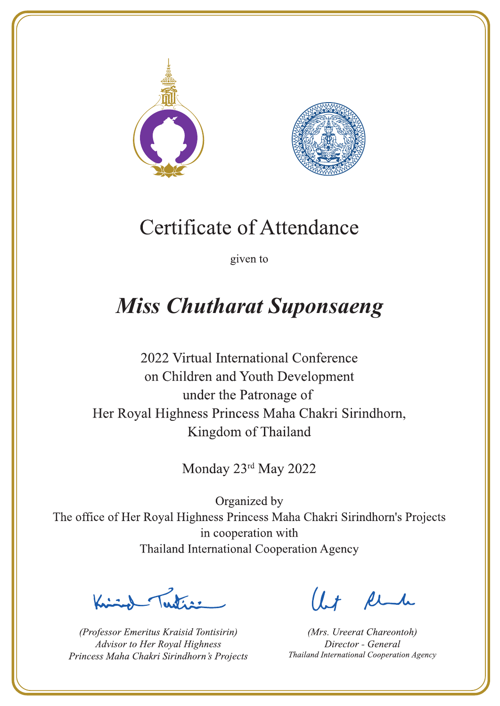



given to

# **Miss Chutharat Suponsaeng**

2022 Virtual International Conference on Children and Youth Development under the Patronage of Her Royal Highness Princess Maha Chakri Sirindhorn, Kingdom of Thailand

Monday 23rd May 2022

Let's

(Professor Emeritus Kraisid Tontisirin) Advisor to Her Royal Highness Princess Maha Chakri Sirindhorn's Projects

 $l.t$  find

(Mrs. Ureerat Chareontoh) Director - General Thailand International Cooperation Agency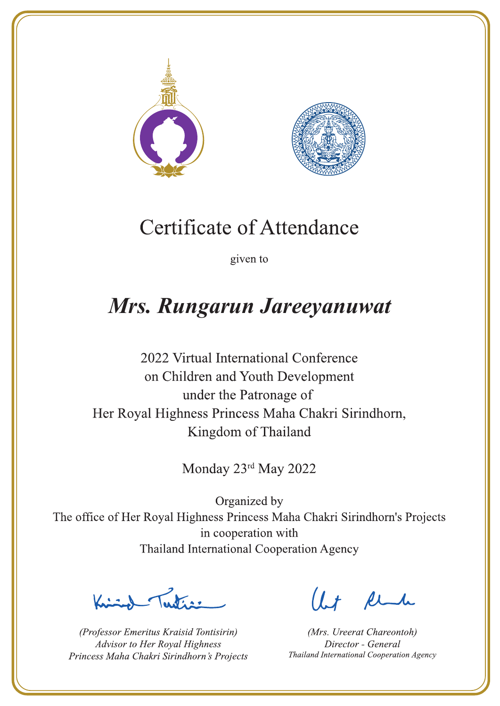



given to

## Mrs. Rungarun Jareeyanuwat

2022 Virtual International Conference on Children and Youth Development under the Patronage of Her Royal Highness Princess Maha Chakri Sirindhorn, Kingdom of Thailand

Monday 23rd May 2022

 $\sum_{n=1}^{\infty}$ 

(Professor Emeritus Kraisid Tontisirin) Advisor to Her Royal Highness Princess Maha Chakri Sirindhorn's Projects

 $l.t$  find

(Mrs. Ureerat Chareontoh) Director - General Thailand International Cooperation Agency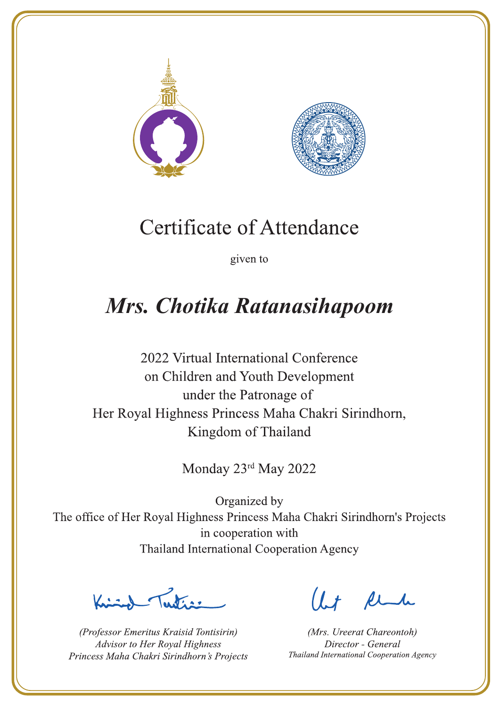



given to

# Mrs. Chotika Ratanasihapoom

2022 Virtual International Conference on Children and Youth Development under the Patronage of Her Royal Highness Princess Maha Chakri Sirindhorn, Kingdom of Thailand

Monday 23rd May 2022

Justin 1

(Professor Emeritus Kraisid Tontisirin) Advisor to Her Royal Highness Princess Maha Chakri Sirindhorn's Projects

 $l.t$  find

(Mrs. Ureerat Chareontoh) Director - General Thailand International Cooperation Agency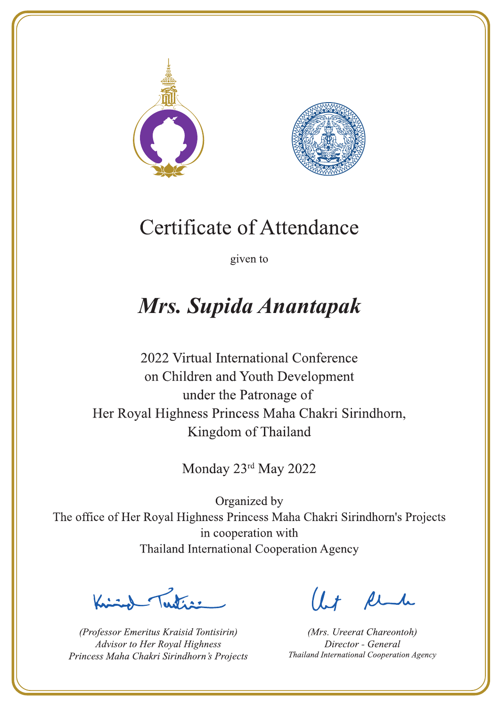



given to

# Mrs. Supida Anantapak

2022 Virtual International Conference on Children and Youth Development under the Patronage of Her Royal Highness Princess Maha Chakri Sirindhorn, Kingdom of Thailand

Monday 23rd May 2022

 $\mathcal{N}_{\mathcal{A}}$ 

(Professor Emeritus Kraisid Tontisirin) Advisor to Her Royal Highness Princess Maha Chakri Sirindhorn's Projects

 $1 + \ell$ 

(Mrs. Ureerat Chareontoh) Director - General Thailand International Cooperation Agency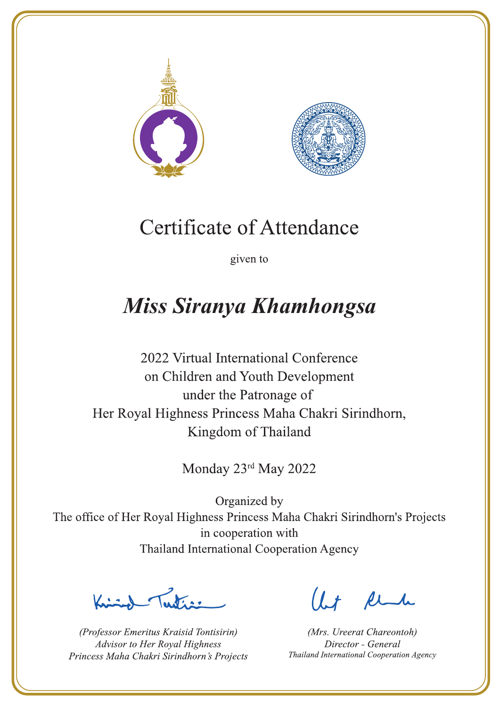



given to

## **Miss Siranya Khamhongsa**

2022 Virtual International Conference on Children and Youth Development under the Patronage of Her Royal Highness Princess Maha Chakri Sirindhorn, Kingdom of Thailand

Monday 23rd May 2022

 $\sum_{n=1}^{\infty}$ 

(Professor Emeritus Kraisid Tontisirin) Advisor to Her Royal Highness Princess Maha Chakri Sirindhorn's Projects

 $l.t$  find

(Mrs. Ureerat Chareontoh) Director - General Thailand International Cooperation Agency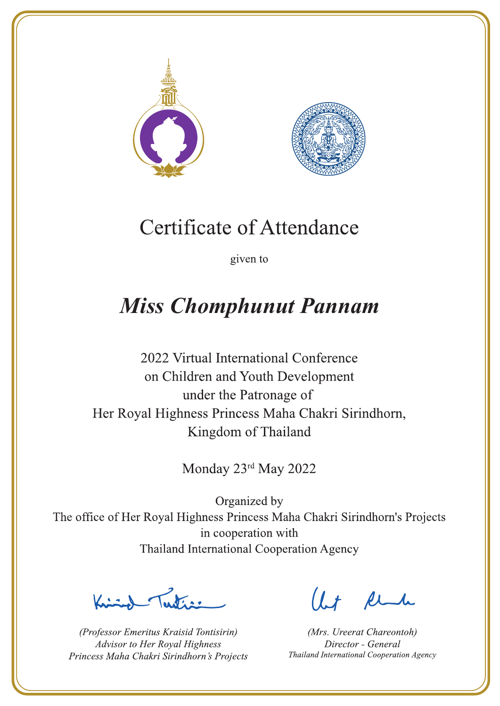



given to

# **Miss Chomphunut Pannam**

2022 Virtual International Conference on Children and Youth Development under the Patronage of Her Royal Highness Princess Maha Chakri Sirindhorn, Kingdom of Thailand

Monday 23rd May 2022

La de avons

(Professor Emeritus Kraisid Tontisirin) Advisor to Her Royal Highness Princess Maha Chakri Sirindhorn's Projects

 $l.t$  find

(Mrs. Ureerat Chareontoh) Director - General Thailand International Cooperation Agency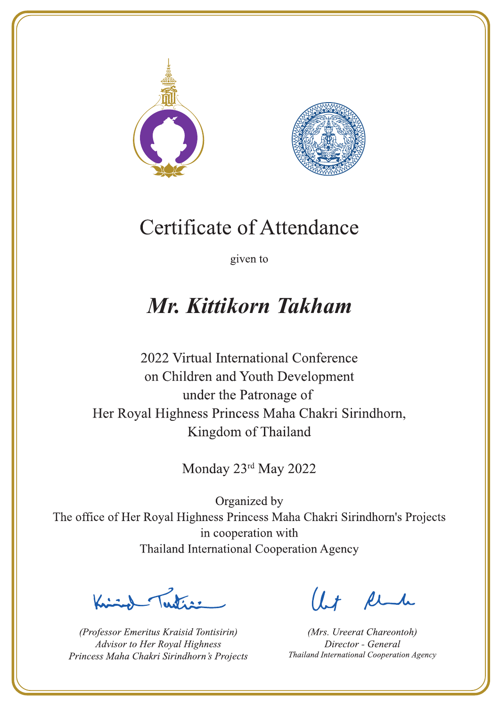



given to

## Mr. Kittikorn Takham

2022 Virtual International Conference on Children and Youth Development under the Patronage of Her Royal Highness Princess Maha Chakri Sirindhorn, Kingdom of Thailand

Monday 23rd May 2022

Ludian -

(Professor Emeritus Kraisid Tontisirin) Advisor to Her Royal Highness Princess Maha Chakri Sirindhorn's Projects

Ut Rende

(Mrs. Ureerat Chareontoh) Director - General Thailand International Cooperation Agency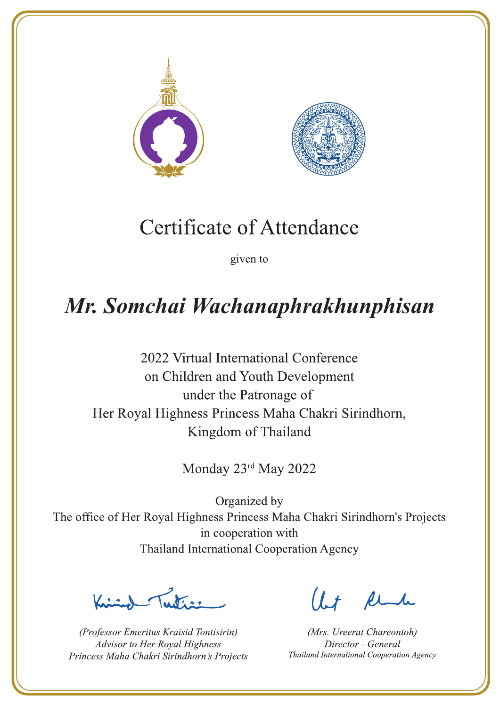



given to

# Mr. Somchai Wachanaphrakhunphisan

2022 Virtual International Conference on Children and Youth Development under the Patronage of Her Royal Highness Princess Maha Chakri Sirindhorn, Kingdom of Thailand

Monday 23rd May 2022

 $\frac{1}{\sqrt{2}}$ 

(Professor Emeritus Kraisid Tontisirin) Advisor to Her Royal Highness Princess Maha Chakri Sirindhorn's Projects

 $1.7$  flu

(Mrs. Ureerat Chareontoh) Director - General Thailand International Cooperation Agency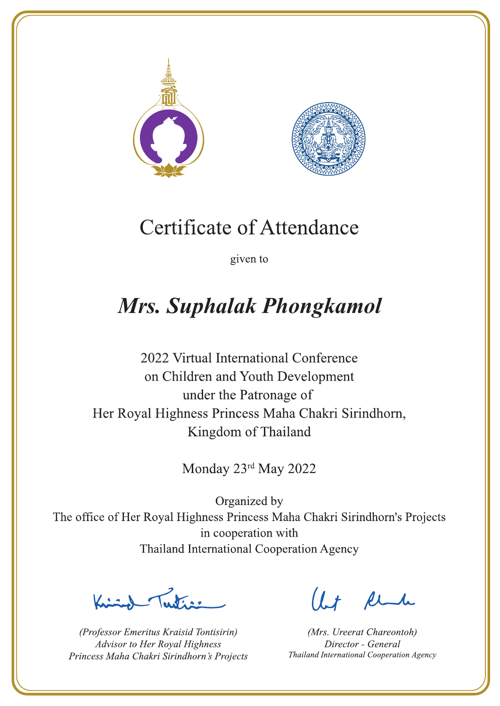



given to

# Mrs. Suphalak Phongkamol

2022 Virtual International Conference on Children and Youth Development under the Patronage of Her Royal Highness Princess Maha Chakri Sirindhorn, Kingdom of Thailand

Monday 23rd May 2022

 $\sqrt{1-\frac{1}{2}}$ 

(Professor Emeritus Kraisid Tontisirin) Advisor to Her Royal Highness Princess Maha Chakri Sirindhorn's Projects

 $l.t$  find

(Mrs. Ureerat Chareontoh) Director - General Thailand International Cooperation Agency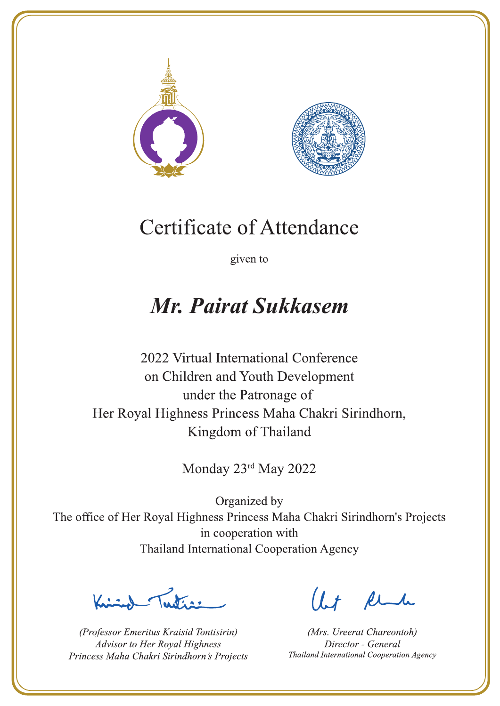



given to

### Mr. Pairat Sukkasem

2022 Virtual International Conference on Children and Youth Development under the Patronage of Her Royal Highness Princess Maha Chakri Sirindhorn, Kingdom of Thailand

Monday 23rd May 2022

Letters ,

(Professor Emeritus Kraisid Tontisirin) Advisor to Her Royal Highness Princess Maha Chakri Sirindhorn's Projects

 $l.t$  find

(Mrs. Ureerat Chareontoh) Director - General Thailand International Cooperation Agency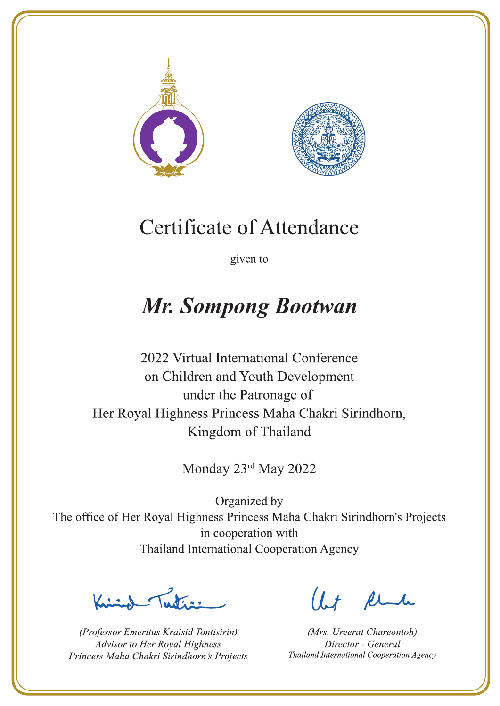



given to

# **Mr. Sompong Bootwan**

2022 Virtual International Conference on Children and Youth Development under the Patronage of Her Royal Highness Princess Maha Chakri Sirindhorn, Kingdom of Thailand

Monday 23rd May 2022

Latin ,

(Professor Emeritus Kraisid Tontisirin) Advisor to Her Royal Highness Princess Maha Chakri Sirindhorn's Projects

 $l.t$  find

(Mrs. Ureerat Chareontoh) Director - General Thailand International Cooperation Agency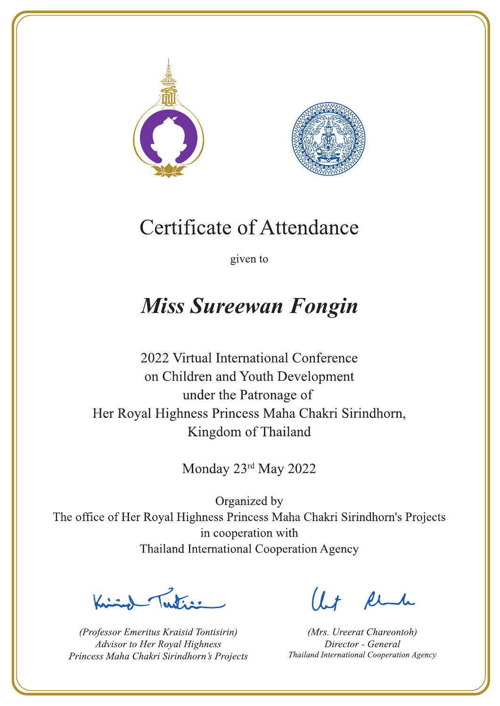



given to

## **Miss Sureewan Fongin**

2022 Virtual International Conference on Children and Youth Development under the Patronage of Her Royal Highness Princess Maha Chakri Sirindhorn, Kingdom of Thailand

Monday 23rd May 2022

 $\sum_{n=1}^{\infty}$ 

(Professor Emeritus Kraisid Tontisirin) Advisor to Her Royal Highness Princess Maha Chakri Sirindhorn's Projects

 $l.t$  find

(Mrs. Ureerat Chareontoh) Director - General Thailand International Cooperation Agency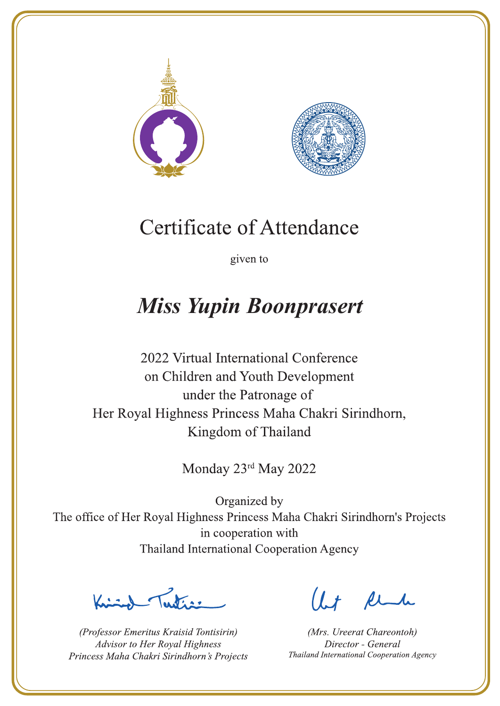



given to

# **Miss Yupin Boonprasert**

2022 Virtual International Conference on Children and Youth Development under the Patronage of Her Royal Highness Princess Maha Chakri Sirindhorn, Kingdom of Thailand

Monday 23rd May 2022

La de avons

(Professor Emeritus Kraisid Tontisirin) Advisor to Her Royal Highness Princess Maha Chakri Sirindhorn's Projects

 $l.t$  find

(Mrs. Ureerat Chareontoh) Director - General Thailand International Cooperation Agency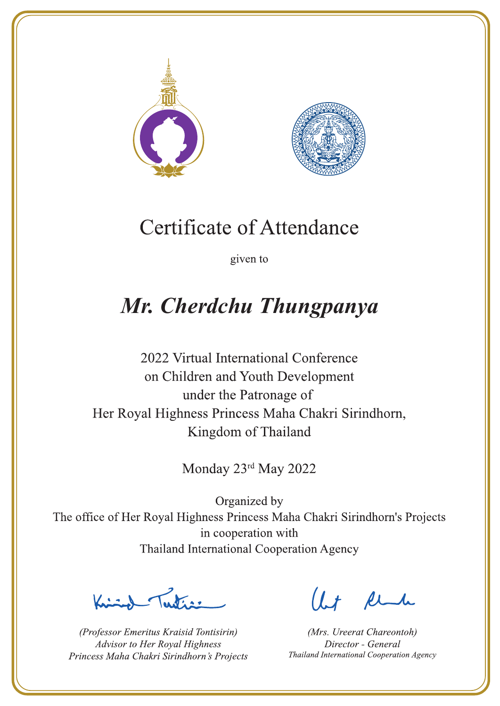



given to

## Mr. Cherdchu Thungpanya

2022 Virtual International Conference on Children and Youth Development under the Patronage of Her Royal Highness Princess Maha Chakri Sirindhorn, Kingdom of Thailand

Monday 23rd May 2022

Letters ,

(Professor Emeritus Kraisid Tontisirin) Advisor to Her Royal Highness Princess Maha Chakri Sirindhorn's Projects

 $l.t$  find

(Mrs. Ureerat Chareontoh) Director - General Thailand International Cooperation Agency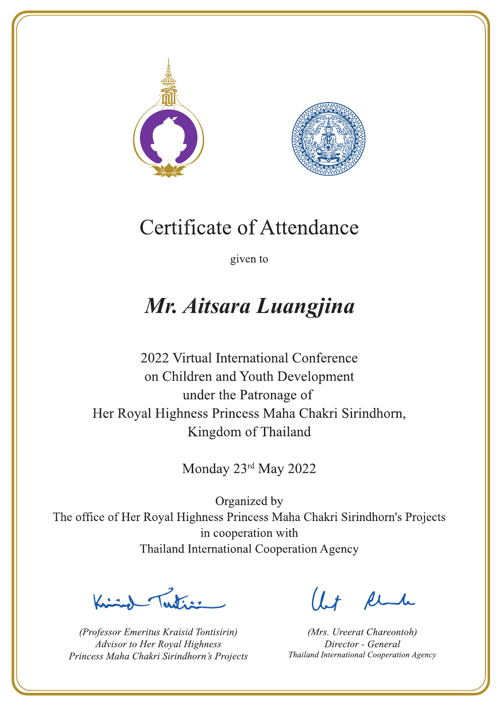



given to

## Mr. Aitsara Luangjina

2022 Virtual International Conference on Children and Youth Development under the Patronage of Her Royal Highness Princess Maha Chakri Sirindhorn, Kingdom of Thailand

Monday 23rd May 2022

 $\sum_{n=1}^{\infty} \int_{\mathbb{R}^d} f(x) dx$ 

(Professor Emeritus Kraisid Tontisirin) Advisor to Her Royal Highness Princess Maha Chakri Sirindhorn's Projects

 $l.t$  find

(Mrs. Ureerat Chareontoh) Director - General Thailand International Cooperation Agency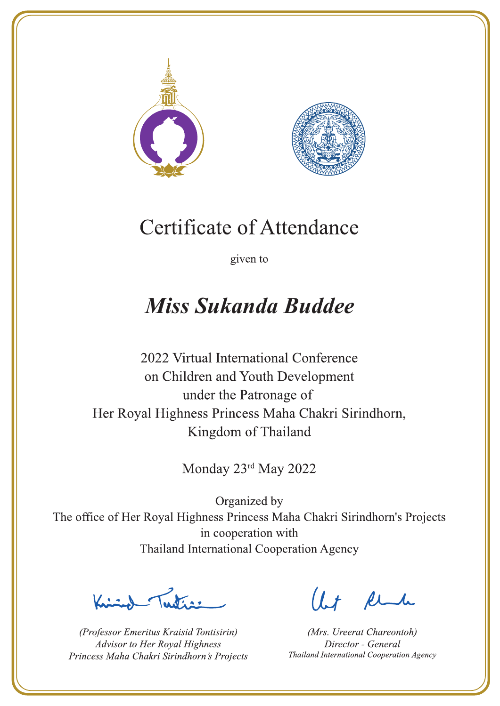



given to

## **Miss Sukanda Buddee**

2022 Virtual International Conference on Children and Youth Development under the Patronage of Her Royal Highness Princess Maha Chakri Sirindhorn, Kingdom of Thailand

Monday 23rd May 2022

Lutin ,

(Professor Emeritus Kraisid Tontisirin) Advisor to Her Royal Highness Princess Maha Chakri Sirindhorn's Projects

 $l.t$  find

(Mrs. Ureerat Chareontoh) Director - General Thailand International Cooperation Agency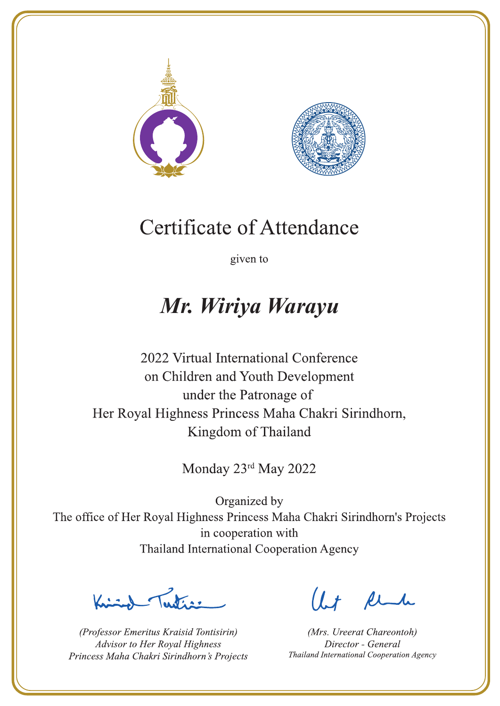



given to

### Mr. Wiriya Warayu

2022 Virtual International Conference on Children and Youth Development under the Patronage of Her Royal Highness Princess Maha Chakri Sirindhorn, Kingdom of Thailand

Monday 23rd May 2022

Peters -

(Professor Emeritus Kraisid Tontisirin) Advisor to Her Royal Highness Princess Maha Chakri Sirindhorn's Projects

Ut Rende

(Mrs. Ureerat Chareontoh) Director - General Thailand International Cooperation Agency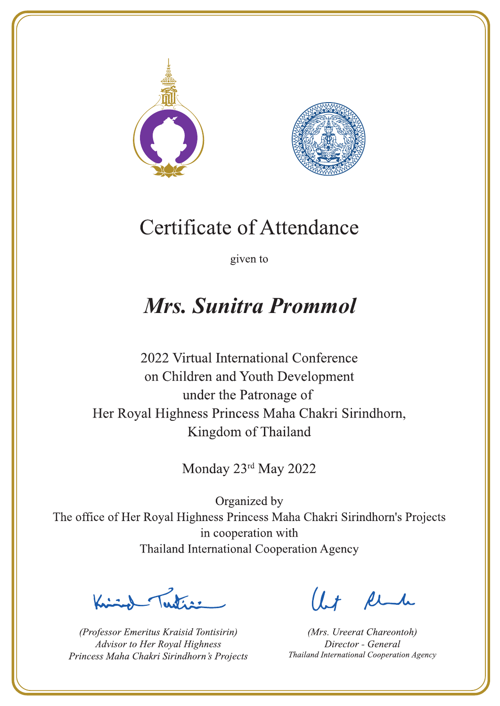



given to

### Mrs. Sunitra Prommol

2022 Virtual International Conference on Children and Youth Development under the Patronage of Her Royal Highness Princess Maha Chakri Sirindhorn, Kingdom of Thailand

Monday 23rd May 2022

Letter

(Professor Emeritus Kraisid Tontisirin) Advisor to Her Royal Highness Princess Maha Chakri Sirindhorn's Projects

Ut Rende

(Mrs. Ureerat Chareontoh) Director - General Thailand International Cooperation Agency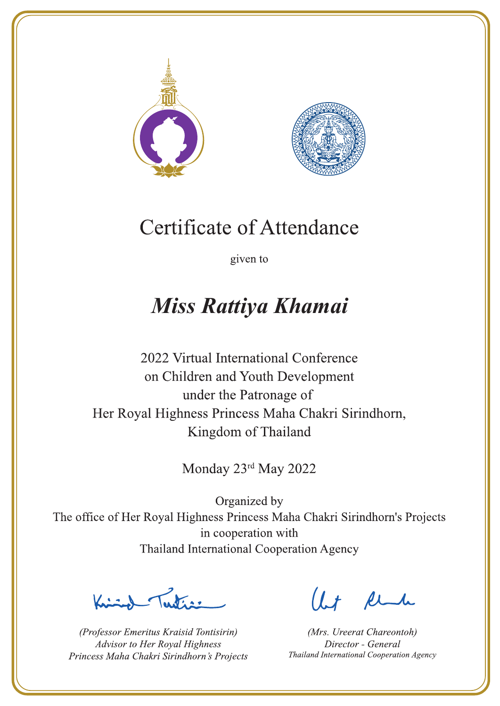



given to

## Miss Rattiya Khamai

2022 Virtual International Conference on Children and Youth Development under the Patronage of Her Royal Highness Princess Maha Chakri Sirindhorn, Kingdom of Thailand

Monday 23rd May 2022

Letters .

(Professor Emeritus Kraisid Tontisirin) Advisor to Her Royal Highness Princess Maha Chakri Sirindhorn's Projects

 $l.t$  find

(Mrs. Ureerat Chareontoh) Director - General Thailand International Cooperation Agency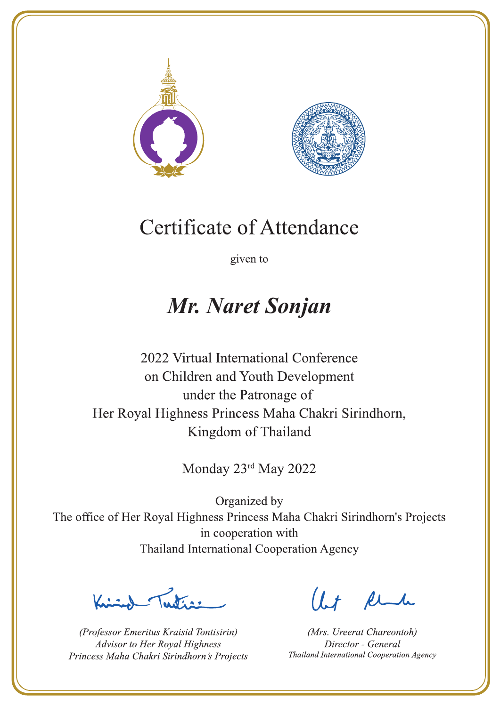



given to

### Mr. Naret Sonjan

2022 Virtual International Conference on Children and Youth Development under the Patronage of Her Royal Highness Princess Maha Chakri Sirindhorn, Kingdom of Thailand

Monday 23rd May 2022

La de avons

(Professor Emeritus Kraisid Tontisirin) Advisor to Her Royal Highness Princess Maha Chakri Sirindhorn's Projects

 $l.t$  find

(Mrs. Ureerat Chareontoh) Director - General Thailand International Cooperation Agency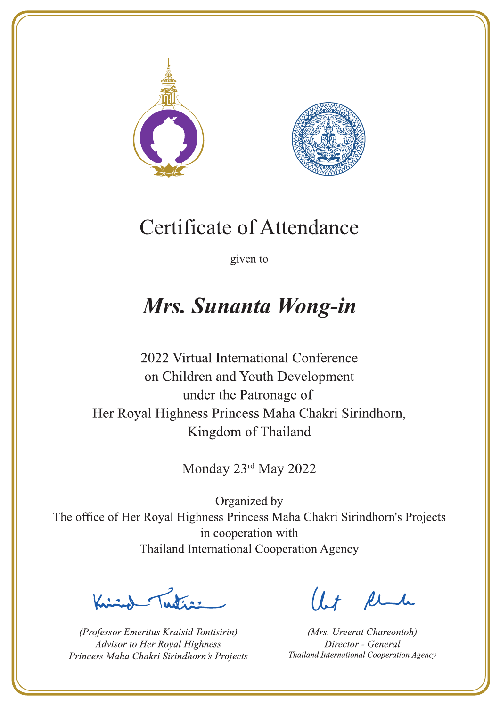



given to

## Mrs. Sunanta Wong-in

2022 Virtual International Conference on Children and Youth Development under the Patronage of Her Royal Highness Princess Maha Chakri Sirindhorn, Kingdom of Thailand

Monday 23rd May 2022

Letter

(Professor Emeritus Kraisid Tontisirin) Advisor to Her Royal Highness Princess Maha Chakri Sirindhorn's Projects

 $l.t$  find

(Mrs. Ureerat Chareontoh) Director - General Thailand International Cooperation Agency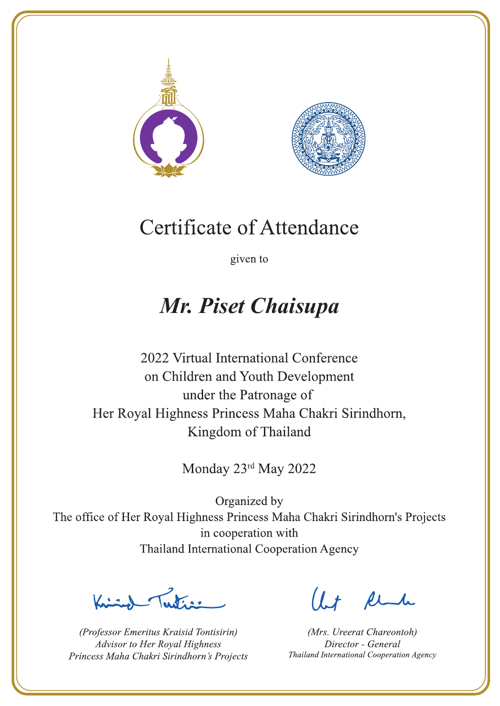



given to

## Mr. Piset Chaisupa

2022 Virtual International Conference on Children and Youth Development under the Patronage of Her Royal Highness Princess Maha Chakri Sirindhorn, Kingdom of Thailand

Monday 23rd May 2022

Lating

(Professor Emeritus Kraisid Tontisirin) Advisor to Her Royal Highness Princess Maha Chakri Sirindhorn's Projects

 $l.t$  find

(Mrs. Ureerat Chareontoh) Director - General Thailand International Cooperation Agency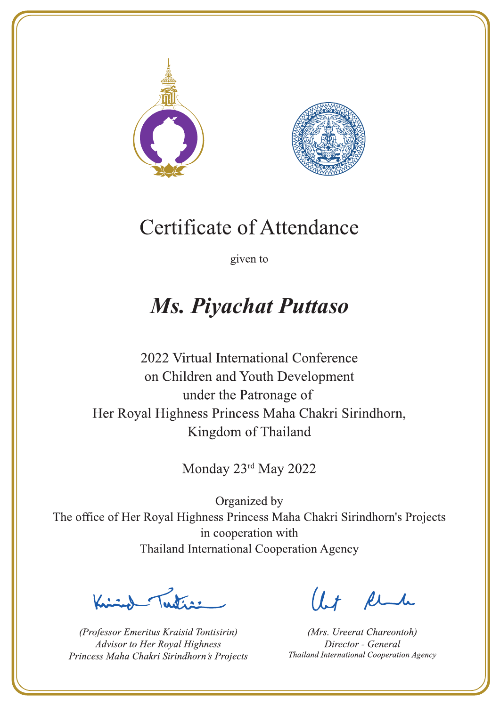



given to

## **Ms. Piyachat Puttaso**

2022 Virtual International Conference on Children and Youth Development under the Patronage of Her Royal Highness Princess Maha Chakri Sirindhorn, Kingdom of Thailand

Monday 23rd May 2022

 $\sum_{n=1}^{\infty}$ 

(Professor Emeritus Kraisid Tontisirin) Advisor to Her Royal Highness Princess Maha Chakri Sirindhorn's Projects

 $l.t$  find

(Mrs. Ureerat Chareontoh) Director - General Thailand International Cooperation Agency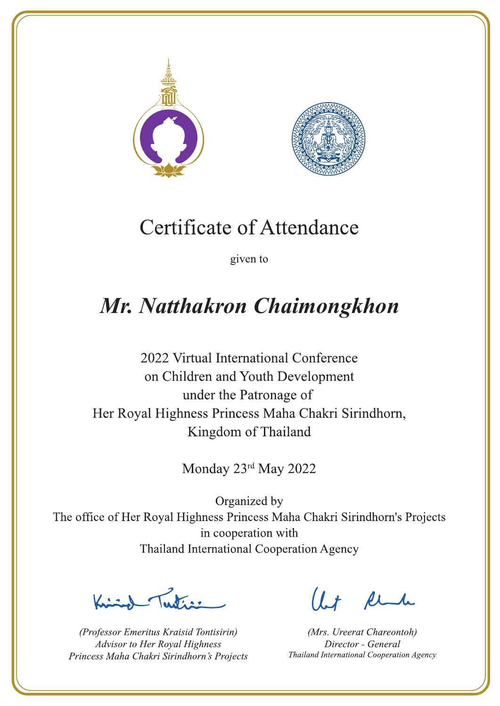



given to

# Mr. Natthakron Chaimongkhon

2022 Virtual International Conference on Children and Youth Development under the Patronage of Her Royal Highness Princess Maha Chakri Sirindhorn, Kingdom of Thailand

Monday 23rd May 2022

Letters ,

(Professor Emeritus Kraisid Tontisirin) Advisor to Her Royal Highness Princess Maha Chakri Sirindhorn's Projects

 $l.t$  find

(Mrs. Ureerat Chareontoh) Director - General Thailand International Cooperation Agency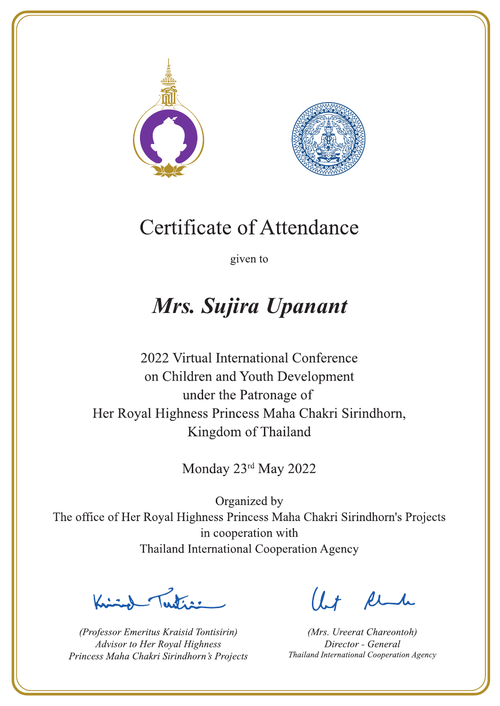



given to

## Mrs. Sujira Upanant

2022 Virtual International Conference on Children and Youth Development under the Patronage of Her Royal Highness Princess Maha Chakri Sirindhorn, Kingdom of Thailand

Monday 23rd May 2022

Latin ,

(Professor Emeritus Kraisid Tontisirin) Advisor to Her Royal Highness Princess Maha Chakri Sirindhorn's Projects

 $l.t$  find

(Mrs. Ureerat Chareontoh) Director - General Thailand International Cooperation Agency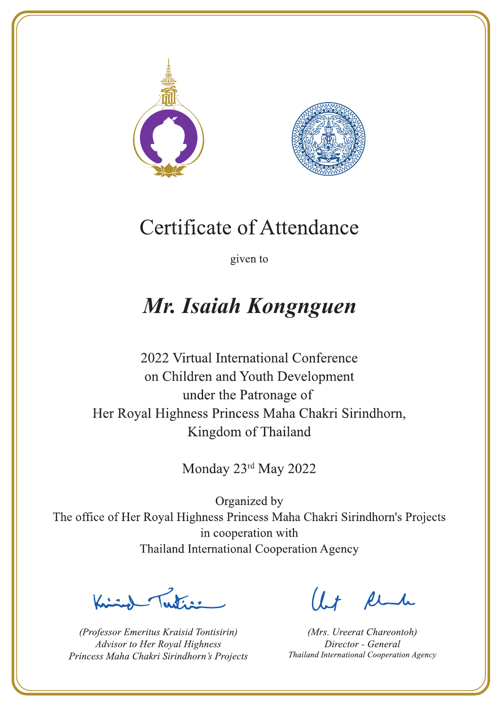



given to

### Mr. Isaiah Kongnguen

2022 Virtual International Conference on Children and Youth Development under the Patronage of Her Royal Highness Princess Maha Chakri Sirindhorn, Kingdom of Thailand

Monday 23rd May 2022

Latin ,

(Professor Emeritus Kraisid Tontisirin) Advisor to Her Royal Highness Princess Maha Chakri Sirindhorn's Projects

 $l.t$  find

(Mrs. Ureerat Chareontoh) Director - General Thailand International Cooperation Agency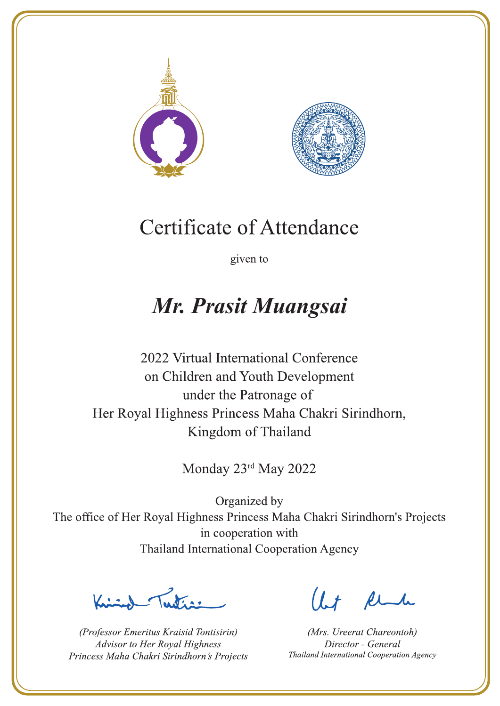



given to

### Mr. Prasit Muangsai

2022 Virtual International Conference on Children and Youth Development under the Patronage of Her Royal Highness Princess Maha Chakri Sirindhorn, Kingdom of Thailand

Monday 23rd May 2022

La de a gr

(Professor Emeritus Kraisid Tontisirin) Advisor to Her Royal Highness Princess Maha Chakri Sirindhorn's Projects

 $l.t$  find

(Mrs. Ureerat Chareontoh) Director - General Thailand International Cooperation Agency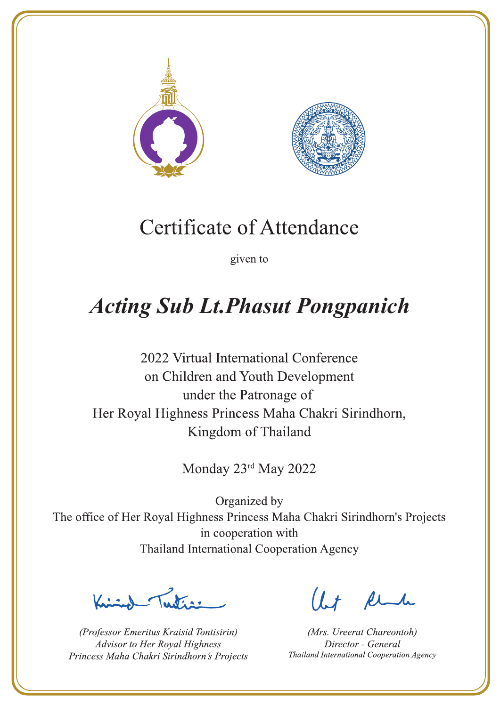



given to

## **Acting Sub Lt. Phasut Pongpanich**

2022 Virtual International Conference on Children and Youth Development under the Patronage of Her Royal Highness Princess Maha Chakri Sirindhorn, Kingdom of Thailand

Monday 23rd May 2022

 $\sqrt{1-\frac{1}{2}}$ 

(Professor Emeritus Kraisid Tontisirin) Advisor to Her Royal Highness Princess Maha Chakri Sirindhorn's Projects

 $l.t$  find

(Mrs. Ureerat Chareontoh) Director - General Thailand International Cooperation Agency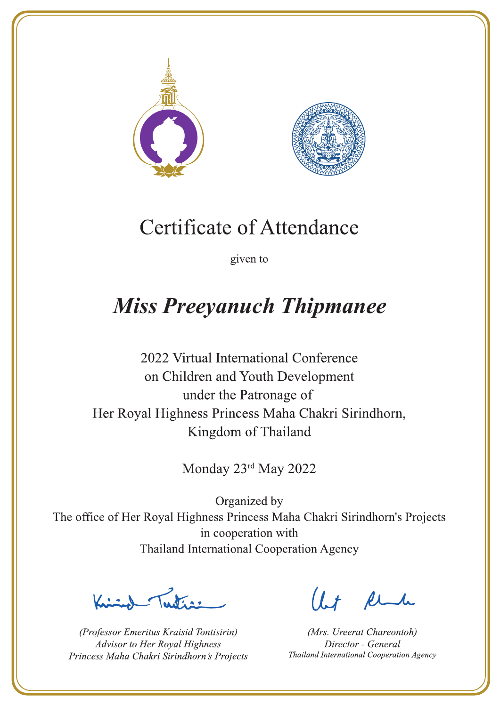



given to

## **Miss Preeyanuch Thipmanee**

2022 Virtual International Conference on Children and Youth Development under the Patronage of Her Royal Highness Princess Maha Chakri Sirindhorn, Kingdom of Thailand

Monday 23rd May 2022

 $\sum_{n=1}^{\infty}$ 

(Professor Emeritus Kraisid Tontisirin) Advisor to Her Royal Highness Princess Maha Chakri Sirindhorn's Projects

 $l.t$  find

(Mrs. Ureerat Chareontoh) Director - General Thailand International Cooperation Agency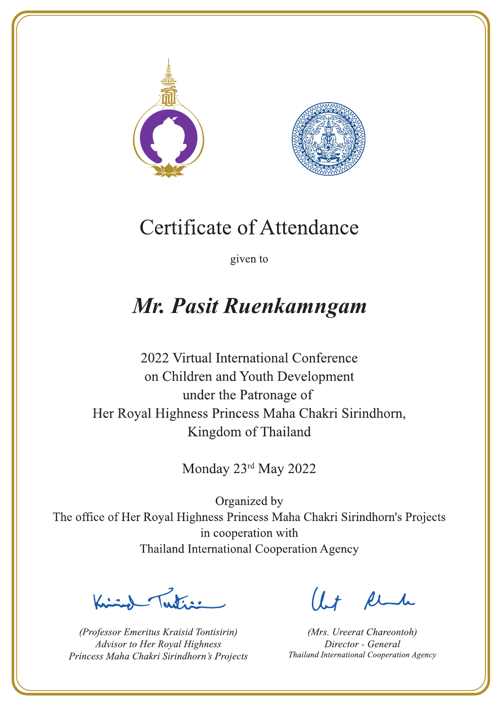



given to

## Mr. Pasit Ruenkamngam

2022 Virtual International Conference on Children and Youth Development under the Patronage of Her Royal Highness Princess Maha Chakri Sirindhorn, Kingdom of Thailand

Monday 23rd May 2022

La de a gr

(Professor Emeritus Kraisid Tontisirin) Advisor to Her Royal Highness Princess Maha Chakri Sirindhorn's Projects

 $l.t$  find

(Mrs. Ureerat Chareontoh) Director - General Thailand International Cooperation Agency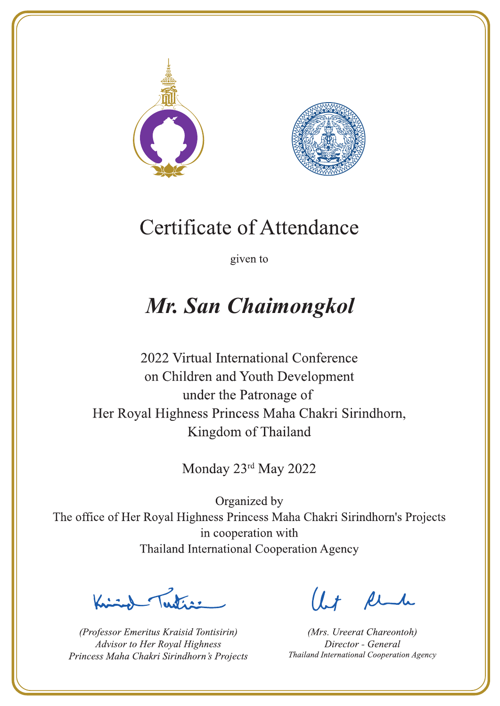



given to

# Mr. San Chaimongkol

2022 Virtual International Conference on Children and Youth Development under the Patronage of Her Royal Highness Princess Maha Chakri Sirindhorn, Kingdom of Thailand

Monday 23rd May 2022

La de avons

(Professor Emeritus Kraisid Tontisirin) Advisor to Her Royal Highness Princess Maha Chakri Sirindhorn's Projects

 $l.t$  find

(Mrs. Ureerat Chareontoh) Director - General Thailand International Cooperation Agency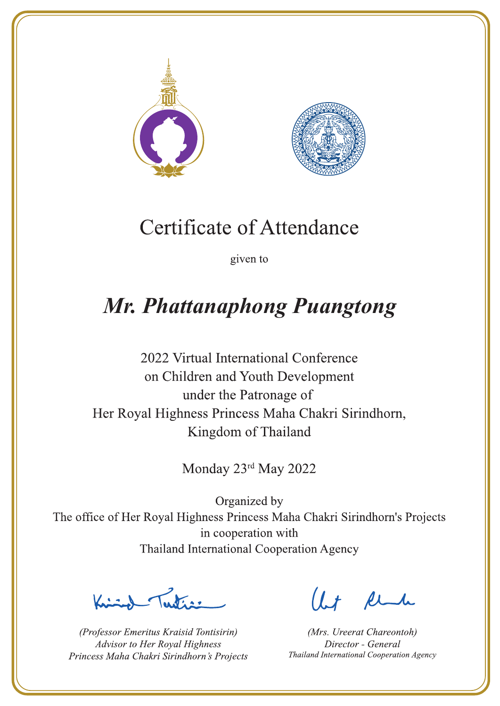



given to

# **Mr. Phattanaphong Puangtong**

2022 Virtual International Conference on Children and Youth Development under the Patronage of Her Royal Highness Princess Maha Chakri Sirindhorn, Kingdom of Thailand

Monday 23rd May 2022

 $\sqrt{1-\frac{1}{2}}$ 

(Professor Emeritus Kraisid Tontisirin) Advisor to Her Royal Highness Princess Maha Chakri Sirindhorn's Projects

 $1.7$  find

(Mrs. Ureerat Chareontoh) Director - General Thailand International Cooperation Agency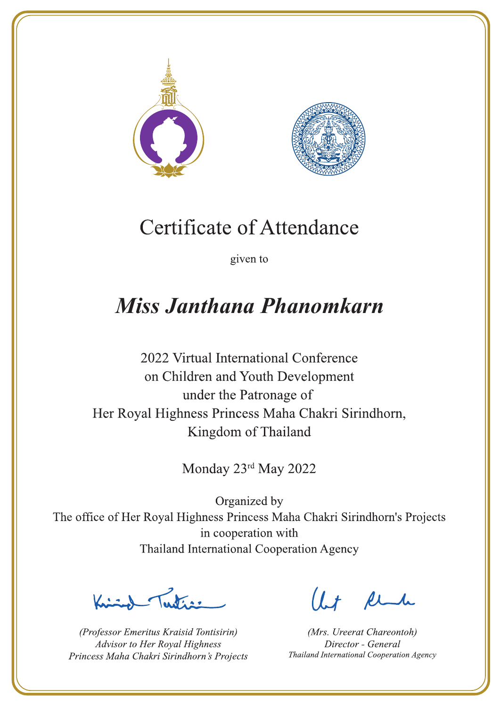



given to

## **Miss Janthana Phanomkarn**

2022 Virtual International Conference on Children and Youth Development under the Patronage of Her Royal Highness Princess Maha Chakri Sirindhorn, Kingdom of Thailand

Monday 23rd May 2022

 $\sum_{n=1}^{\infty}$ 

(Professor Emeritus Kraisid Tontisirin) Advisor to Her Royal Highness Princess Maha Chakri Sirindhorn's Projects

 $l.t$  find

(Mrs. Ureerat Chareontoh) Director - General Thailand International Cooperation Agency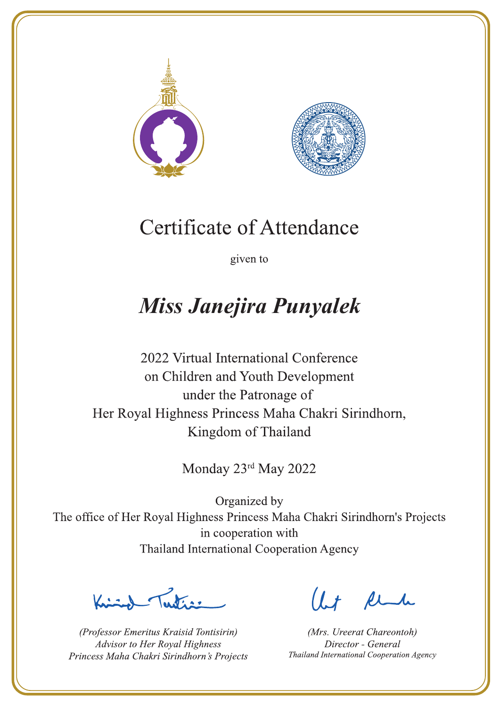



given to

# **Miss Janejira Punyalek**

2022 Virtual International Conference on Children and Youth Development under the Patronage of Her Royal Highness Princess Maha Chakri Sirindhorn, Kingdom of Thailand

Monday 23rd May 2022

Justin 1

(Professor Emeritus Kraisid Tontisirin) Advisor to Her Royal Highness Princess Maha Chakri Sirindhorn's Projects

 $l.t$  find

(Mrs. Ureerat Chareontoh) Director - General Thailand International Cooperation Agency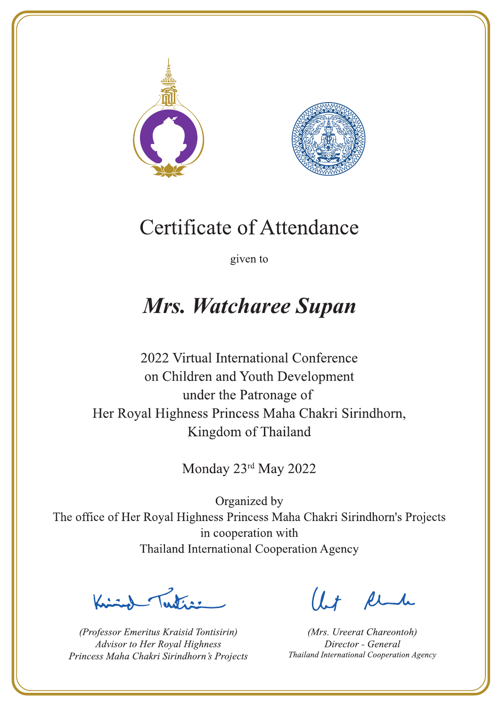



given to

## **Mrs. Watcharee Supan**

2022 Virtual International Conference on Children and Youth Development under the Patronage of Her Royal Highness Princess Maha Chakri Sirindhorn, Kingdom of Thailand

Monday 23rd May 2022

La de avons

(Professor Emeritus Kraisid Tontisirin) Advisor to Her Royal Highness Princess Maha Chakri Sirindhorn's Projects

 $l.t$  find

(Mrs. Ureerat Chareontoh) Director - General Thailand International Cooperation Agency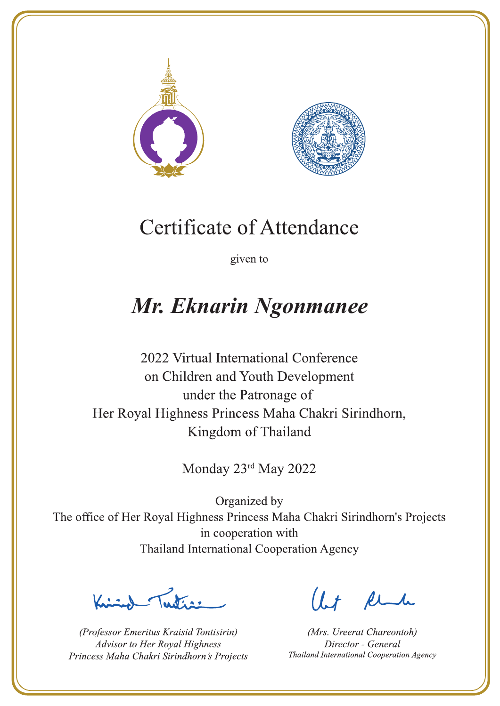



given to

### Mr. Eknarin Ngonmanee

2022 Virtual International Conference on Children and Youth Development under the Patronage of Her Royal Highness Princess Maha Chakri Sirindhorn, Kingdom of Thailand

Monday 23rd May 2022

 $\sum_{n=1}^{\infty}$ 

(Professor Emeritus Kraisid Tontisirin) Advisor to Her Royal Highness Princess Maha Chakri Sirindhorn's Projects

 $l.t$  find

(Mrs. Ureerat Chareontoh) Director - General Thailand International Cooperation Agency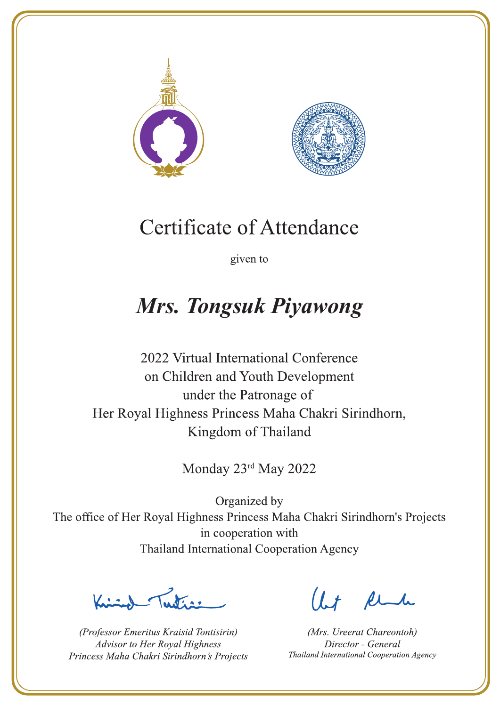



given to

# **Mrs. Tongsuk Piyawong**

2022 Virtual International Conference on Children and Youth Development under the Patronage of Her Royal Highness Princess Maha Chakri Sirindhorn, Kingdom of Thailand

Monday 23rd May 2022

Latin ,

(Professor Emeritus Kraisid Tontisirin) Advisor to Her Royal Highness Princess Maha Chakri Sirindhorn's Projects

 $l.t$  find

(Mrs. Ureerat Chareontoh) Director - General Thailand International Cooperation Agency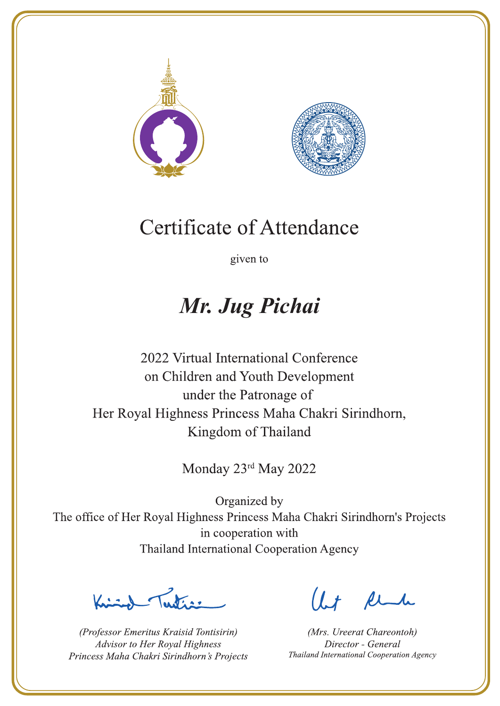



given to

## Mr. Jug Pichai

2022 Virtual International Conference on Children and Youth Development under the Patronage of Her Royal Highness Princess Maha Chakri Sirindhorn, Kingdom of Thailand

Monday 23rd May 2022

 $\sum_{n=1}^{\infty}$ 

(Professor Emeritus Kraisid Tontisirin) Advisor to Her Royal Highness Princess Maha Chakri Sirindhorn's Projects

 $l.t$  find

(Mrs. Ureerat Chareontoh) Director - General Thailand International Cooperation Agency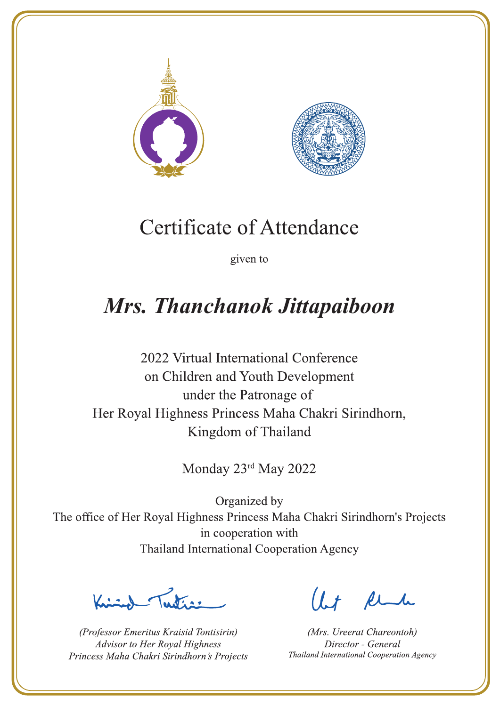



given to

## Mrs. Thanchanok Jittapaiboon

2022 Virtual International Conference on Children and Youth Development under the Patronage of Her Royal Highness Princess Maha Chakri Sirindhorn, Kingdom of Thailand

Monday 23rd May 2022

Letters ,

(Professor Emeritus Kraisid Tontisirin) Advisor to Her Royal Highness Princess Maha Chakri Sirindhorn's Projects

 $l.t$  find

(Mrs. Ureerat Chareontoh) Director - General Thailand International Cooperation Agency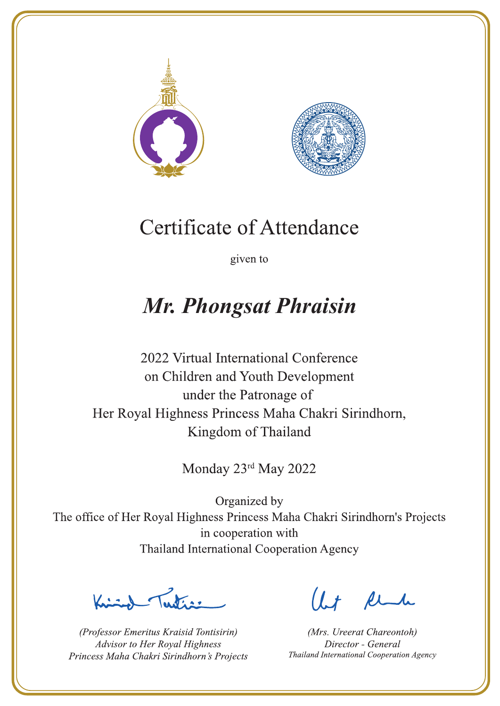



given to

## **Mr. Phongsat Phraisin**

2022 Virtual International Conference on Children and Youth Development under the Patronage of Her Royal Highness Princess Maha Chakri Sirindhorn, Kingdom of Thailand

Monday 23rd May 2022

 $\sum_{n=1}^{\infty} \int_{\mathbb{R}^d} f(x) dx$ 

(Professor Emeritus Kraisid Tontisirin) Advisor to Her Royal Highness Princess Maha Chakri Sirindhorn's Projects

 $l.t$  find

(Mrs. Ureerat Chareontoh) Director - General Thailand International Cooperation Agency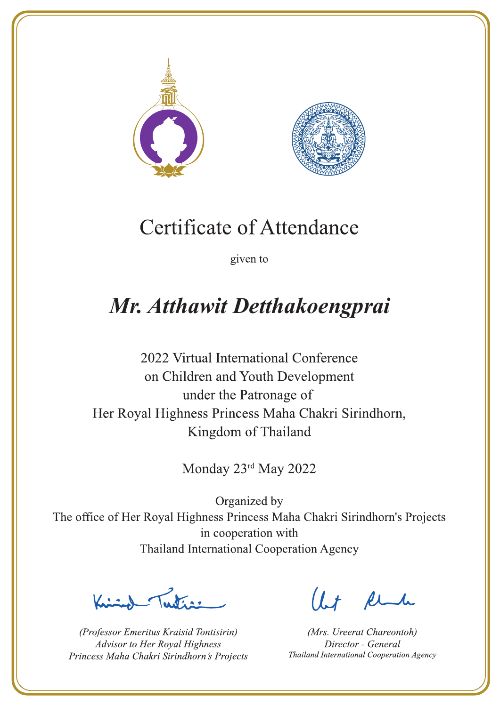



given to

# Mr. Atthawit Detthakoengprai

2022 Virtual International Conference on Children and Youth Development under the Patronage of Her Royal Highness Princess Maha Chakri Sirindhorn, Kingdom of Thailand

Monday 23rd May 2022

Jesting

(Professor Emeritus Kraisid Tontisirin) Advisor to Her Royal Highness Princess Maha Chakri Sirindhorn's Projects

 $1.7$  find

(Mrs. Ureerat Chareontoh) Director - General Thailand International Cooperation Agency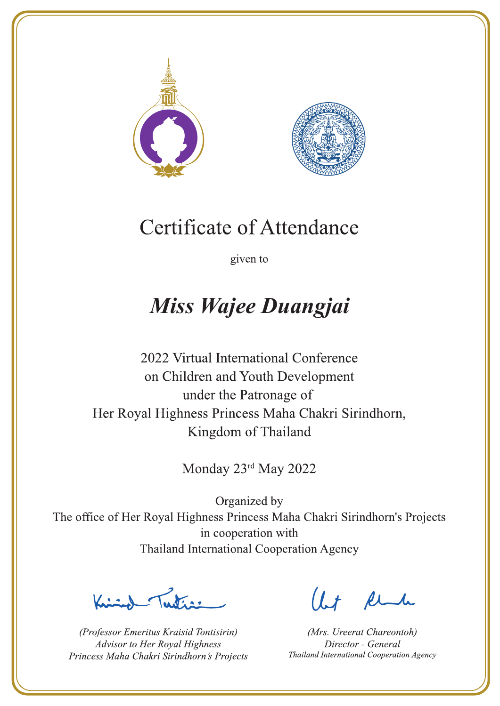



given to

## Miss Wajee Duangjai

2022 Virtual International Conference on Children and Youth Development under the Patronage of Her Royal Highness Princess Maha Chakri Sirindhorn, Kingdom of Thailand

Monday 23rd May 2022

 $\sum_{n=1}^{\infty}$ 

(Professor Emeritus Kraisid Tontisirin) Advisor to Her Royal Highness Princess Maha Chakri Sirindhorn's Projects

 $l.t$  find

(Mrs. Ureerat Chareontoh) Director - General Thailand International Cooperation Agency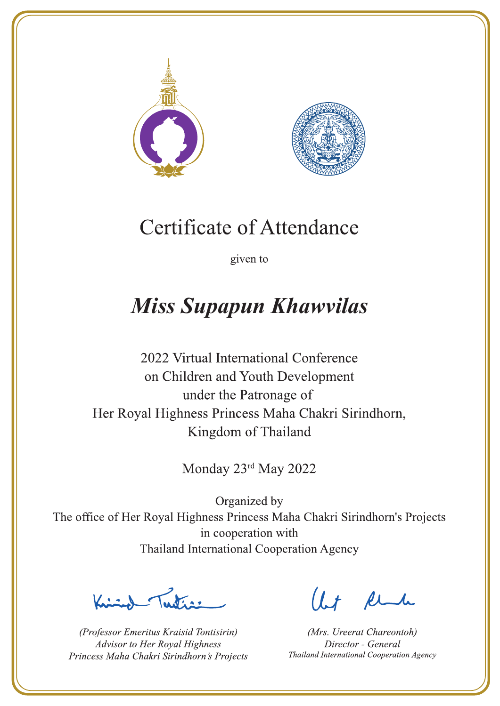



given to

# **Miss Supapun Khawvilas**

2022 Virtual International Conference on Children and Youth Development under the Patronage of Her Royal Highness Princess Maha Chakri Sirindhorn, Kingdom of Thailand

Monday 23rd May 2022

Latin ,

(Professor Emeritus Kraisid Tontisirin) Advisor to Her Royal Highness Princess Maha Chakri Sirindhorn's Projects

 $l.t$  find

(Mrs. Ureerat Chareontoh) Director - General Thailand International Cooperation Agency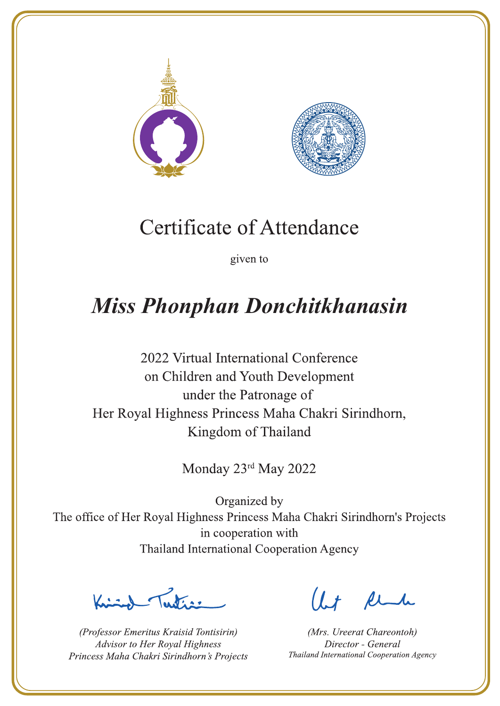



given to

# **Miss Phonphan Donchitkhanasin**

2022 Virtual International Conference on Children and Youth Development under the Patronage of Her Royal Highness Princess Maha Chakri Sirindhorn, Kingdom of Thailand

Monday 23rd May 2022

 $\sum_{n=1}^{\infty}$ 

(Professor Emeritus Kraisid Tontisirin) Advisor to Her Royal Highness Princess Maha Chakri Sirindhorn's Projects

 $l.t$  find

(Mrs. Ureerat Chareontoh) Director - General Thailand International Cooperation Agency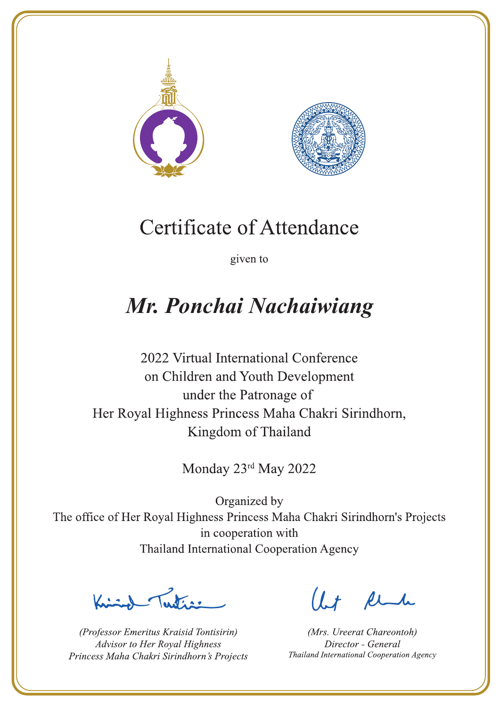



given to

# Mr. Ponchai Nachaiwiang

2022 Virtual International Conference on Children and Youth Development under the Patronage of Her Royal Highness Princess Maha Chakri Sirindhorn, Kingdom of Thailand

Monday 23rd May 2022

Lating

(Professor Emeritus Kraisid Tontisirin) Advisor to Her Royal Highness Princess Maha Chakri Sirindhorn's Projects

 $1.7$  flu

(Mrs. Ureerat Chareontoh) Director - General Thailand International Cooperation Agency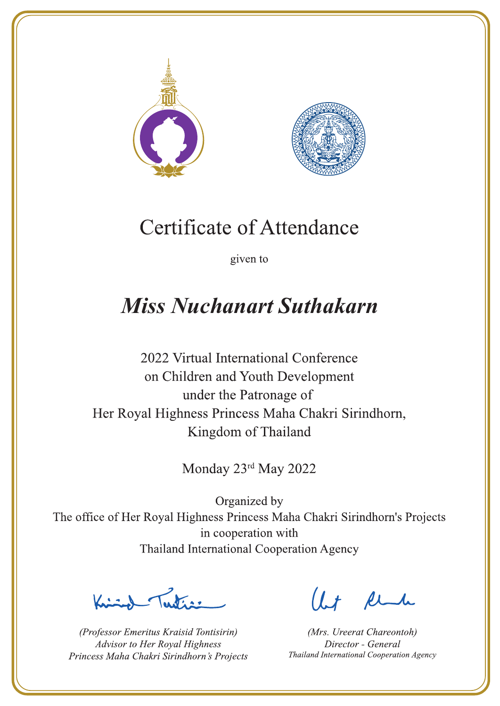



given to

## **Miss Nuchanart Suthakarn**

2022 Virtual International Conference on Children and Youth Development under the Patronage of Her Royal Highness Princess Maha Chakri Sirindhorn, Kingdom of Thailand

Monday 23rd May 2022

Letters ,

(Professor Emeritus Kraisid Tontisirin) Advisor to Her Royal Highness Princess Maha Chakri Sirindhorn's Projects

 $l.t$  find

(Mrs. Ureerat Chareontoh) Director - General Thailand International Cooperation Agency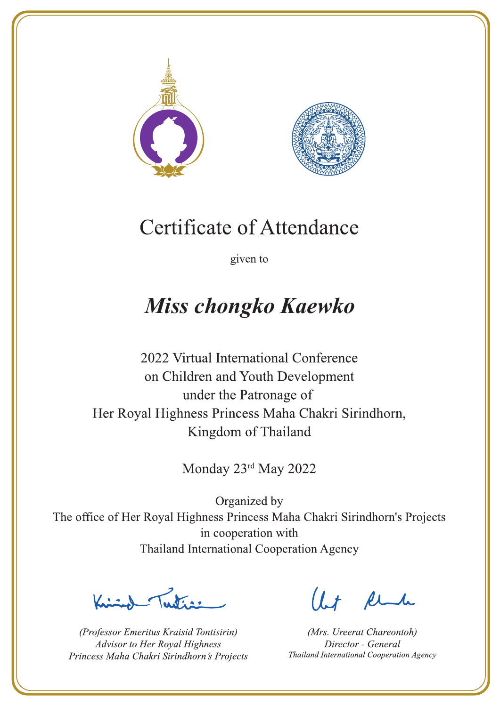



given to

# **Miss chongko Kaewko**

2022 Virtual International Conference on Children and Youth Development under the Patronage of Her Royal Highness Princess Maha Chakri Sirindhorn, Kingdom of Thailand

Monday 23rd May 2022

 $\sum_{n=1}^{\infty}$ 

(Professor Emeritus Kraisid Tontisirin) Advisor to Her Royal Highness Princess Maha Chakri Sirindhorn's Projects

 $l.t$  find

(Mrs. Ureerat Chareontoh) Director - General Thailand International Cooperation Agency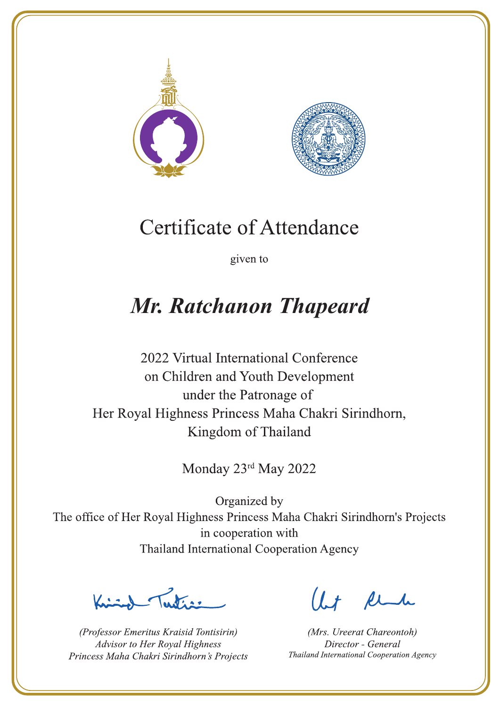



given to

# Mr. Ratchanon Thapeard

2022 Virtual International Conference on Children and Youth Development under the Patronage of Her Royal Highness Princess Maha Chakri Sirindhorn, Kingdom of Thailand

Monday 23rd May 2022

Lating

(Professor Emeritus Kraisid Tontisirin) Advisor to Her Royal Highness Princess Maha Chakri Sirindhorn's Projects

 $l.t$  find

(Mrs. Ureerat Chareontoh) Director - General Thailand International Cooperation Agency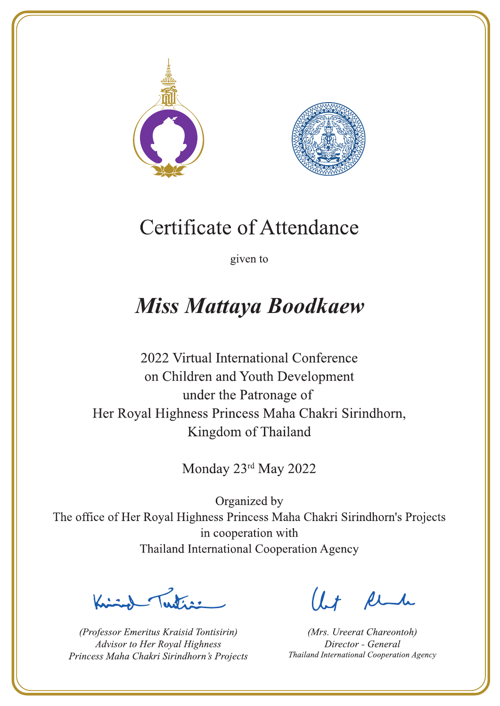



given to

## **Miss Mattaya Boodkaew**

2022 Virtual International Conference on Children and Youth Development under the Patronage of Her Royal Highness Princess Maha Chakri Sirindhorn, Kingdom of Thailand

Monday 23rd May 2022

Latin ,

(Professor Emeritus Kraisid Tontisirin) Advisor to Her Royal Highness Princess Maha Chakri Sirindhorn's Projects

 $l.t$  find

(Mrs. Ureerat Chareontoh) Director - General Thailand International Cooperation Agency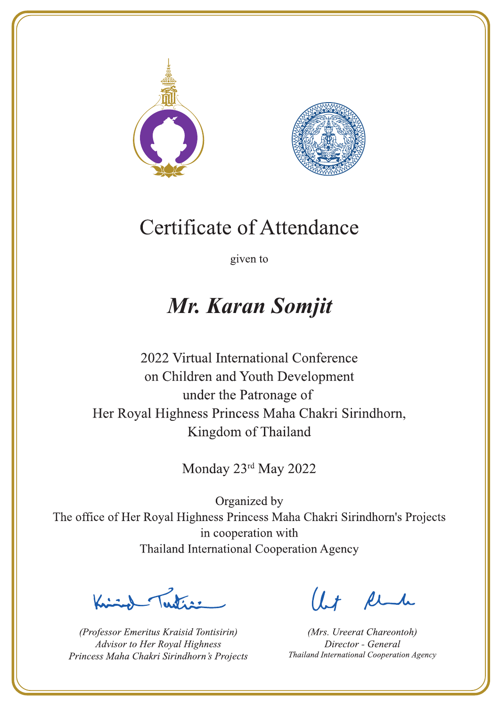



given to

### Mr. Karan Somjit

2022 Virtual International Conference on Children and Youth Development under the Patronage of Her Royal Highness Princess Maha Chakri Sirindhorn, Kingdom of Thailand

Monday 23rd May 2022

Latin ,

(Professor Emeritus Kraisid Tontisirin) Advisor to Her Royal Highness Princess Maha Chakri Sirindhorn's Projects

Ut Rende

(Mrs. Ureerat Chareontoh) Director - General Thailand International Cooperation Agency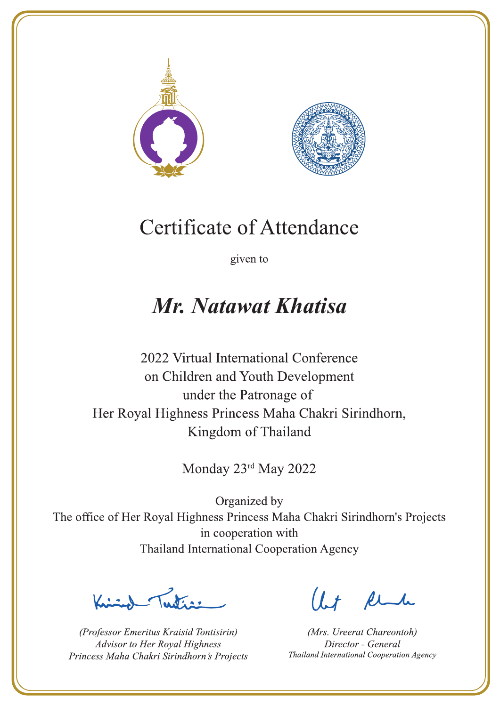



given to

### Mr. Natawat Khatisa

2022 Virtual International Conference on Children and Youth Development under the Patronage of Her Royal Highness Princess Maha Chakri Sirindhorn, Kingdom of Thailand

Monday 23rd May 2022

Letter

(Professor Emeritus Kraisid Tontisirin) Advisor to Her Royal Highness Princess Maha Chakri Sirindhorn's Projects

Ut Rende

(Mrs. Ureerat Chareontoh) Director - General Thailand International Cooperation Agency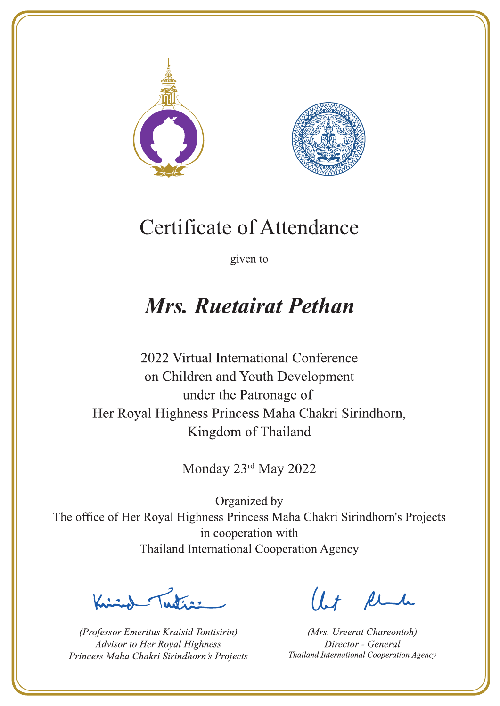



given to

## **Mrs. Ruetairat Pethan**

2022 Virtual International Conference on Children and Youth Development under the Patronage of Her Royal Highness Princess Maha Chakri Sirindhorn, Kingdom of Thailand

Monday 23rd May 2022

Letters ,

(Professor Emeritus Kraisid Tontisirin) Advisor to Her Royal Highness Princess Maha Chakri Sirindhorn's Projects

 $l.t$  find

(Mrs. Ureerat Chareontoh) Director - General Thailand International Cooperation Agency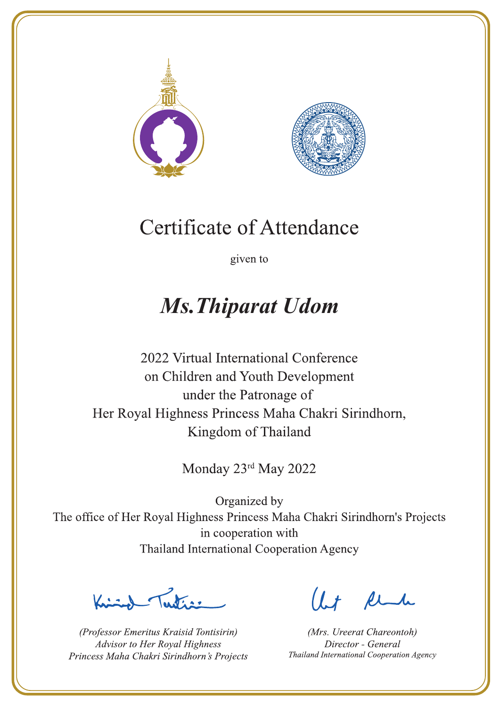



given to

## **Ms. Thiparat Udom**

2022 Virtual International Conference on Children and Youth Development under the Patronage of Her Royal Highness Princess Maha Chakri Sirindhorn, Kingdom of Thailand

Monday 23rd May 2022

 $\sum_{n=1}^{\infty}$ 

(Professor Emeritus Kraisid Tontisirin) Advisor to Her Royal Highness Princess Maha Chakri Sirindhorn's Projects

 $l.t$  find

(Mrs. Ureerat Chareontoh) Director - General Thailand International Cooperation Agency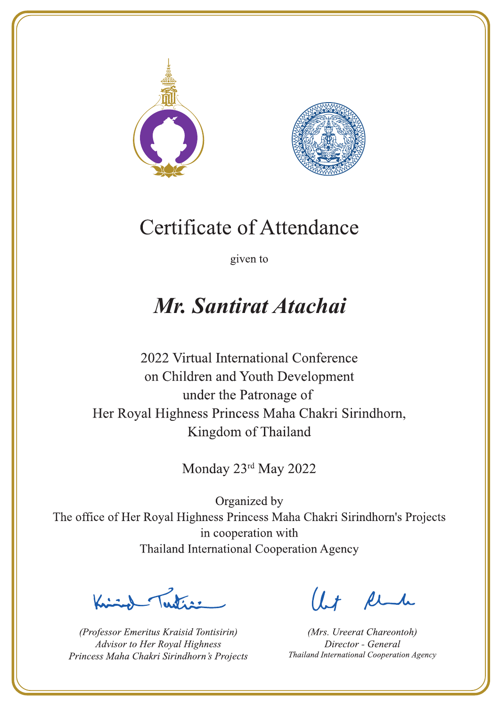



given to

### Mr. Santirat Atachai

2022 Virtual International Conference on Children and Youth Development under the Patronage of Her Royal Highness Princess Maha Chakri Sirindhorn, Kingdom of Thailand

Monday 23rd May 2022

Letters ,

(Professor Emeritus Kraisid Tontisirin) Advisor to Her Royal Highness Princess Maha Chakri Sirindhorn's Projects

 $l.t$  find

(Mrs. Ureerat Chareontoh) Director - General Thailand International Cooperation Agency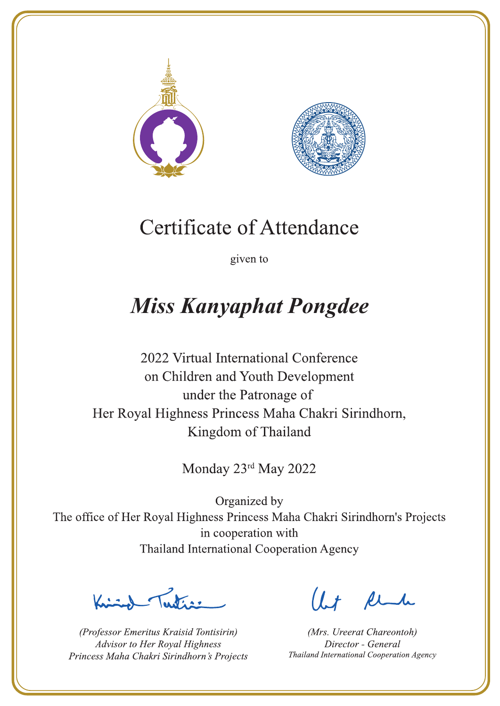



given to

# **Miss Kanyaphat Pongdee**

2022 Virtual International Conference on Children and Youth Development under the Patronage of Her Royal Highness Princess Maha Chakri Sirindhorn, Kingdom of Thailand

Monday 23rd May 2022

Lating

(Professor Emeritus Kraisid Tontisirin) Advisor to Her Royal Highness Princess Maha Chakri Sirindhorn's Projects

 $l.t$  find

(Mrs. Ureerat Chareontoh) Director - General Thailand International Cooperation Agency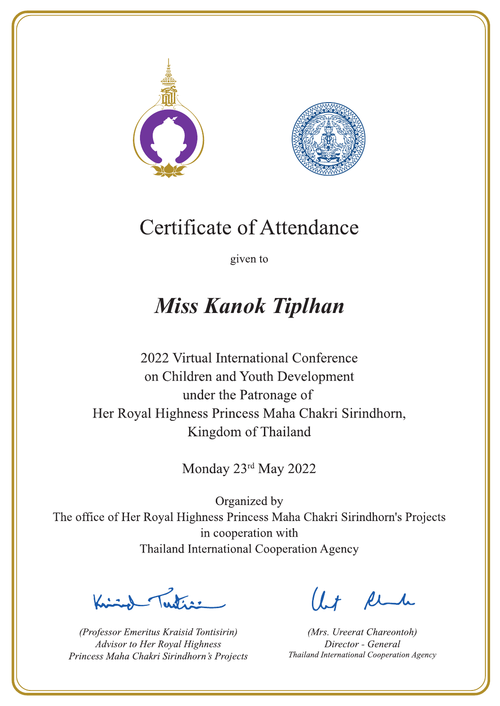



given to

## **Miss Kanok Tiplhan**

2022 Virtual International Conference on Children and Youth Development under the Patronage of Her Royal Highness Princess Maha Chakri Sirindhorn, Kingdom of Thailand

Monday 23rd May 2022

Latin ,

(Professor Emeritus Kraisid Tontisirin) Advisor to Her Royal Highness Princess Maha Chakri Sirindhorn's Projects

 $l.t$  find

(Mrs. Ureerat Chareontoh) Director - General Thailand International Cooperation Agency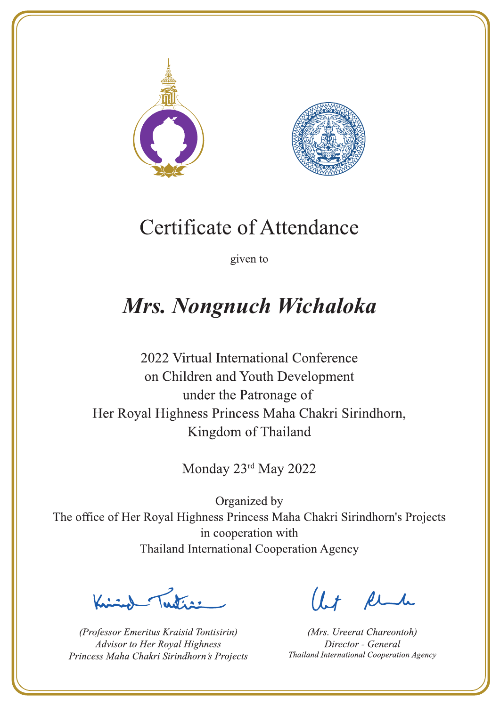



given to

## Mrs. Nongnuch Wichaloka

2022 Virtual International Conference on Children and Youth Development under the Patronage of Her Royal Highness Princess Maha Chakri Sirindhorn, Kingdom of Thailand

Monday 23rd May 2022

Lutin ,

(Professor Emeritus Kraisid Tontisirin) Advisor to Her Royal Highness Princess Maha Chakri Sirindhorn's Projects

 $l.t$  find

(Mrs. Ureerat Chareontoh) Director - General Thailand International Cooperation Agency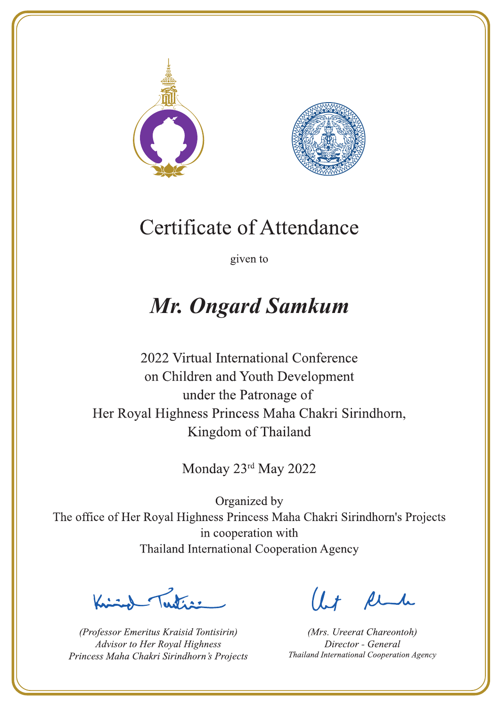



given to

# **Mr. Ongard Samkum**

2022 Virtual International Conference on Children and Youth Development under the Patronage of Her Royal Highness Princess Maha Chakri Sirindhorn, Kingdom of Thailand

Monday 23rd May 2022

Letters .

(Professor Emeritus Kraisid Tontisirin) Advisor to Her Royal Highness Princess Maha Chakri Sirindhorn's Projects

 $l.t$  find

(Mrs. Ureerat Chareontoh) Director - General Thailand International Cooperation Agency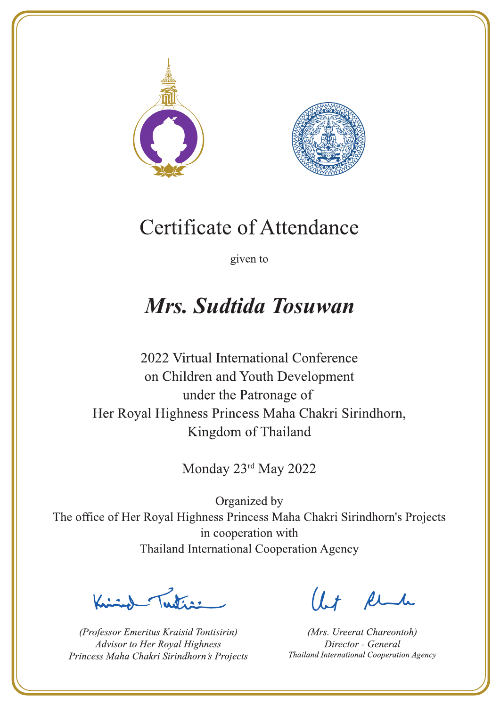



given to

### Mrs. Sudtida Tosuwan

2022 Virtual International Conference on Children and Youth Development under the Patronage of Her Royal Highness Princess Maha Chakri Sirindhorn, Kingdom of Thailand

Monday 23rd May 2022

Letter

(Professor Emeritus Kraisid Tontisirin) Advisor to Her Royal Highness Princess Maha Chakri Sirindhorn's Projects

Ut Rende

(Mrs. Ureerat Chareontoh) Director - General Thailand International Cooperation Agency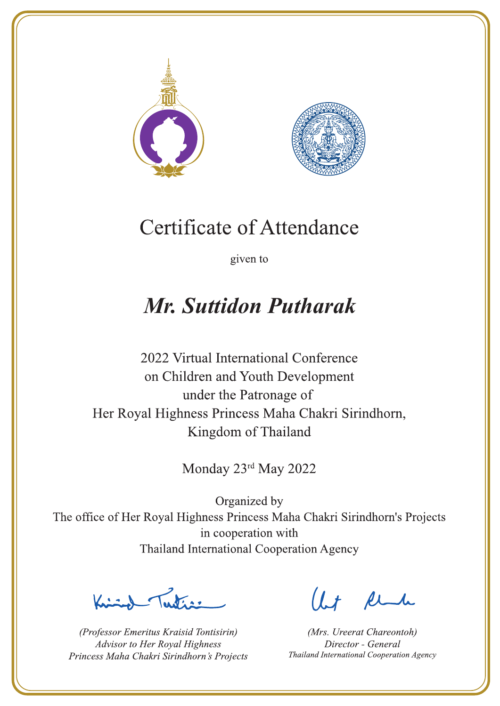



given to

### **Mr. Suttidon Putharak**

2022 Virtual International Conference on Children and Youth Development under the Patronage of Her Royal Highness Princess Maha Chakri Sirindhorn, Kingdom of Thailand

Monday 23rd May 2022

Letters ,

(Professor Emeritus Kraisid Tontisirin) Advisor to Her Royal Highness Princess Maha Chakri Sirindhorn's Projects

 $l.t$  find

(Mrs. Ureerat Chareontoh) Director - General Thailand International Cooperation Agency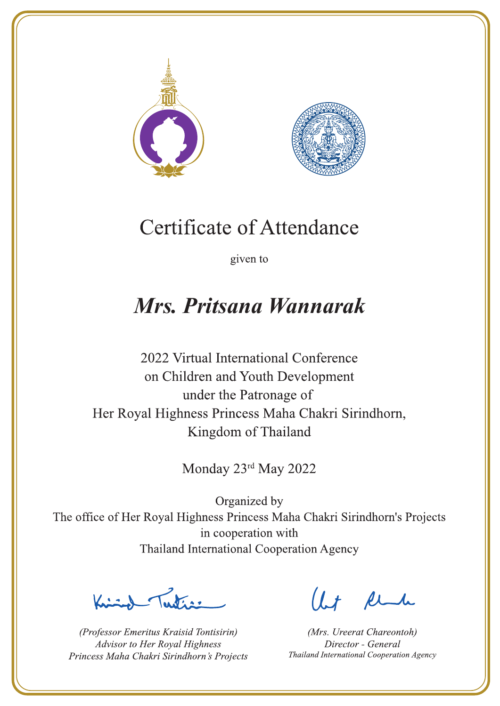



given to

### Mrs. Pritsana Wannarak

2022 Virtual International Conference on Children and Youth Development under the Patronage of Her Royal Highness Princess Maha Chakri Sirindhorn, Kingdom of Thailand

Monday 23rd May 2022

Letter

(Professor Emeritus Kraisid Tontisirin) Advisor to Her Royal Highness Princess Maha Chakri Sirindhorn's Projects

Ut Rende

(Mrs. Ureerat Chareontoh) Director - General Thailand International Cooperation Agency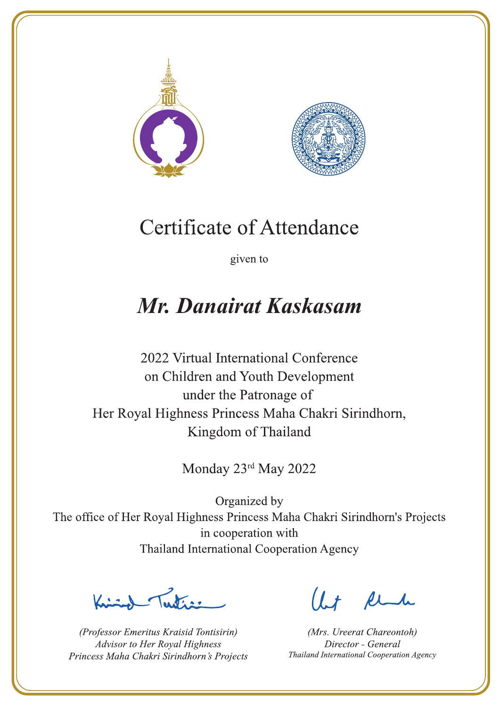



given to

# Mr. Danairat Kaskasam

2022 Virtual International Conference on Children and Youth Development under the Patronage of Her Royal Highness Princess Maha Chakri Sirindhorn, Kingdom of Thailand

Monday 23rd May 2022

Letter

(Professor Emeritus Kraisid Tontisirin) Advisor to Her Royal Highness Princess Maha Chakri Sirindhorn's Projects

 $l.t$  find

(Mrs. Ureerat Chareontoh) Director - General Thailand International Cooperation Agency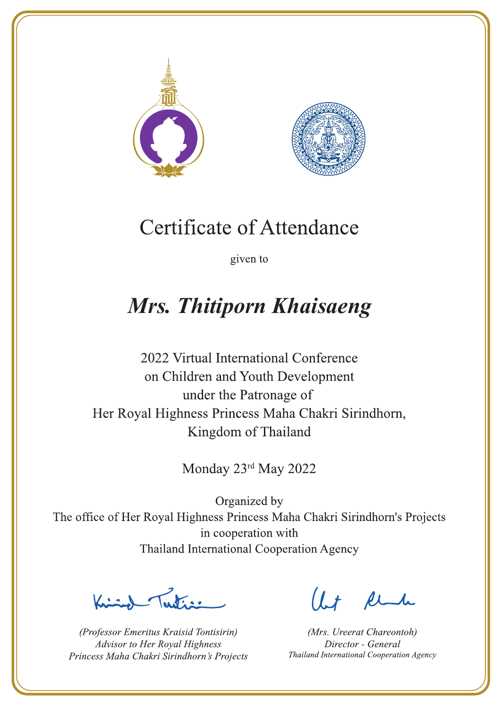



given to

# Mrs. Thitiporn Khaisaeng

2022 Virtual International Conference on Children and Youth Development under the Patronage of Her Royal Highness Princess Maha Chakri Sirindhorn, Kingdom of Thailand

Monday 23rd May 2022

 $\sum_{n=1}^{\infty}$ 

(Professor Emeritus Kraisid Tontisirin) Advisor to Her Royal Highness Princess Maha Chakri Sirindhorn's Projects

 $l.t$  find

(Mrs. Ureerat Chareontoh) Director - General Thailand International Cooperation Agency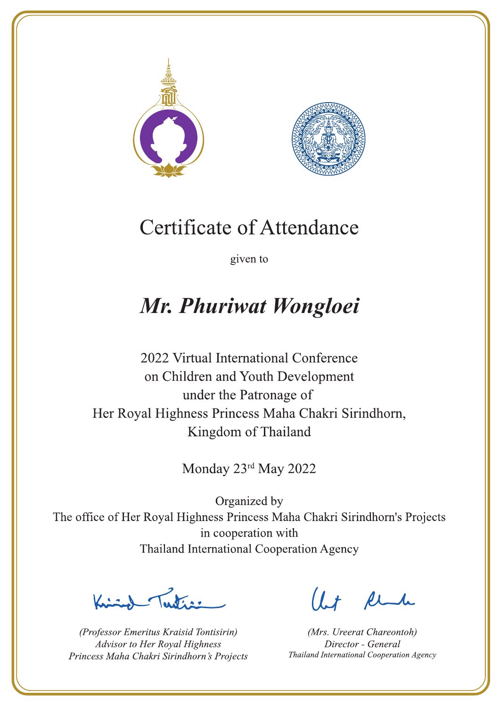



given to

## Mr. Phuriwat Wongloei

2022 Virtual International Conference on Children and Youth Development under the Patronage of Her Royal Highness Princess Maha Chakri Sirindhorn, Kingdom of Thailand

Monday 23rd May 2022

Lutin ,

(Professor Emeritus Kraisid Tontisirin) Advisor to Her Royal Highness Princess Maha Chakri Sirindhorn's Projects

 $l.t$  find

(Mrs. Ureerat Chareontoh) Director - General Thailand International Cooperation Agency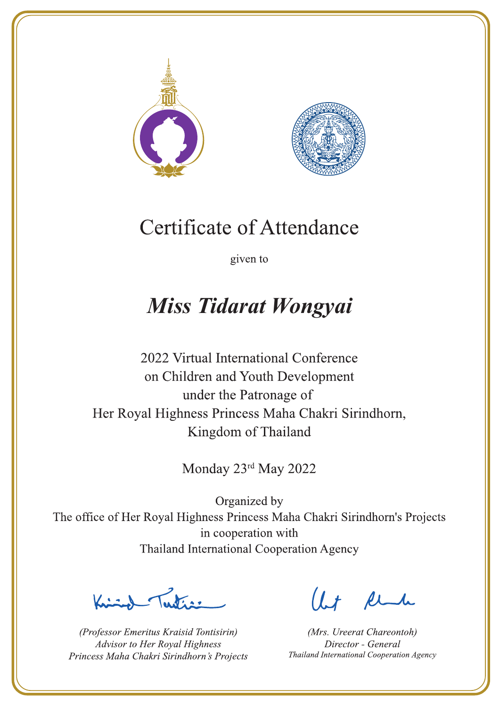



given to

## **Miss Tidarat Wongyai**

2022 Virtual International Conference on Children and Youth Development under the Patronage of Her Royal Highness Princess Maha Chakri Sirindhorn, Kingdom of Thailand

Monday 23rd May 2022

Latin ,

(Professor Emeritus Kraisid Tontisirin) Advisor to Her Royal Highness Princess Maha Chakri Sirindhorn's Projects

 $l.t$  find

(Mrs. Ureerat Chareontoh) Director - General Thailand International Cooperation Agency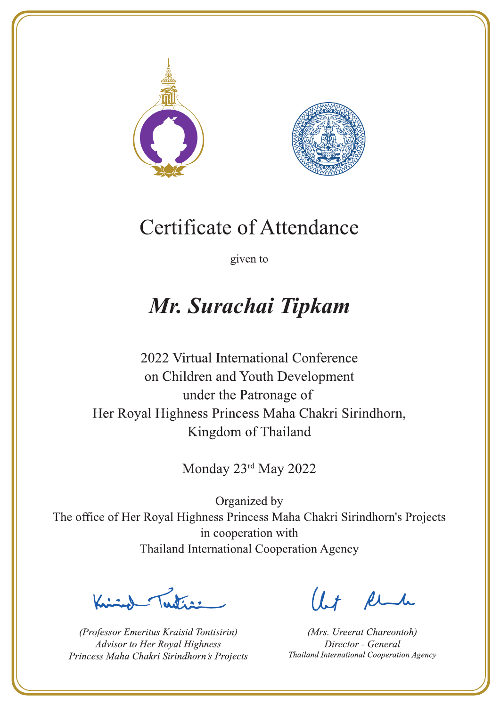



given to

## Mr. Surachai Tipkam

2022 Virtual International Conference on Children and Youth Development under the Patronage of Her Royal Highness Princess Maha Chakri Sirindhorn, Kingdom of Thailand

Monday 23rd May 2022

Latin ,

(Professor Emeritus Kraisid Tontisirin) Advisor to Her Royal Highness Princess Maha Chakri Sirindhorn's Projects

 $l.t$  find

(Mrs. Ureerat Chareontoh) Director - General Thailand International Cooperation Agency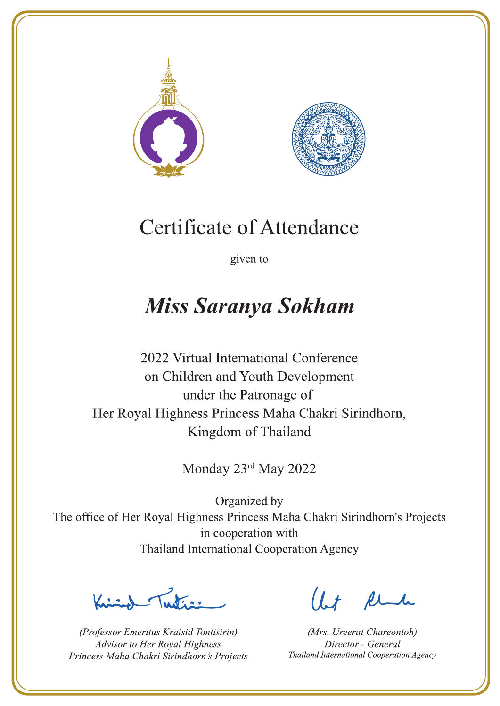



given to

### **Miss Saranya Sokham**

2022 Virtual International Conference on Children and Youth Development under the Patronage of Her Royal Highness Princess Maha Chakri Sirindhorn, Kingdom of Thailand

Monday 23rd May 2022

 $\sum_{n=1}^{\infty} \int_{\mathbb{R}^d} f(x) dx$ 

(Professor Emeritus Kraisid Tontisirin) Advisor to Her Royal Highness Princess Maha Chakri Sirindhorn's Projects

 $l.t$  find

(Mrs. Ureerat Chareontoh) Director - General Thailand International Cooperation Agency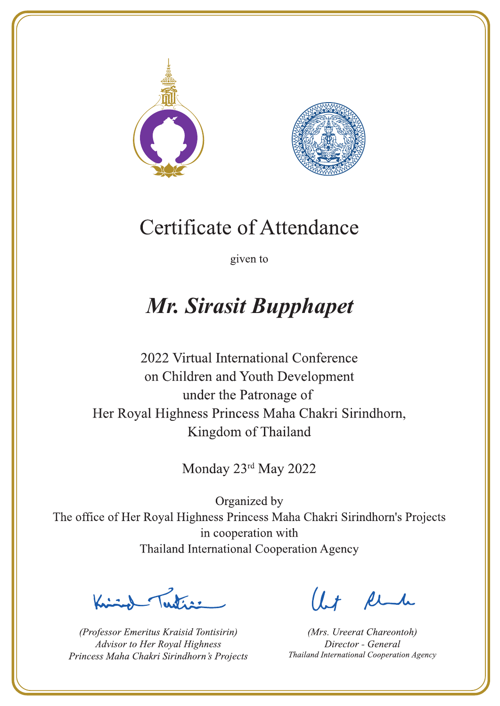



given to

# **Mr. Sirasit Bupphapet**

2022 Virtual International Conference on Children and Youth Development under the Patronage of Her Royal Highness Princess Maha Chakri Sirindhorn, Kingdom of Thailand

Monday 23rd May 2022

Justin 1

(Professor Emeritus Kraisid Tontisirin) Advisor to Her Royal Highness Princess Maha Chakri Sirindhorn's Projects

 $l.t$  find

(Mrs. Ureerat Chareontoh) Director - General Thailand International Cooperation Agency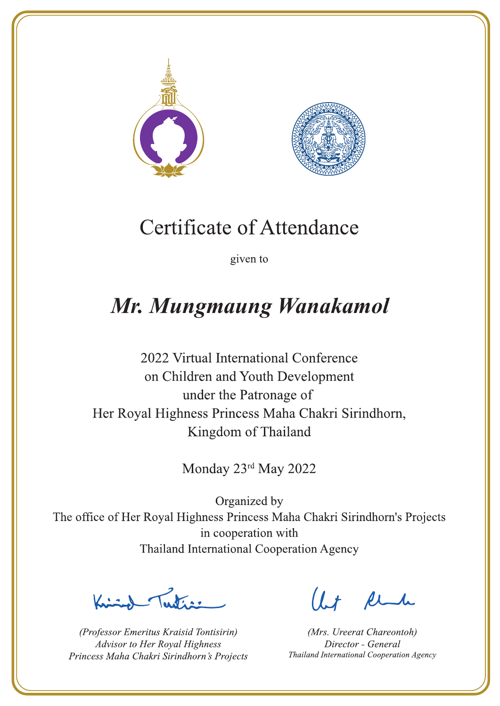



given to

# Mr. Mungmaung Wanakamol

2022 Virtual International Conference on Children and Youth Development under the Patronage of Her Royal Highness Princess Maha Chakri Sirindhorn, Kingdom of Thailand

Monday 23rd May 2022

Contraction

(Professor Emeritus Kraisid Tontisirin) Advisor to Her Royal Highness Princess Maha Chakri Sirindhorn's Projects

 $l.t$  find

(Mrs. Ureerat Chareontoh) Director - General Thailand International Cooperation Agency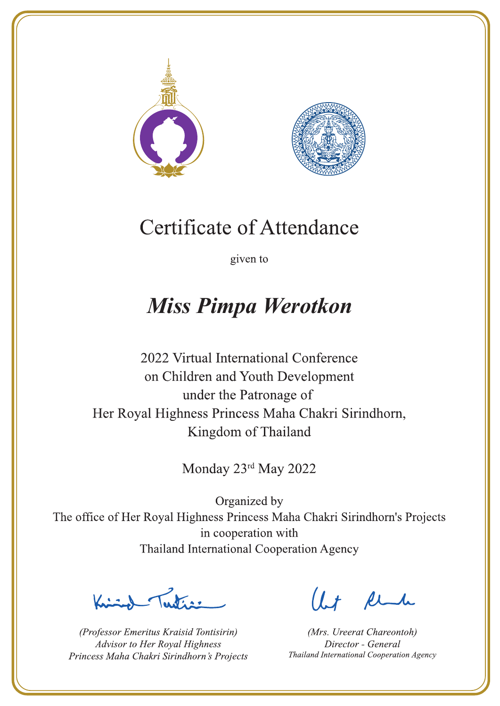



given to

### **Miss Pimpa Werotkon**

2022 Virtual International Conference on Children and Youth Development under the Patronage of Her Royal Highness Princess Maha Chakri Sirindhorn, Kingdom of Thailand

Monday 23rd May 2022

Latin ,

(Professor Emeritus Kraisid Tontisirin) Advisor to Her Royal Highness Princess Maha Chakri Sirindhorn's Projects

 $l.t$  find

(Mrs. Ureerat Chareontoh) Director - General Thailand International Cooperation Agency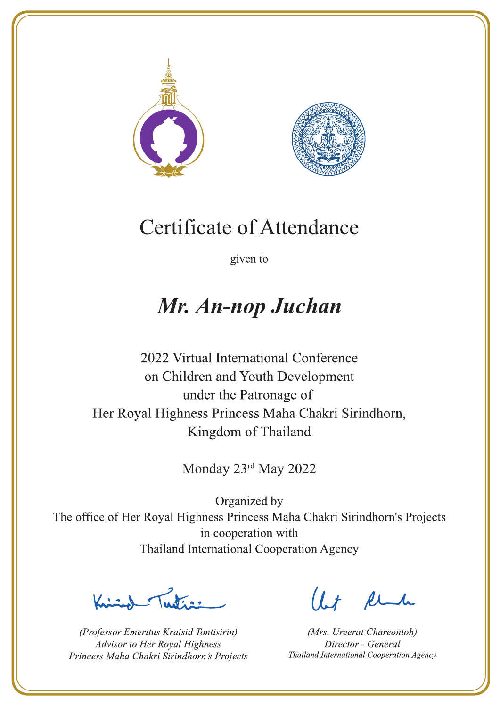



given to

### Mr. An-nop Juchan

2022 Virtual International Conference on Children and Youth Development under the Patronage of Her Royal Highness Princess Maha Chakri Sirindhorn, Kingdom of Thailand

Monday 23rd May 2022

Latin ,

(Professor Emeritus Kraisid Tontisirin) Advisor to Her Royal Highness Princess Maha Chakri Sirindhorn's Projects

 $l.t$  find

(Mrs. Ureerat Chareontoh) Director - General Thailand International Cooperation Agency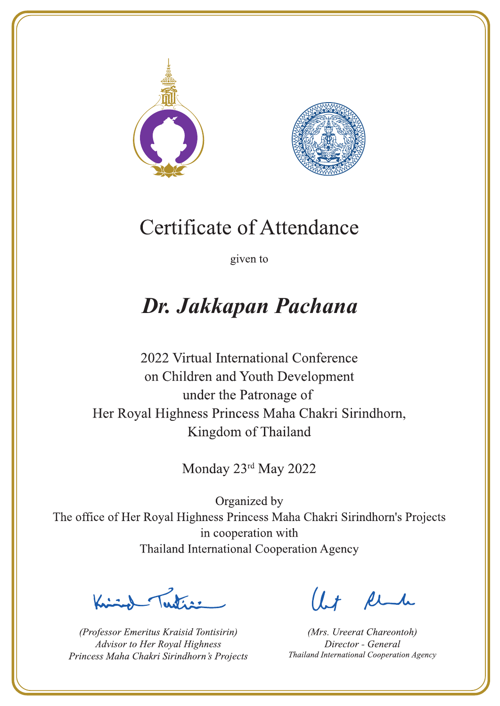



given to

# Dr. Jakkapan Pachana

2022 Virtual International Conference on Children and Youth Development under the Patronage of Her Royal Highness Princess Maha Chakri Sirindhorn, Kingdom of Thailand

Monday 23rd May 2022

Latin ,

(Professor Emeritus Kraisid Tontisirin) Advisor to Her Royal Highness Princess Maha Chakri Sirindhorn's Projects

 $l.t$  find

(Mrs. Ureerat Chareontoh) Director - General Thailand International Cooperation Agency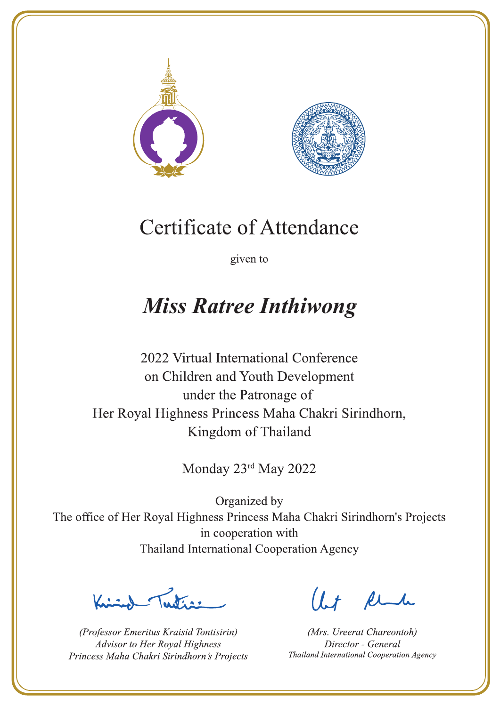



given to

### **Miss Ratree Inthiwong**

2022 Virtual International Conference on Children and Youth Development under the Patronage of Her Royal Highness Princess Maha Chakri Sirindhorn, Kingdom of Thailand

Monday 23rd May 2022

Julian

(Professor Emeritus Kraisid Tontisirin) Advisor to Her Royal Highness Princess Maha Chakri Sirindhorn's Projects

 $1.7$  find

(Mrs. Ureerat Chareontoh) Director - General Thailand International Cooperation Agency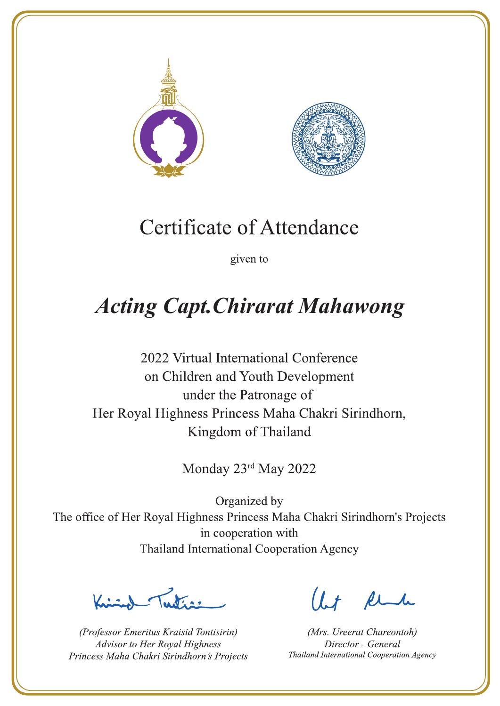



given to

# **Acting Capt. Chirarat Mahawong**

2022 Virtual International Conference on Children and Youth Development under the Patronage of Her Royal Highness Princess Maha Chakri Sirindhorn, Kingdom of Thailand

Monday 23rd May 2022

Lutin ,

(Professor Emeritus Kraisid Tontisirin) Advisor to Her Royal Highness Princess Maha Chakri Sirindhorn's Projects

 $l + \ell$ 

(Mrs. Ureerat Chareontoh) Director - General Thailand International Cooperation Agency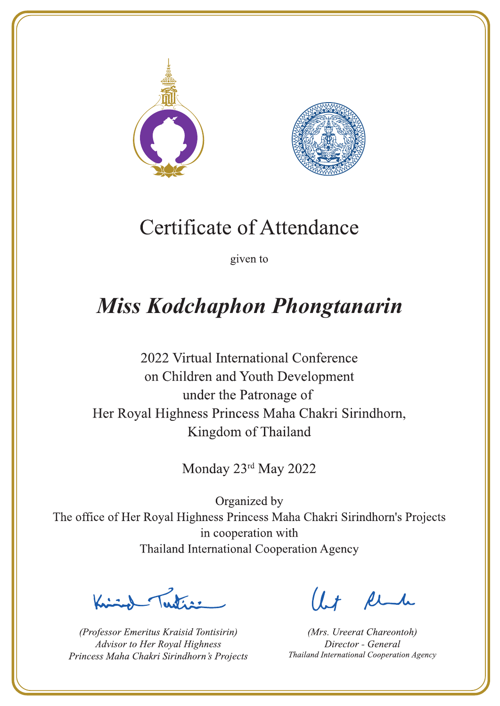



given to

# **Miss Kodchaphon Phongtanarin**

2022 Virtual International Conference on Children and Youth Development under the Patronage of Her Royal Highness Princess Maha Chakri Sirindhorn, Kingdom of Thailand

Monday 23rd May 2022

 $\chi$ 

(Professor Emeritus Kraisid Tontisirin) Advisor to Her Royal Highness Princess Maha Chakri Sirindhorn's Projects

 $l.t$  find

(Mrs. Ureerat Chareontoh) Director - General Thailand International Cooperation Agency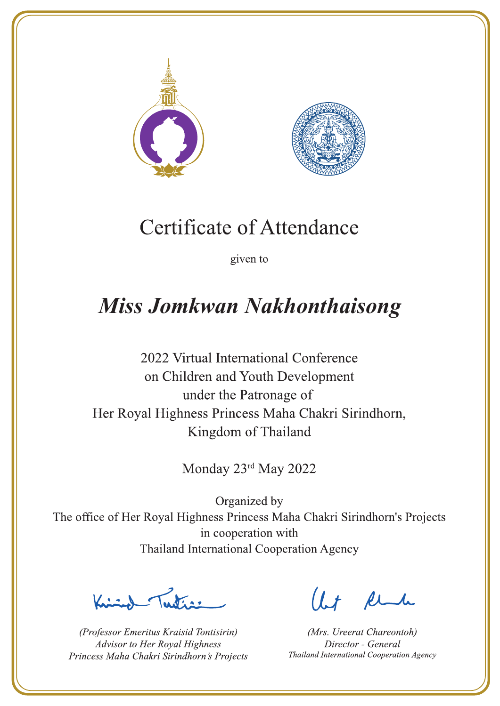



given to

# **Miss Jomkwan Nakhonthaisong**

2022 Virtual International Conference on Children and Youth Development under the Patronage of Her Royal Highness Princess Maha Chakri Sirindhorn, Kingdom of Thailand

Monday 23rd May 2022

L. K. ar

(Professor Emeritus Kraisid Tontisirin) Advisor to Her Royal Highness Princess Maha Chakri Sirindhorn's Projects

 $1.7$  find

(Mrs. Ureerat Chareontoh) Director - General Thailand International Cooperation Agency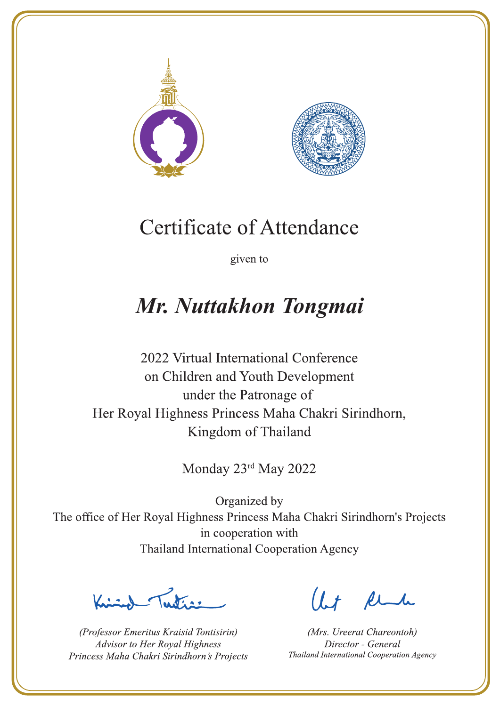



given to

# Mr. Nuttakhon Tongmai

2022 Virtual International Conference on Children and Youth Development under the Patronage of Her Royal Highness Princess Maha Chakri Sirindhorn, Kingdom of Thailand

Monday 23rd May 2022

Latin ,

(Professor Emeritus Kraisid Tontisirin) Advisor to Her Royal Highness Princess Maha Chakri Sirindhorn's Projects

 $l.t$  find

(Mrs. Ureerat Chareontoh) Director - General Thailand International Cooperation Agency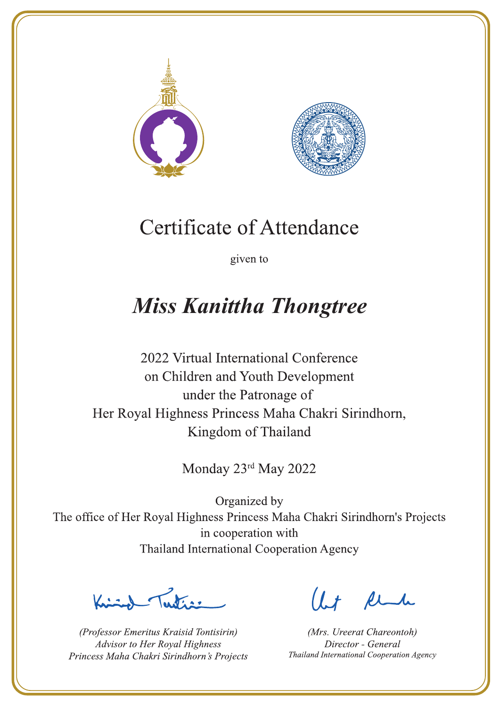



given to

# **Miss Kanittha Thongtree**

2022 Virtual International Conference on Children and Youth Development under the Patronage of Her Royal Highness Princess Maha Chakri Sirindhorn, Kingdom of Thailand

Monday 23rd May 2022

La de a gr

(Professor Emeritus Kraisid Tontisirin) Advisor to Her Royal Highness Princess Maha Chakri Sirindhorn's Projects

 $l.t$  find

(Mrs. Ureerat Chareontoh) Director - General Thailand International Cooperation Agency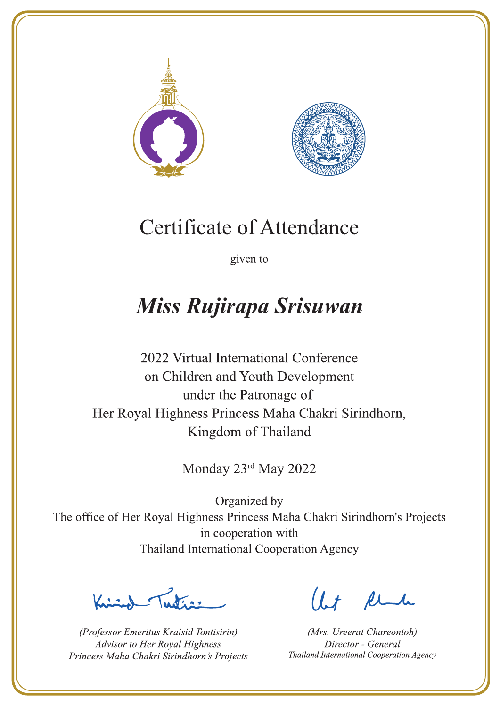



given to

# Miss Rujirapa Srisuwan

2022 Virtual International Conference on Children and Youth Development under the Patronage of Her Royal Highness Princess Maha Chakri Sirindhorn, Kingdom of Thailand

Monday 23rd May 2022

La de a gr

(Professor Emeritus Kraisid Tontisirin) Advisor to Her Royal Highness Princess Maha Chakri Sirindhorn's Projects

 $l.t$  find

(Mrs. Ureerat Chareontoh) Director - General Thailand International Cooperation Agency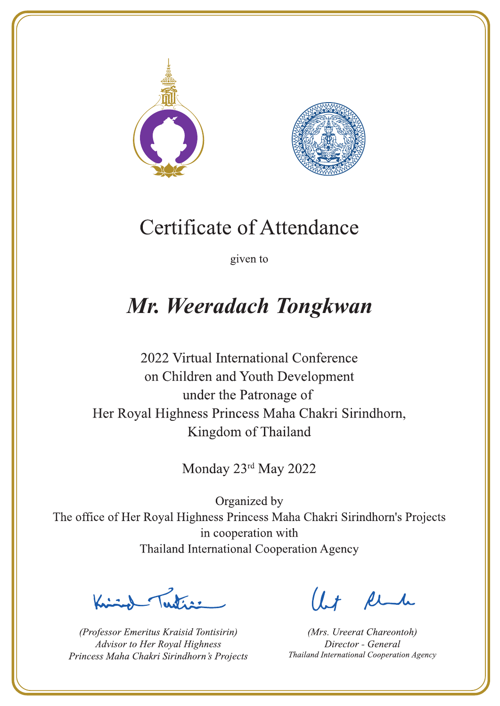



given to

# Mr. Weeradach Tongkwan

2022 Virtual International Conference on Children and Youth Development under the Patronage of Her Royal Highness Princess Maha Chakri Sirindhorn, Kingdom of Thailand

Monday 23rd May 2022

Letters ,

(Professor Emeritus Kraisid Tontisirin) Advisor to Her Royal Highness Princess Maha Chakri Sirindhorn's Projects

 $l.t$  find

(Mrs. Ureerat Chareontoh) Director - General Thailand International Cooperation Agency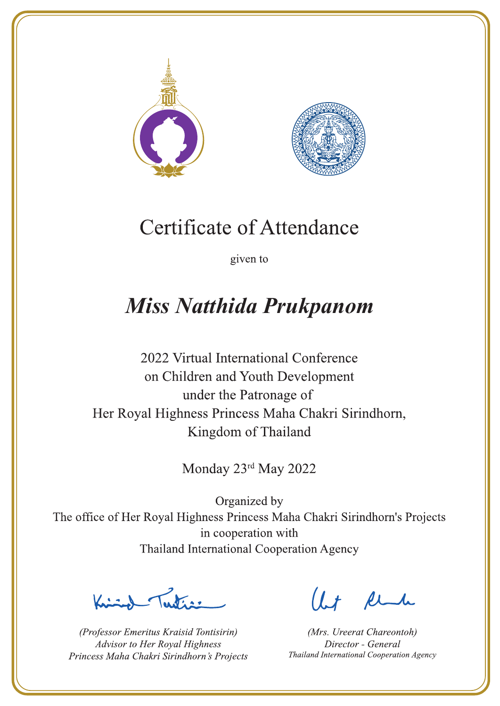



given to

# **Miss Natthida Prukpanom**

2022 Virtual International Conference on Children and Youth Development under the Patronage of Her Royal Highness Princess Maha Chakri Sirindhorn, Kingdom of Thailand

Monday 23rd May 2022

 $\sum_{n=1}^{\infty}$ 

(Professor Emeritus Kraisid Tontisirin) Advisor to Her Royal Highness Princess Maha Chakri Sirindhorn's Projects

 $l.t$  find

(Mrs. Ureerat Chareontoh) Director - General Thailand International Cooperation Agency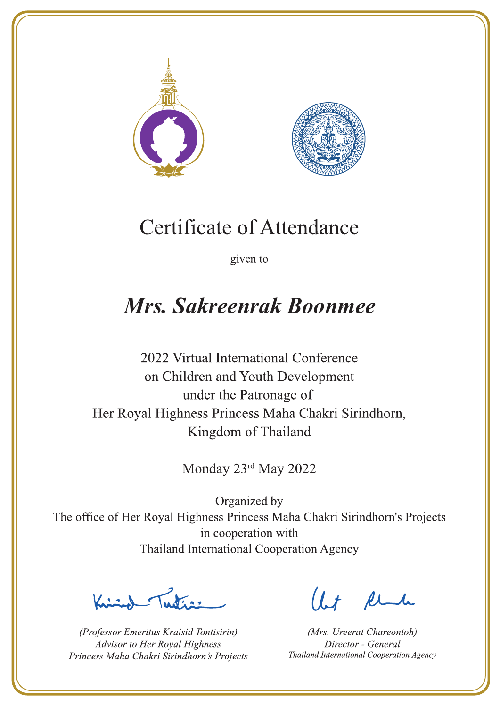



given to

# Mrs. Sakreenrak Boonmee

2022 Virtual International Conference on Children and Youth Development under the Patronage of Her Royal Highness Princess Maha Chakri Sirindhorn, Kingdom of Thailand

Monday 23rd May 2022

Letter

(Professor Emeritus Kraisid Tontisirin) Advisor to Her Royal Highness Princess Maha Chakri Sirindhorn's Projects

 $l.t$  find

(Mrs. Ureerat Chareontoh) Director - General Thailand International Cooperation Agency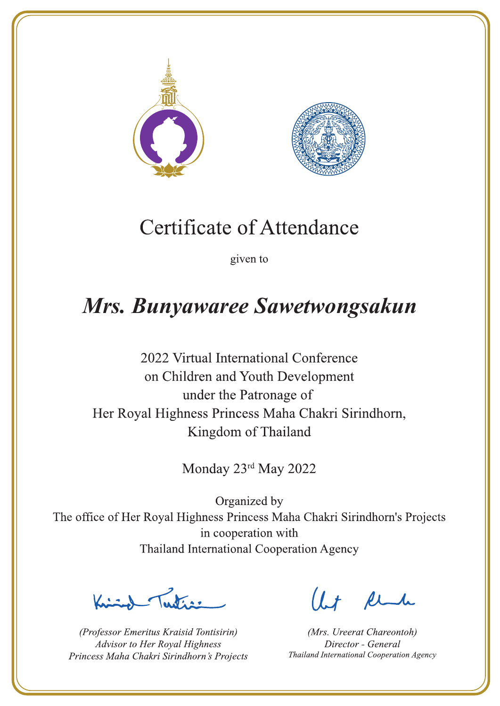



given to

# Mrs. Bunyawaree Sawetwongsakun

2022 Virtual International Conference on Children and Youth Development under the Patronage of Her Royal Highness Princess Maha Chakri Sirindhorn, Kingdom of Thailand

Monday 23rd May 2022

 $\sum_{n=1}^{\infty}$ 

(Professor Emeritus Kraisid Tontisirin) Advisor to Her Royal Highness Princess Maha Chakri Sirindhorn's Projects

 $l.t$  find

(Mrs. Ureerat Chareontoh) Director - General Thailand International Cooperation Agency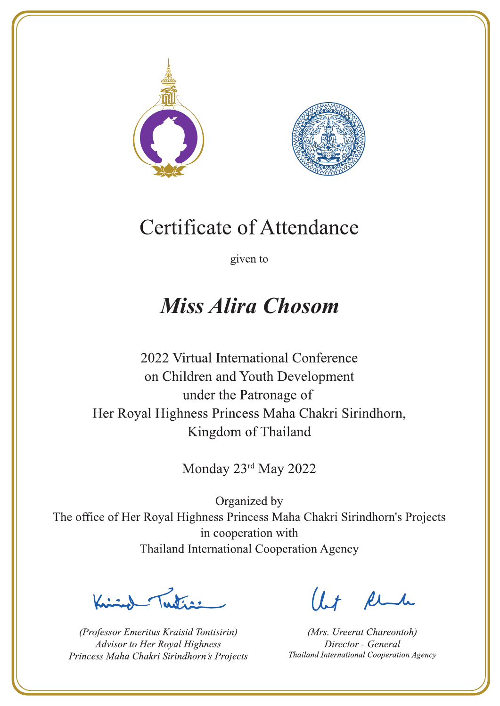



given to

### **Miss Alira Chosom**

2022 Virtual International Conference on Children and Youth Development under the Patronage of Her Royal Highness Princess Maha Chakri Sirindhorn, Kingdom of Thailand

Monday 23rd May 2022

Letter

(Professor Emeritus Kraisid Tontisirin) Advisor to Her Royal Highness Princess Maha Chakri Sirindhorn's Projects

Ut Rende

(Mrs. Ureerat Chareontoh) Director - General Thailand International Cooperation Agency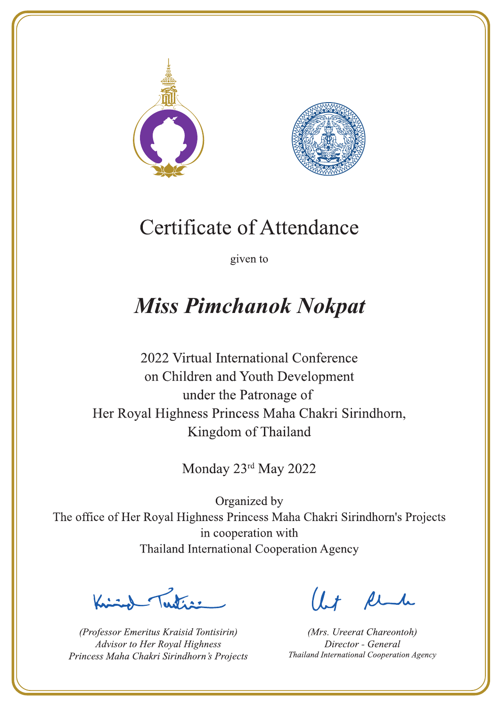



given to

# **Miss Pimchanok Nokpat**

2022 Virtual International Conference on Children and Youth Development under the Patronage of Her Royal Highness Princess Maha Chakri Sirindhorn, Kingdom of Thailand

Monday 23rd May 2022

Lating

(Professor Emeritus Kraisid Tontisirin) Advisor to Her Royal Highness Princess Maha Chakri Sirindhorn's Projects

 $1.7$  flu

(Mrs. Ureerat Chareontoh) Director - General Thailand International Cooperation Agency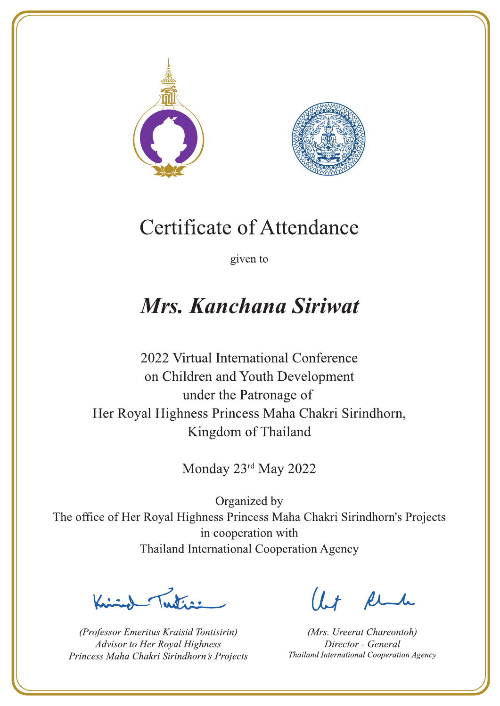



given to

# **Mrs. Kanchana Siriwat**

2022 Virtual International Conference on Children and Youth Development under the Patronage of Her Royal Highness Princess Maha Chakri Sirindhorn, Kingdom of Thailand

Monday 23rd May 2022

Letters ,

(Professor Emeritus Kraisid Tontisirin) Advisor to Her Royal Highness Princess Maha Chakri Sirindhorn's Projects

 $l.t$  find

(Mrs. Ureerat Chareontoh) Director - General Thailand International Cooperation Agency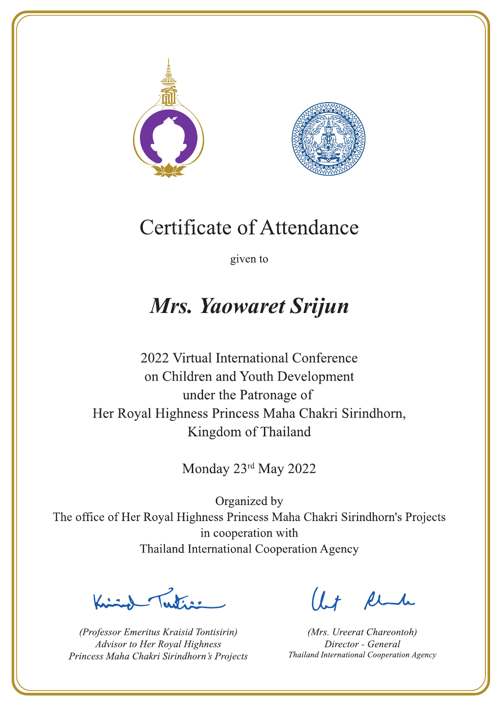



given to

## Mrs. Yaowaret Srijun

2022 Virtual International Conference on Children and Youth Development under the Patronage of Her Royal Highness Princess Maha Chakri Sirindhorn, Kingdom of Thailand

Monday 23rd May 2022

 $\sum_{n=1}^{\infty}$ 

(Professor Emeritus Kraisid Tontisirin) Advisor to Her Royal Highness Princess Maha Chakri Sirindhorn's Projects

 $l.t$  find

(Mrs. Ureerat Chareontoh) Director - General Thailand International Cooperation Agency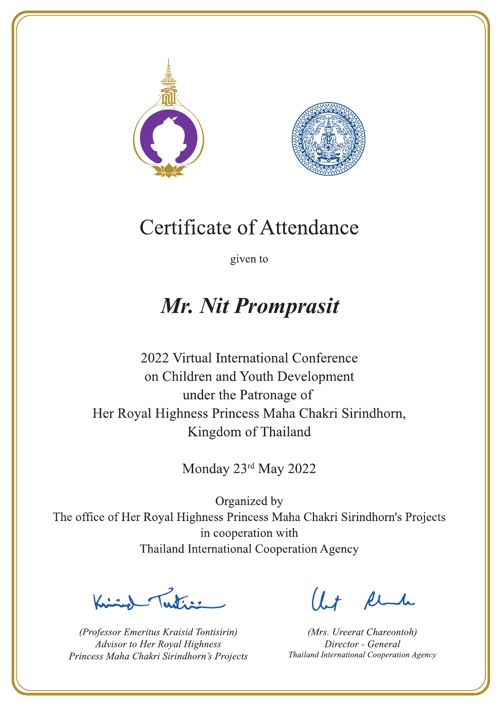



given to

### Mr. Nit Promprasit

2022 Virtual International Conference on Children and Youth Development under the Patronage of Her Royal Highness Princess Maha Chakri Sirindhorn, Kingdom of Thailand

Monday 23rd May 2022

Latin ,

(Professor Emeritus Kraisid Tontisirin) Advisor to Her Royal Highness Princess Maha Chakri Sirindhorn's Projects

 $l.t$  find

(Mrs. Ureerat Chareontoh) Director - General Thailand International Cooperation Agency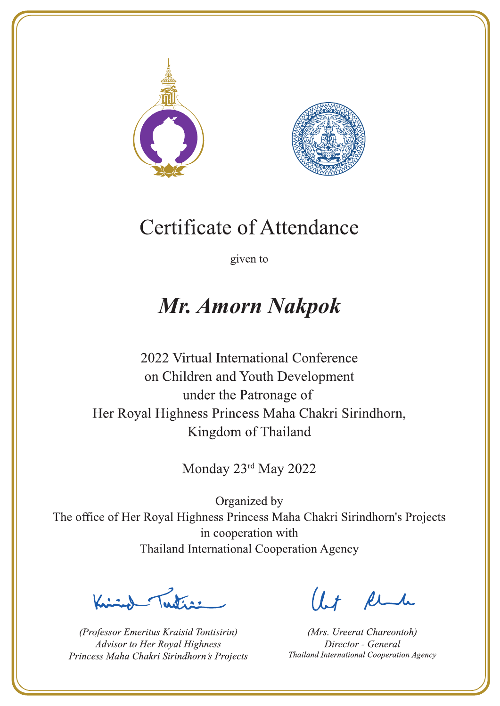



given to

### **Mr. Amorn Nakpok**

2022 Virtual International Conference on Children and Youth Development under the Patronage of Her Royal Highness Princess Maha Chakri Sirindhorn, Kingdom of Thailand

Monday 23rd May 2022

Latin ,

(Professor Emeritus Kraisid Tontisirin) Advisor to Her Royal Highness Princess Maha Chakri Sirindhorn's Projects

 $l.t$  find

(Mrs. Ureerat Chareontoh) Director - General Thailand International Cooperation Agency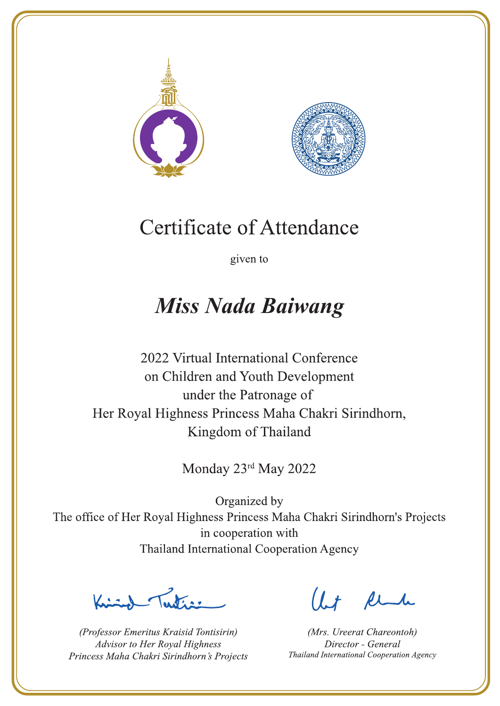



given to

## **Miss Nada Baiwang**

2022 Virtual International Conference on Children and Youth Development under the Patronage of Her Royal Highness Princess Maha Chakri Sirindhorn, Kingdom of Thailand

Monday 23rd May 2022

La de a gr

(Professor Emeritus Kraisid Tontisirin) Advisor to Her Royal Highness Princess Maha Chakri Sirindhorn's Projects

 $l.t$  find

(Mrs. Ureerat Chareontoh) Director - General Thailand International Cooperation Agency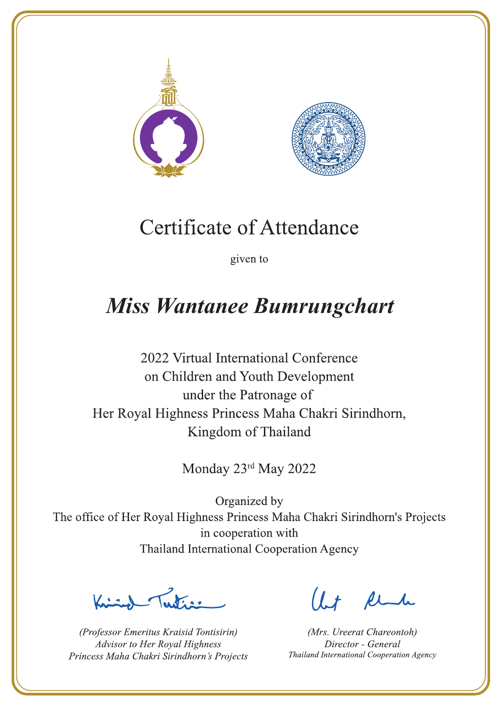



given to

## **Miss Wantanee Bumrungchart**

2022 Virtual International Conference on Children and Youth Development under the Patronage of Her Royal Highness Princess Maha Chakri Sirindhorn, Kingdom of Thailand

Monday 23rd May 2022

L. K. ar

(Professor Emeritus Kraisid Tontisirin) Advisor to Her Royal Highness Princess Maha Chakri Sirindhorn's Projects

 $l.t$  find

(Mrs. Ureerat Chareontoh) Director - General Thailand International Cooperation Agency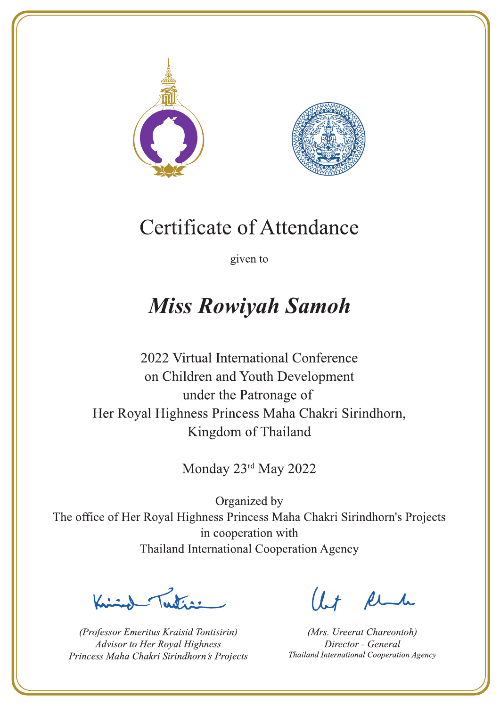



given to

# **Miss Rowiyah Samoh**

2022 Virtual International Conference on Children and Youth Development under the Patronage of Her Royal Highness Princess Maha Chakri Sirindhorn, Kingdom of Thailand

Monday 23rd May 2022

Latin ,

(Professor Emeritus Kraisid Tontisirin) Advisor to Her Royal Highness Princess Maha Chakri Sirindhorn's Projects

 $l.t$  find

(Mrs. Ureerat Chareontoh) Director - General Thailand International Cooperation Agency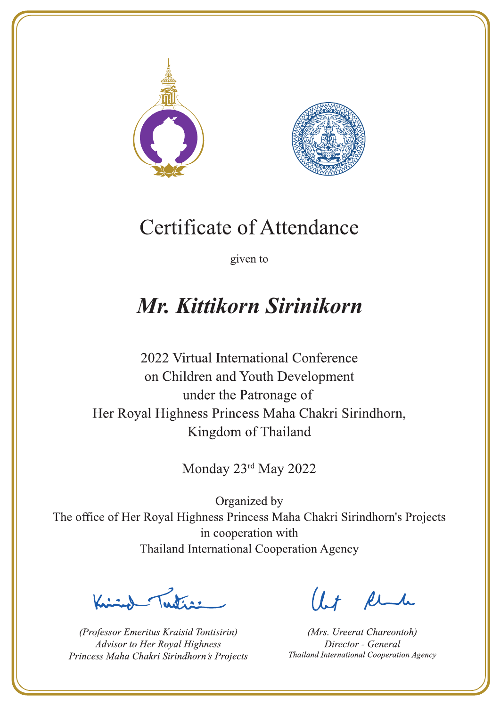



given to

# Mr. Kittikorn Sirinikorn

2022 Virtual International Conference on Children and Youth Development under the Patronage of Her Royal Highness Princess Maha Chakri Sirindhorn, Kingdom of Thailand

Monday 23rd May 2022

Letter

(Professor Emeritus Kraisid Tontisirin) Advisor to Her Royal Highness Princess Maha Chakri Sirindhorn's Projects

Ut Rende

(Mrs. Ureerat Chareontoh) Director - General Thailand International Cooperation Agency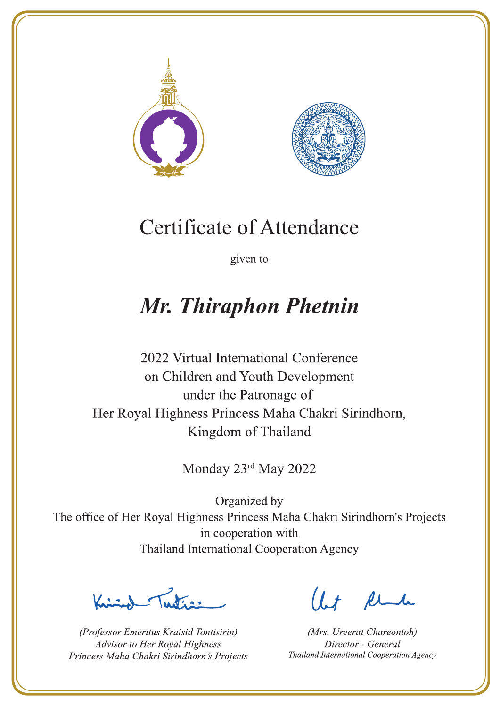



given to

# **Mr. Thiraphon Phetnin**

2022 Virtual International Conference on Children and Youth Development under the Patronage of Her Royal Highness Princess Maha Chakri Sirindhorn, Kingdom of Thailand

Monday 23rd May 2022

Lutin ,

(Professor Emeritus Kraisid Tontisirin) Advisor to Her Royal Highness Princess Maha Chakri Sirindhorn's Projects

 $l.t$  find

(Mrs. Ureerat Chareontoh) Director - General Thailand International Cooperation Agency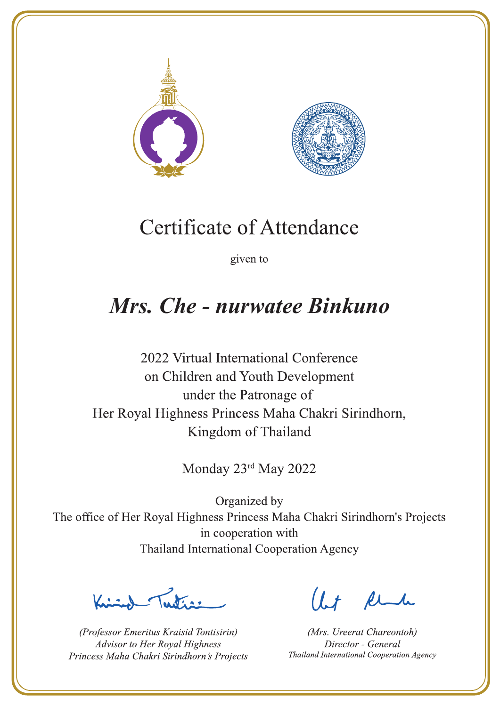



given to

### **Mrs. Che - nurwatee Binkuno**

2022 Virtual International Conference on Children and Youth Development under the Patronage of Her Royal Highness Princess Maha Chakri Sirindhorn, Kingdom of Thailand

Monday 23rd May 2022

Letter

(Professor Emeritus Kraisid Tontisirin) Advisor to Her Royal Highness Princess Maha Chakri Sirindhorn's Projects

Ut Rende

(Mrs. Ureerat Chareontoh) Director - General Thailand International Cooperation Agency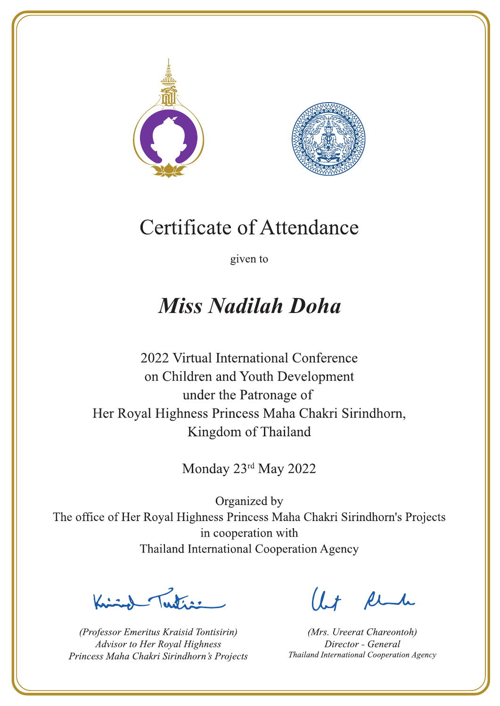



given to

# **Miss Nadilah Doha**

2022 Virtual International Conference on Children and Youth Development under the Patronage of Her Royal Highness Princess Maha Chakri Sirindhorn, Kingdom of Thailand

Monday 23rd May 2022

Letter

(Professor Emeritus Kraisid Tontisirin) Advisor to Her Royal Highness Princess Maha Chakri Sirindhorn's Projects

 $l.t$  find

(Mrs. Ureerat Chareontoh) Director - General Thailand International Cooperation Agency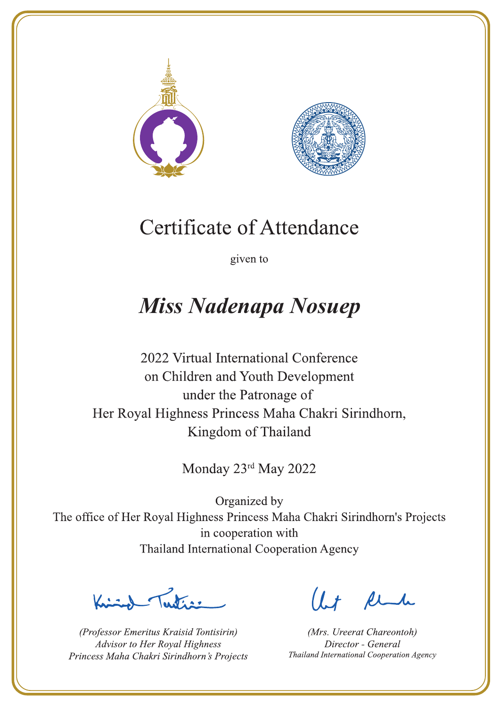



given to

# **Miss Nadenapa Nosuep**

2022 Virtual International Conference on Children and Youth Development under the Patronage of Her Royal Highness Princess Maha Chakri Sirindhorn, Kingdom of Thailand

Monday 23rd May 2022

 $\sqrt{1-\frac{1}{2}}$ 

(Professor Emeritus Kraisid Tontisirin) Advisor to Her Royal Highness Princess Maha Chakri Sirindhorn's Projects

 $l.t$  find

(Mrs. Ureerat Chareontoh) Director - General Thailand International Cooperation Agency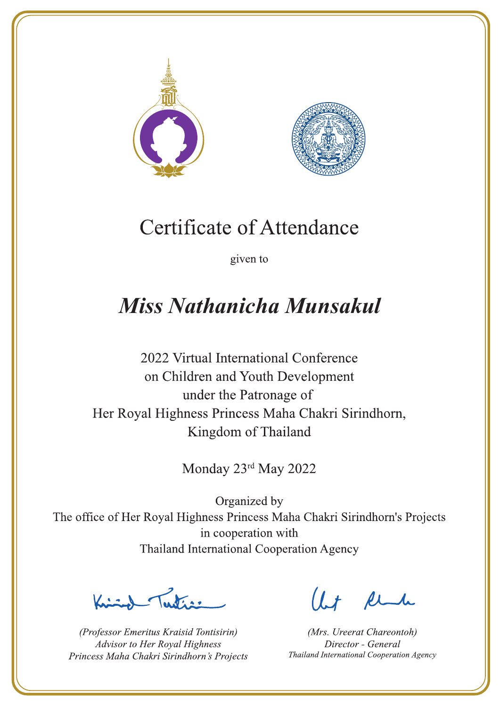



given to

# **Miss Nathanicha Munsakul**

2022 Virtual International Conference on Children and Youth Development under the Patronage of Her Royal Highness Princess Maha Chakri Sirindhorn, Kingdom of Thailand

Monday 23rd May 2022

Letters ,

(Professor Emeritus Kraisid Tontisirin) Advisor to Her Royal Highness Princess Maha Chakri Sirindhorn's Projects

 $l.t$  find

(Mrs. Ureerat Chareontoh) Director - General Thailand International Cooperation Agency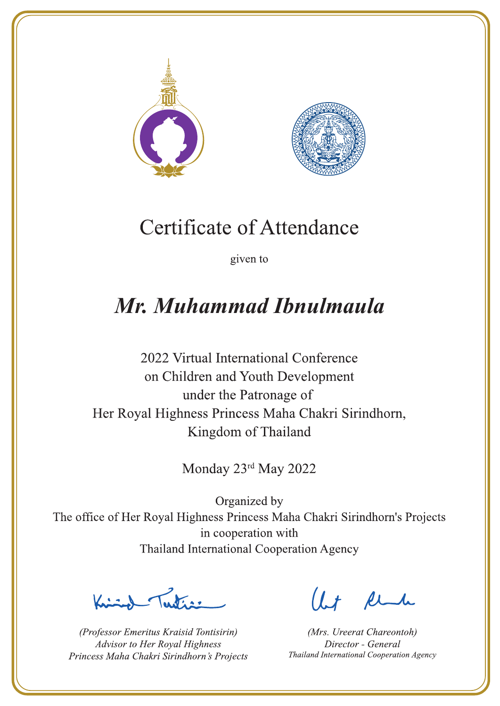



given to

# Mr. Muhammad Ibnulmaula

2022 Virtual International Conference on Children and Youth Development under the Patronage of Her Royal Highness Princess Maha Chakri Sirindhorn, Kingdom of Thailand

Monday 23rd May 2022

Letter

(Professor Emeritus Kraisid Tontisirin) Advisor to Her Royal Highness Princess Maha Chakri Sirindhorn's Projects

Ut Rende

(Mrs. Ureerat Chareontoh) Director - General Thailand International Cooperation Agency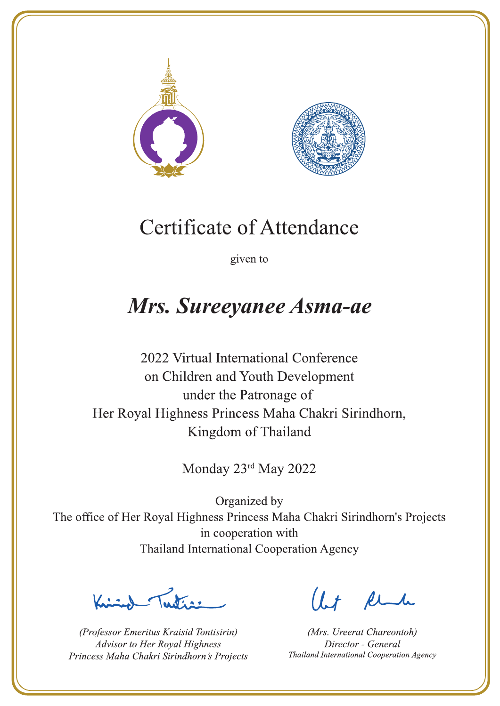



given to

### Mrs. Sureeyanee Asma-ae

2022 Virtual International Conference on Children and Youth Development under the Patronage of Her Royal Highness Princess Maha Chakri Sirindhorn, Kingdom of Thailand

Monday 23rd May 2022

Latin ,

(Professor Emeritus Kraisid Tontisirin) Advisor to Her Royal Highness Princess Maha Chakri Sirindhorn's Projects

 $l.t$  find

(Mrs. Ureerat Chareontoh) Director - General Thailand International Cooperation Agency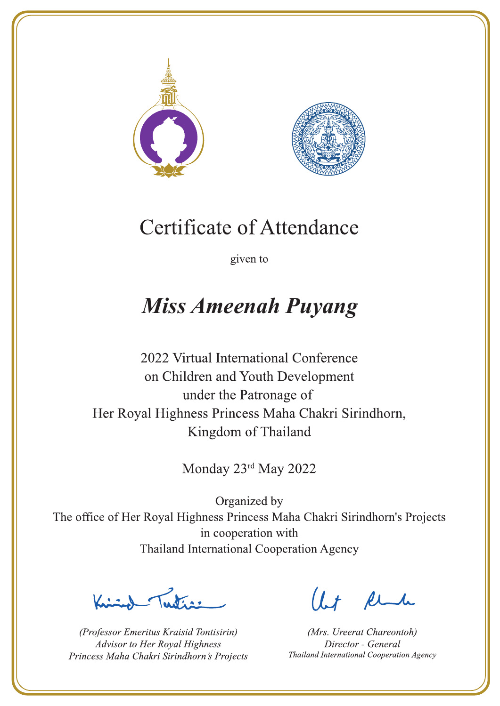



given to

# **Miss Ameenah Puyang**

2022 Virtual International Conference on Children and Youth Development under the Patronage of Her Royal Highness Princess Maha Chakri Sirindhorn, Kingdom of Thailand

Monday 23rd May 2022

Julian

(Professor Emeritus Kraisid Tontisirin) Advisor to Her Royal Highness Princess Maha Chakri Sirindhorn's Projects

 $l.t$  find

(Mrs. Ureerat Chareontoh) Director - General Thailand International Cooperation Agency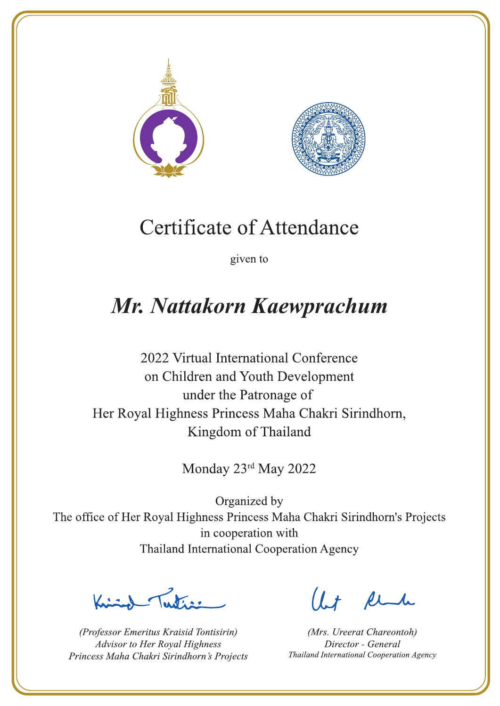



given to

# Mr. Nattakorn Kaewprachum

2022 Virtual International Conference on Children and Youth Development under the Patronage of Her Royal Highness Princess Maha Chakri Sirindhorn, Kingdom of Thailand

Monday 23rd May 2022

Lating

(Professor Emeritus Kraisid Tontisirin) Advisor to Her Royal Highness Princess Maha Chakri Sirindhorn's Projects

 $l.t$  find

(Mrs. Ureerat Chareontoh) Director - General Thailand International Cooperation Agency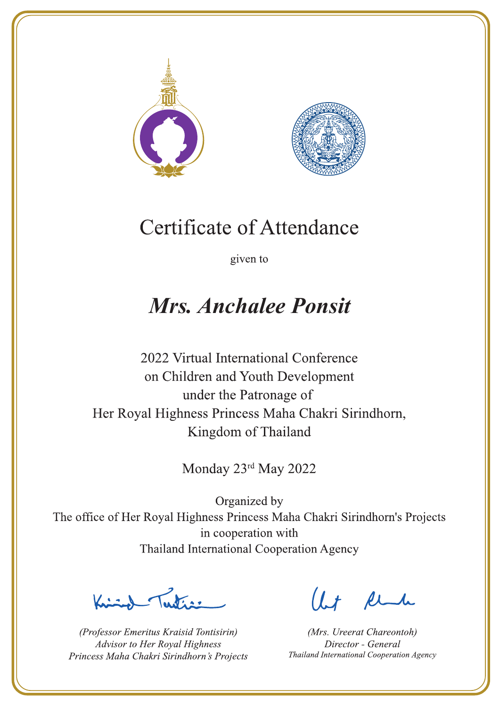



given to

## **Mrs. Anchalee Ponsit**

2022 Virtual International Conference on Children and Youth Development under the Patronage of Her Royal Highness Princess Maha Chakri Sirindhorn, Kingdom of Thailand

Monday 23rd May 2022

Letters ,

(Professor Emeritus Kraisid Tontisirin) Advisor to Her Royal Highness Princess Maha Chakri Sirindhorn's Projects

 $l.t$  find

(Mrs. Ureerat Chareontoh) Director - General Thailand International Cooperation Agency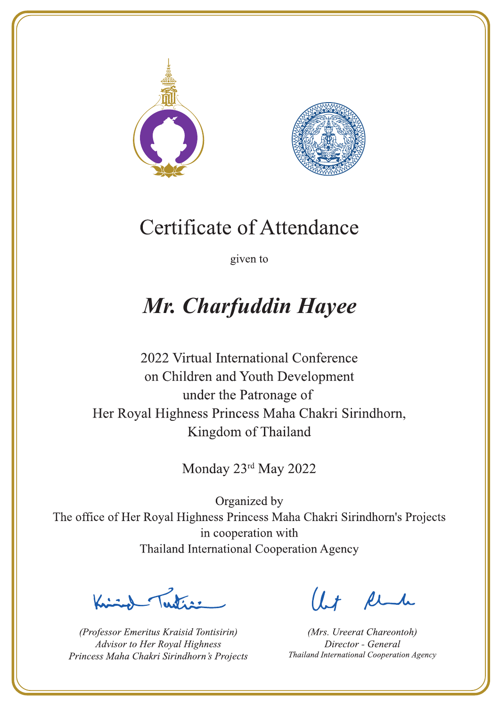



given to

# Mr. Charfuddin Hayee

2022 Virtual International Conference on Children and Youth Development under the Patronage of Her Royal Highness Princess Maha Chakri Sirindhorn, Kingdom of Thailand

Monday 23rd May 2022

 $\sum_{n=1}^{\infty} \int_{\mathbb{R}^d} f(x) dx$ 

(Professor Emeritus Kraisid Tontisirin) Advisor to Her Royal Highness Princess Maha Chakri Sirindhorn's Projects

 $l.t$  find

(Mrs. Ureerat Chareontoh) Director - General Thailand International Cooperation Agency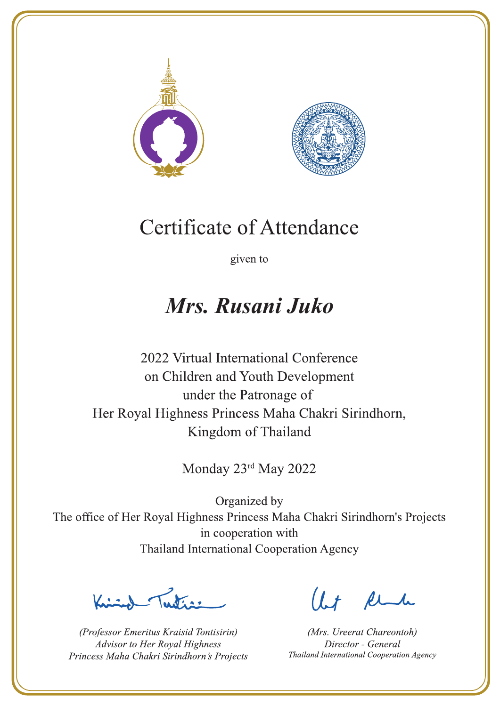



given to

### Mrs. Rusani Juko

2022 Virtual International Conference on Children and Youth Development under the Patronage of Her Royal Highness Princess Maha Chakri Sirindhorn, Kingdom of Thailand

Monday 23rd May 2022

 $\sum_{n=1}^{\infty}$ 

(Professor Emeritus Kraisid Tontisirin) Advisor to Her Royal Highness Princess Maha Chakri Sirindhorn's Projects

Ut Rende

(Mrs. Ureerat Chareontoh) Director - General Thailand International Cooperation Agency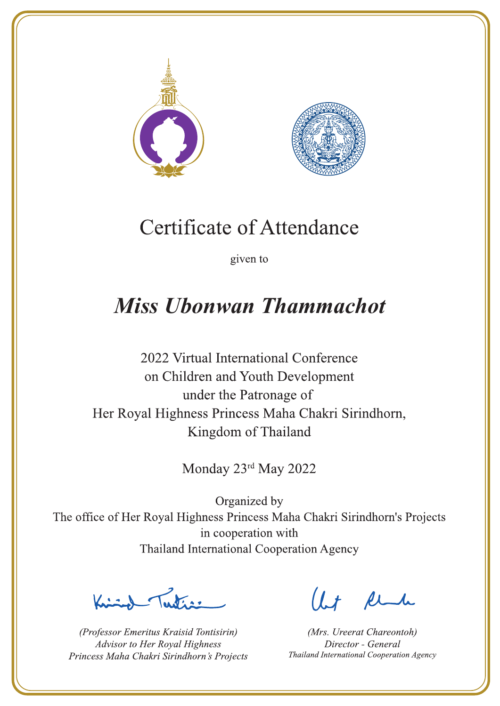



given to

## **Miss Ubonwan Thammachot**

2022 Virtual International Conference on Children and Youth Development under the Patronage of Her Royal Highness Princess Maha Chakri Sirindhorn, Kingdom of Thailand

Monday 23rd May 2022

Peters .

(Professor Emeritus Kraisid Tontisirin) Advisor to Her Royal Highness Princess Maha Chakri Sirindhorn's Projects

Ut Rende

(Mrs. Ureerat Chareontoh) Director - General Thailand International Cooperation Agency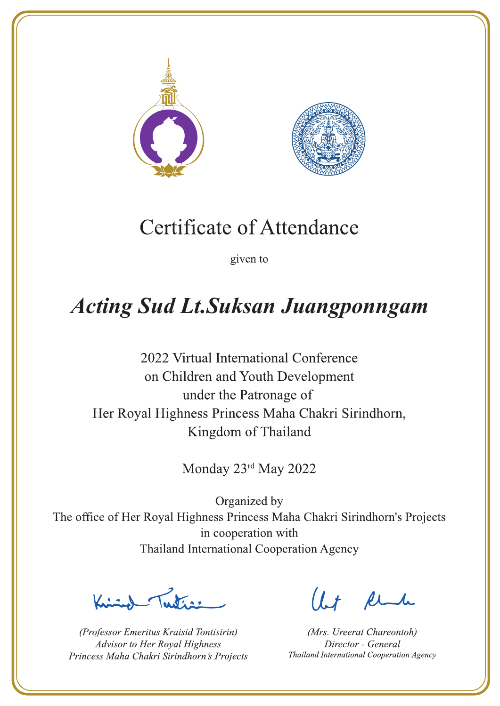



given to

# **Acting Sud Lt.Suksan Juangponngam**

2022 Virtual International Conference on Children and Youth Development under the Patronage of Her Royal Highness Princess Maha Chakri Sirindhorn, Kingdom of Thailand

Monday 23rd May 2022

Jeste av

(Professor Emeritus Kraisid Tontisirin) Advisor to Her Royal Highness Princess Maha Chakri Sirindhorn's Projects

 $1 + \ell$ 

(Mrs. Ureerat Chareontoh) Director - General Thailand International Cooperation Agency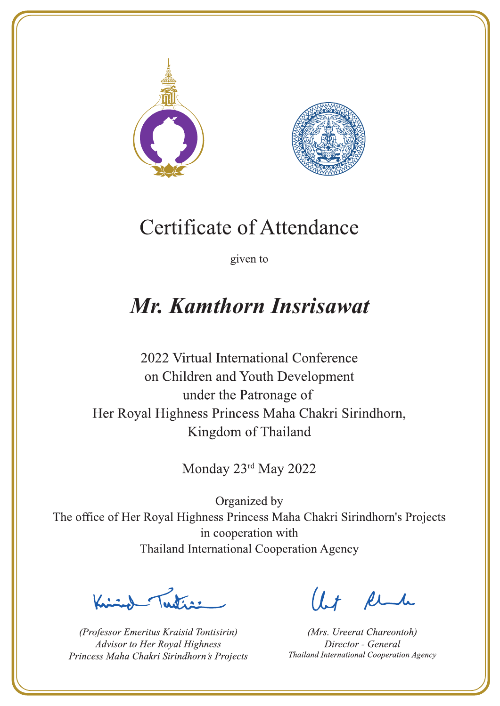



given to

## Mr. Kamthorn Insrisawat

2022 Virtual International Conference on Children and Youth Development under the Patronage of Her Royal Highness Princess Maha Chakri Sirindhorn, Kingdom of Thailand

Monday 23rd May 2022

Letter

(Professor Emeritus Kraisid Tontisirin) Advisor to Her Royal Highness Princess Maha Chakri Sirindhorn's Projects

Ut Rende

(Mrs. Ureerat Chareontoh) Director - General Thailand International Cooperation Agency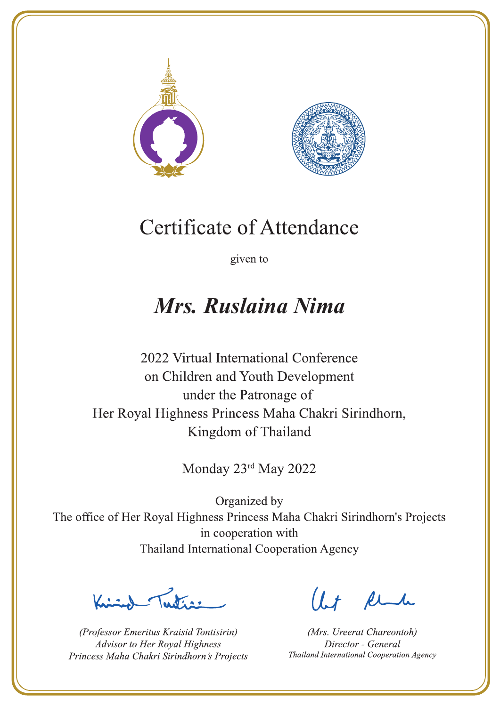



given to

## Mrs. Ruslaina Nima

2022 Virtual International Conference on Children and Youth Development under the Patronage of Her Royal Highness Princess Maha Chakri Sirindhorn, Kingdom of Thailand

Monday 23rd May 2022

Letter

(Professor Emeritus Kraisid Tontisirin) Advisor to Her Royal Highness Princess Maha Chakri Sirindhorn's Projects

Ut Rende

(Mrs. Ureerat Chareontoh) Director - General Thailand International Cooperation Agency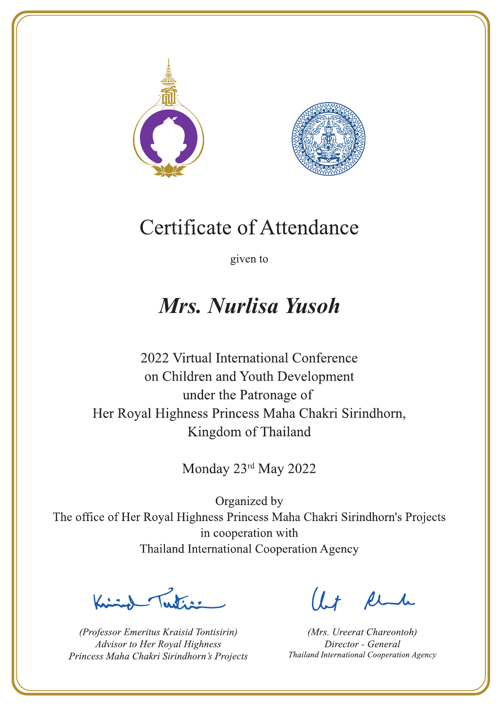



given to

## Mrs. Nurlisa Yusoh

2022 Virtual International Conference on Children and Youth Development under the Patronage of Her Royal Highness Princess Maha Chakri Sirindhorn, Kingdom of Thailand

Monday 23rd May 2022

Letter

(Professor Emeritus Kraisid Tontisirin) Advisor to Her Royal Highness Princess Maha Chakri Sirindhorn's Projects

Ut Rende

(Mrs. Ureerat Chareontoh) Director - General Thailand International Cooperation Agency